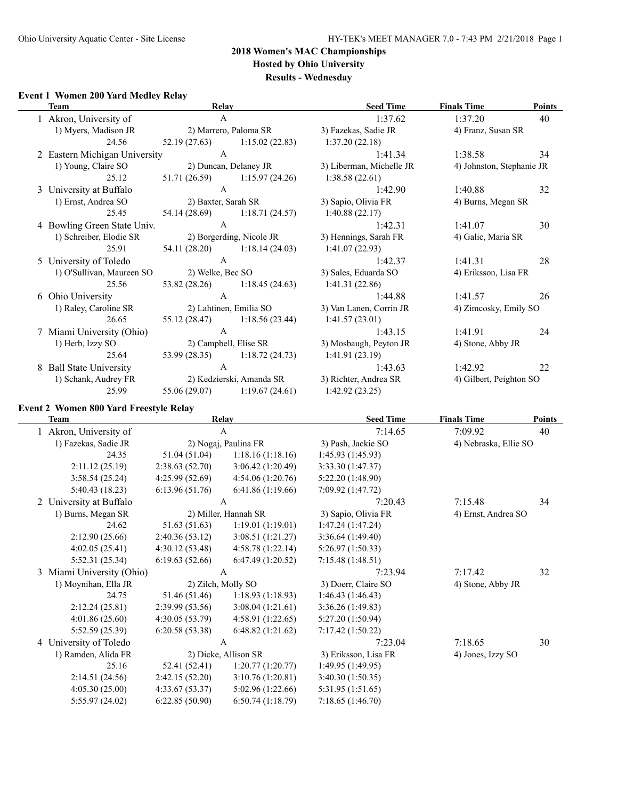# **2018 Women's MAC Championships**

**Hosted by Ohio University**

**Results - Wednesday**

### **Event 1 Women 200 Yard Medley Relay**

| Team                          | Relay                    |                                | <b>Seed Time</b>         | <b>Finals Time</b>        | <b>Points</b> |  |
|-------------------------------|--------------------------|--------------------------------|--------------------------|---------------------------|---------------|--|
| 1 Akron, University of        | $\mathbf{A}$             |                                | 1:37.62                  | 1:37.20                   | 40            |  |
| 1) Myers, Madison JR          |                          | 2) Marrero, Paloma SR          | 3) Fazekas, Sadie JR     | 4) Franz, Susan SR        |               |  |
| 24.56                         | 52.19 (27.63)            | 1:15.02(22.83)                 | 1:37.20(22.18)           |                           |               |  |
| 2 Eastern Michigan University | $\mathbf{A}$             |                                | 1:41.34                  | 1:38.58                   | 34            |  |
| 1) Young, Claire SO           |                          | 2) Duncan, Delaney JR          | 3) Liberman, Michelle JR | 4) Johnston, Stephanie JR |               |  |
| 25.12                         | 51.71 (26.59)            | 1:15.97(24.26)                 | 1:38.58(22.61)           |                           |               |  |
| 3 University at Buffalo       | $\mathbf{A}$             |                                | 1:42.90                  | 1:40.88                   | 32            |  |
| 1) Ernst, Andrea SO           | 2) Baxter, Sarah SR      |                                | 3) Sapio, Olivia FR      | 4) Burns, Megan SR        |               |  |
| 25.45                         | 54.14 (28.69)            | 1:18.71(24.57)                 | 1:40.88(22.17)           |                           |               |  |
| 4 Bowling Green State Univ.   | $\mathbf{A}$             |                                | 1:42.31                  | 1:41.07                   | 30            |  |
| 1) Schreiber, Elodie SR       | 2) Borgerding, Nicole JR |                                | 3) Hennings, Sarah FR    | 4) Galic, Maria SR        |               |  |
| 25.91                         | 54.11 (28.20)            | 1:18.14(24.03)                 | 1:41.07(22.93)           |                           |               |  |
| 5 University of Toledo        | $\mathbf{A}$             |                                | 1:42.37                  | 1:41.31                   | 28            |  |
| 1) O'Sullivan, Maureen SO     | 2) Welke, Bec SO         |                                | 3) Sales, Eduarda SO     | 4) Eriksson, Lisa FR      |               |  |
| 25.56                         | 53.82 (28.26)            | 1:18.45(24.63)                 | 1:41.31(22.86)           |                           |               |  |
| 6 Ohio University             | A                        |                                | 1:44.88                  | 1:41.57                   | 26            |  |
| 1) Raley, Caroline SR         |                          | 2) Lahtinen, Emilia SO         | 3) Van Lanen, Corrin JR  | 4) Zimcosky, Emily SO     |               |  |
| 26.65                         | 55.12 (28.47)            | 1:18.56(23.44)                 | 1:41.57(23.01)           |                           |               |  |
| 7 Miami University (Ohio)     | $\overline{A}$           |                                | 1:43.15                  | 1:41.91                   | 24            |  |
| 1) Herb, Izzy SO              |                          | 2) Campbell, Elise SR          | 3) Mosbaugh, Peyton JR   | 4) Stone, Abby JR         |               |  |
| 25.64                         | 53.99 (28.35)            | 1:18.72(24.73)                 | 1:41.91(23.19)           |                           |               |  |
| 8 Ball State University       | A                        |                                | 1:43.63                  | 1:42.92                   | 22            |  |
| 1) Schank, Audrey FR          |                          | 2) Kedzierski, Amanda SR       | 3) Richter, Andrea SR    | 4) Gilbert, Peighton SO   |               |  |
| 25.99                         |                          | $55.06(29.07)$ 1:19.67 (24.61) | 1:42.92(23.25)           |                           |               |  |

#### **Event 2 Women 800 Yard Freestyle Relay**

| Team                       |                      | Relay                | <b>Seed Time</b>     | <b>Finals Time</b>    | <b>Points</b> |
|----------------------------|----------------------|----------------------|----------------------|-----------------------|---------------|
| 1 Akron, University of     | A                    |                      | 7:14.65              | 7:09.92               | 40            |
| 1) Fazekas, Sadie JR       | 2) Nogaj, Paulina FR |                      | 3) Pash, Jackie SO   | 4) Nebraska, Ellie SO |               |
| 24.35                      | 51.04 (51.04)        | 1:18.16(1:18.16)     | 1:45.93 (1:45.93)    |                       |               |
| 2:11.12(25.19)             | 2:38.63(52.70)       | 3:06.42(1:20.49)     | 3:33.30 (1:47.37)    |                       |               |
| 3:58.54(25.24)             | 4:25.99(52.69)       | 4:54.06(1:20.76)     | 5:22.20(1:48.90)     |                       |               |
| 5:40.43 (18.23)            | 6:13.96(51.76)       | 6:41.86(1:19.66)     | 7:09.92 (1:47.72)    |                       |               |
| University at Buffalo<br>2 |                      | A                    | 7:20.43              | 7:15.48               | 34            |
| 1) Burns, Megan SR         |                      | 2) Miller, Hannah SR | 3) Sapio, Olivia FR  | 4) Ernst, Andrea SO   |               |
| 24.62                      | 51.63 (51.63)        | 1:19.01(1:19.01)     | 1:47.24(1:47.24)     |                       |               |
| 2:12.90(25.66)             | 2:40.36(53.12)       | 3:08.51(1:21.27)     | 3:36.64 (1:49.40)    |                       |               |
| 4:02.05(25.41)             | 4:30.12(53.48)       | 4:58.78(1:22.14)     | 5:26.97 (1:50.33)    |                       |               |
| 5:52.31(25.34)             | 6:19.63(52.66)       | 6:47.49(1:20.52)     | 7:15.48 (1:48.51)    |                       |               |
| 3 Miami University (Ohio)  |                      | A                    | 7:23.94              | 7:17.42               | 32            |
| 1) Moynihan, Ella JR       |                      | 2) Zilch, Molly SO   | 3) Doerr, Claire SO  | 4) Stone, Abby JR     |               |
| 24.75                      | 51.46 (51.46)        | 1:18.93(1:18.93)     | 1:46.43(1:46.43)     |                       |               |
| 2:12.24(25.81)             | 2:39.99(53.56)       | 3:08.04(1:21.61)     | 3:36.26(1:49.83)     |                       |               |
| 4:01.86(25.60)             | 4:30.05(53.79)       | 4:58.91(1:22.65)     | 5:27.20 (1:50.94)    |                       |               |
| 5:52.59 (25.39)            | 6:20.58(53.38)       | 6:48.82(1:21.62)     | 7:17.42(1:50.22)     |                       |               |
| 4 University of Toledo     |                      | A                    | 7:23.04              | 7:18.65               | 30            |
| 1) Ramden, Alida FR        |                      | 2) Dicke, Allison SR | 3) Eriksson, Lisa FR | 4) Jones, Izzy SO     |               |
| 25.16                      | 52.41 (52.41)        | 1:20.77(1:20.77)     | 1:49.95(1:49.95)     |                       |               |
| 2:14.51(24.56)             | 2:42.15(52.20)       | 3:10.76(1:20.81)     | 3:40.30 (1:50.35)    |                       |               |
| 4:05.30(25.00)             | 4:33.67(53.37)       | 5:02.96 (1:22.66)    | 5:31.95 (1:51.65)    |                       |               |
| 5:55.97 (24.02)            | 6:22.85(50.90)       | 6:50.74(1:18.79)     | 7:18.65 (1:46.70)    |                       |               |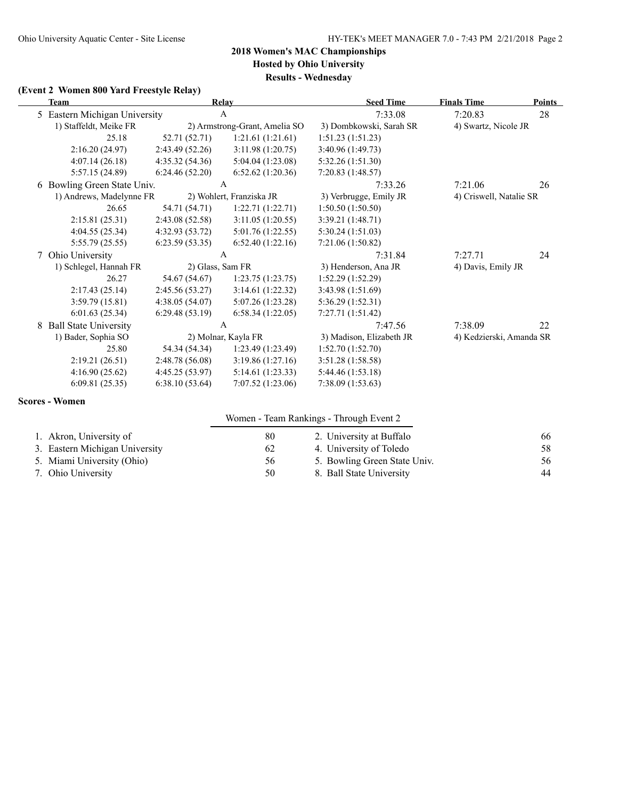# **2018 Women's MAC Championships**

**Hosted by Ohio University**

**Results - Wednesday**

## **(Event 2 Women 800 Yard Freestyle Relay)**

| Team                          |                  | <b>Relay</b>                  | <b>Seed Time</b>         | <b>Finals Time</b>       | <b>Points</b> |
|-------------------------------|------------------|-------------------------------|--------------------------|--------------------------|---------------|
| 5 Eastern Michigan University |                  | $\mathbf{A}$                  | 7:33.08                  | 7:20.83                  | 28            |
| 1) Staffeldt, Meike FR        |                  | 2) Armstrong-Grant, Amelia SO | 3) Dombkowski, Sarah SR  | 4) Swartz, Nicole JR     |               |
| 25.18                         | 52.71 (52.71)    | 1:21.61(1:21.61)              | 1:51.23(1:51.23)         |                          |               |
| 2:16.20(24.97)                | 2:43.49(52.26)   | 3:11.98(1:20.75)              | 3:40.96 (1:49.73)        |                          |               |
| 4:07.14(26.18)                | 4:35.32(54.36)   | 5:04.04 (1:23.08)             | 5:32.26 (1:51.30)        |                          |               |
| 5:57.15(24.89)                | 6:24.46(52.20)   | 6:52.62(1:20.36)              | 7:20.83 (1:48.57)        |                          |               |
| 6 Bowling Green State Univ.   |                  | А                             | 7:33.26                  | 7:21.06                  | 26            |
| 1) Andrews, Madelynne FR      |                  | 2) Wohlert, Franziska JR      | 3) Verbrugge, Emily JR   | 4) Criswell, Natalie SR  |               |
| 26.65                         | 54.71 (54.71)    | 1:22.71(1:22.71)              | 1:50.50(1:50.50)         |                          |               |
| 2:15.81(25.31)                | 2:43.08(52.58)   | 3:11.05(1:20.55)              | 3:39.21 (1:48.71)        |                          |               |
| 4:04.55(25.34)                | 4:32.93(53.72)   | 5:01.76 (1:22.55)             | 5:30.24 (1:51.03)        |                          |               |
| 5:55.79(25.55)                | 6:23.59(53.35)   | 6:52.40(1:22.16)              | 7:21.06 (1:50.82)        |                          |               |
| 7 Ohio University             |                  | Α                             | 7:31.84                  | 7:27.71                  | 24            |
| 1) Schlegel, Hannah FR        | 2) Glass, Sam FR |                               | 3) Henderson, Ana JR     | 4) Davis, Emily JR       |               |
| 26.27                         | 54.67 (54.67)    | 1:23.75(1:23.75)              | 1:52.29(1:52.29)         |                          |               |
| 2:17.43(25.14)                | 2:45.56(53.27)   | 3:14.61(1:22.32)              | 3:43.98 (1:51.69)        |                          |               |
| 3:59.79(15.81)                | 4:38.05(54.07)   | 5:07.26 (1:23.28)             | 5:36.29 (1:52.31)        |                          |               |
| 6:01.63(25.34)                | 6:29.48(53.19)   | 6:58.34(1:22.05)              | 7:27.71 (1:51.42)        |                          |               |
| 8 Ball State University       |                  | A                             | 7:47.56                  | 7:38.09                  | 22            |
| 1) Bader, Sophia SO           |                  | 2) Molnar, Kayla FR           | 3) Madison, Elizabeth JR | 4) Kedzierski, Amanda SR |               |
| 25.80                         | 54.34 (54.34)    | 1:23.49(1:23.49)              | 1:52.70(1:52.70)         |                          |               |
| 2:19.21(26.51)                | 2:48.78(56.08)   | 3:19.86(1:27.16)              | 3:51.28 (1:58.58)        |                          |               |
| 4:16.90(25.62)                | 4:45.25(53.97)   | 5:14.61 (1:23.33)             | 5:44.46 (1:53.18)        |                          |               |
| 6:09.81(25.35)                | 6:38.10(53.64)   | 7:07.52(1:23.06)              | 7:38.09(1:53.63)         |                          |               |

### **Scores - Women**

|  | Women - Team Rankings - Through Event 2 |  |
|--|-----------------------------------------|--|
|  |                                         |  |

| 1. Akron, University of        | 80 | 2. University at Buffalo     | -66 |
|--------------------------------|----|------------------------------|-----|
| 3. Eastern Michigan University | 62 | 4. University of Toledo      | 58  |
| 5. Miami University (Ohio)     | 56 | 5. Bowling Green State Univ. | 56  |
| 7. Ohio University             | 50 | 8. Ball State University     | 44  |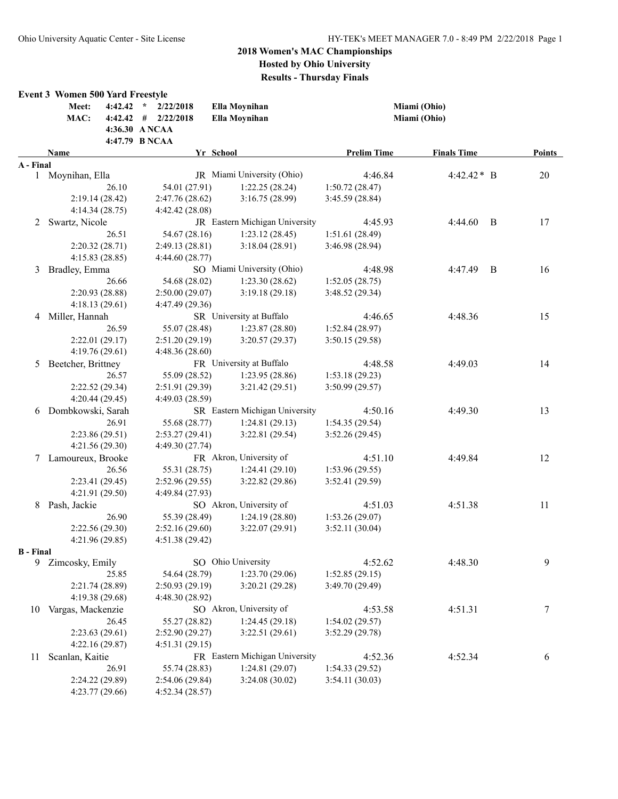**Results - Thursday Finals**

|                  | <b>Event 3 Women 500 Yard Freestyle</b> |                                           |                                |                    |                    |   |               |
|------------------|-----------------------------------------|-------------------------------------------|--------------------------------|--------------------|--------------------|---|---------------|
|                  | Meet:<br>4:42.42                        | $\star$<br>2/22/2018                      | Ella Moynihan                  |                    | Miami (Ohio)       |   |               |
|                  | MAC:                                    | $4:42.42$ # $2/22/2018$<br>4:36.30 A NCAA | Ella Moynihan                  |                    | Miami (Ohio)       |   |               |
|                  | Name                                    | 4:47.79 B NCAA                            | Yr School                      | <b>Prelim Time</b> | <b>Finals Time</b> |   | <b>Points</b> |
| A - Final        |                                         |                                           |                                |                    |                    |   |               |
|                  | 1 Moynihan, Ella                        |                                           | JR Miami University (Ohio)     | 4:46.84            | $4:42.42*$ B       |   | 20            |
|                  | 26.10                                   | 54.01 (27.91)                             | 1:22.25(28.24)                 | 1:50.72(28.47)     |                    |   |               |
|                  | 2:19.14(28.42)                          | 2:47.76 (28.62)                           | 3:16.75(28.99)                 | 3:45.59 (28.84)    |                    |   |               |
|                  | 4:14.34(28.75)                          | 4:42.42 (28.08)                           |                                |                    |                    |   |               |
| 2                | Swartz, Nicole                          |                                           | JR Eastern Michigan University | 4:45.93            | 4:44.60            | B | 17            |
|                  | 26.51                                   | 54.67 (28.16)                             | 1:23.12(28.45)                 | 1:51.61(28.49)     |                    |   |               |
|                  | 2:20.32(28.71)                          | 2:49.13(28.81)                            | 3:18.04(28.91)                 | 3:46.98 (28.94)    |                    |   |               |
|                  | 4:15.83(28.85)                          | 4:44.60(28.77)                            |                                |                    |                    |   |               |
| 3                | Bradley, Emma                           |                                           | SO Miami University (Ohio)     | 4:48.98            | 4:47.49            | B | 16            |
|                  | 26.66                                   | 54.68 (28.02)                             | 1:23.30(28.62)                 | 1:52.05(28.75)     |                    |   |               |
|                  | 2:20.93(28.88)                          | 2:50.00(29.07)                            | 3:19.18(29.18)                 | 3:48.52 (29.34)    |                    |   |               |
|                  | 4:18.13(29.61)                          | 4:47.49 (29.36)                           |                                |                    |                    |   |               |
| 4                | Miller, Hannah                          |                                           | SR University at Buffalo       | 4:46.65            | 4:48.36            |   | 15            |
|                  | 26.59                                   | 55.07 (28.48)                             | 1:23.87(28.80)                 | 1:52.84(28.97)     |                    |   |               |
|                  | 2:22.01(29.17)                          | 2:51.20(29.19)                            | 3:20.57(29.37)                 | 3:50.15(29.58)     |                    |   |               |
|                  | 4:19.76(29.61)                          | 4:48.36 (28.60)                           |                                |                    |                    |   |               |
|                  | 5 Beetcher, Brittney                    |                                           | FR University at Buffalo       | 4:48.58            | 4:49.03            |   | 14            |
|                  | 26.57                                   | 55.09 (28.52)                             | 1:23.95(28.86)                 | 1:53.18(29.23)     |                    |   |               |
|                  | 2:22.52(29.34)                          | 2:51.91 (29.39)                           | 3:21.42(29.51)                 | 3:50.99(29.57)     |                    |   |               |
|                  | 4:20.44(29.45)                          | 4:49.03 (28.59)                           |                                |                    |                    |   |               |
| 6                | Dombkowski, Sarah                       |                                           | SR Eastern Michigan University | 4:50.16            | 4:49.30            |   | 13            |
|                  | 26.91                                   | 55.68 (28.77)                             | 1:24.81(29.13)                 | 1:54.35(29.54)     |                    |   |               |
|                  | 2:23.86 (29.51)                         | 2:53.27(29.41)                            | 3:22.81(29.54)                 | 3:52.26(29.45)     |                    |   |               |
|                  | 4:21.56(29.30)                          | 4:49.30 (27.74)                           |                                |                    |                    |   |               |
| 7                | Lamoureux, Brooke                       |                                           | FR Akron, University of        | 4:51.10            | 4:49.84            |   | 12            |
|                  | 26.56                                   | 55.31 (28.75)                             | 1:24.41(29.10)                 | 1:53.96(29.55)     |                    |   |               |
|                  | 2:23.41(29.45)                          | 2:52.96(29.55)                            | 3:22.82(29.86)                 | 3:52.41(29.59)     |                    |   |               |
|                  | 4:21.91 (29.50)                         | 4:49.84 (27.93)                           |                                |                    |                    |   |               |
| 8                | Pash, Jackie                            |                                           | SO Akron, University of        | 4:51.03            | 4:51.38            |   | 11            |
|                  | 26.90                                   | 55.39 (28.49)                             | 1:24.19(28.80)                 | 1:53.26(29.07)     |                    |   |               |
|                  | 2:22.56 (29.30)                         | 2:52.16(29.60)                            | 3:22.07(29.91)                 | 3:52.11(30.04)     |                    |   |               |
|                  | 4:21.96 (29.85)                         | 4:51.38 (29.42)                           |                                |                    |                    |   |               |
| <b>B</b> - Final |                                         |                                           |                                |                    |                    |   |               |
|                  | 9 Zimcosky, Emily                       |                                           | SO Ohio University             | 4:52.62            | 4:48.30            |   | 9             |
|                  | 25.85                                   | 54.64 (28.79)                             | 1:23.70(29.06)                 | 1:52.85(29.15)     |                    |   |               |
|                  | 2:21.74 (28.89)                         | 2:50.93(29.19)                            | 3:20.21(29.28)                 | 3:49.70 (29.49)    |                    |   |               |
|                  | 4:19.38(29.68)                          | 4:48.30(28.92)                            |                                |                    |                    |   |               |
| 10               | Vargas, Mackenzie                       |                                           | SO Akron, University of        | 4:53.58            | 4:51.31            |   | 7             |
|                  | 26.45                                   | 55.27 (28.82)                             | 1:24.45(29.18)                 | 1:54.02(29.57)     |                    |   |               |
|                  | 2:23.63(29.61)                          | 2:52.90(29.27)                            | 3:22.51(29.61)                 | 3:52.29 (29.78)    |                    |   |               |
|                  | 4:22.16(29.87)                          | 4:51.31(29.15)                            |                                |                    |                    |   |               |
| 11               | Scanlan, Kaitie                         |                                           | FR Eastern Michigan University | 4:52.36            | 4:52.34            |   | 6             |
|                  | 26.91                                   | 55.74 (28.83)                             | 1:24.81(29.07)                 | 1:54.33(29.52)     |                    |   |               |
|                  | 2:24.22 (29.89)                         | 2:54.06 (29.84)                           | 3:24.08(30.02)                 | 3:54.11(30.03)     |                    |   |               |
|                  | 4:23.77 (29.66)                         | 4:52.34(28.57)                            |                                |                    |                    |   |               |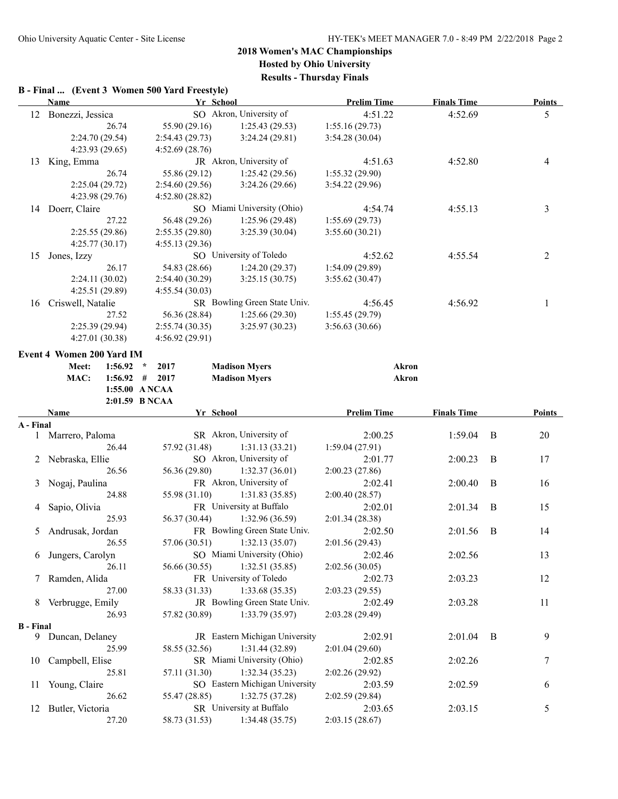**Results - Thursday Finals**

#### **B - Final ... (Event 3 Women 500 Yard Freestyle)**

|                  | <b>Name</b>               |         |                 | Yr School                      | <b>Prelim Time</b> | <b>Finals Time</b> |   | <b>Points</b> |
|------------------|---------------------------|---------|-----------------|--------------------------------|--------------------|--------------------|---|---------------|
|                  | 12 Bonezzi, Jessica       |         |                 | SO Akron, University of        | 4:51.22            | 4:52.69            |   | 5             |
|                  |                           | 26.74   | 55.90 (29.16)   | 1:25.43(29.53)                 | 1:55.16(29.73)     |                    |   |               |
|                  | 2:24.70 (29.54)           |         | 2:54.43(29.73)  | 3:24.24(29.81)                 | 3:54.28(30.04)     |                    |   |               |
|                  | 4:23.93 (29.65)           |         | 4:52.69(28.76)  |                                |                    |                    |   |               |
| 13               | King, Emma                |         |                 | JR Akron, University of        | 4:51.63            | 4:52.80            |   | 4             |
|                  |                           | 26.74   | 55.86 (29.12)   | 1:25.42(29.56)                 | 1:55.32(29.90)     |                    |   |               |
|                  | 2:25.04 (29.72)           |         | 2:54.60(29.56)  | 3:24.26 (29.66)                | 3:54.22 (29.96)    |                    |   |               |
|                  | 4:23.98 (29.76)           |         | 4:52.80(28.82)  |                                |                    |                    |   |               |
| 14               | Doerr, Claire             |         |                 | SO Miami University (Ohio)     | 4:54.74            | 4:55.13            |   | 3             |
|                  |                           | 27.22   | 56.48 (29.26)   | 1:25.96(29.48)                 | 1:55.69(29.73)     |                    |   |               |
|                  | 2:25.55 (29.86)           |         | 2:55.35(29.80)  | 3:25.39(30.04)                 | 3:55.60(30.21)     |                    |   |               |
|                  | 4:25.77(30.17)            |         | 4:55.13(29.36)  |                                |                    |                    |   |               |
|                  |                           |         |                 | SO University of Toledo        |                    | 4:55.54            |   |               |
| 15               | Jones, Izzy               |         |                 |                                | 4:52.62            |                    |   | 2             |
|                  |                           | 26.17   | 54.83 (28.66)   | 1:24.20(29.37)                 | 1:54.09(29.89)     |                    |   |               |
|                  | 2:24.11 (30.02)           |         | 2:54.40(30.29)  | 3:25.15(30.75)                 | 3:55.62(30.47)     |                    |   |               |
|                  | 4:25.51(29.89)            |         | 4:55.54(30.03)  |                                |                    |                    |   |               |
| 16               | Criswell, Natalie         |         |                 | SR Bowling Green State Univ.   | 4:56.45            | 4:56.92            |   | 1             |
|                  |                           | 27.52   | 56.36 (28.84)   | 1:25.66(29.30)                 | 1:55.45(29.79)     |                    |   |               |
|                  | 2:25.39 (29.94)           |         | 2:55.74(30.35)  | 3:25.97(30.23)                 | 3:56.63(30.66)     |                    |   |               |
|                  | 4:27.01 (30.38)           |         | 4:56.92(29.91)  |                                |                    |                    |   |               |
|                  | Event 4 Women 200 Yard IM |         |                 |                                |                    |                    |   |               |
|                  | Meet:                     | 1:56.92 | 2017<br>$\star$ | <b>Madison Myers</b>           | Akron              |                    |   |               |
|                  | MAC:                      | 1:56.92 | 2017<br>#       | <b>Madison Myers</b>           | <b>Akron</b>       |                    |   |               |
|                  |                           |         | 1:55.00 ANCAA   |                                |                    |                    |   |               |
|                  |                           |         | 2:01.59 B NCAA  |                                |                    |                    |   |               |
|                  | Name                      |         |                 | Yr School                      | <b>Prelim Time</b> | <b>Finals Time</b> |   | Points        |
| A - Final        |                           |         |                 |                                |                    |                    |   |               |
|                  | 1 Marrero, Paloma         |         |                 | SR Akron, University of        | 2:00.25            | 1:59.04            | B | 20            |
|                  |                           | 26.44   | 57.92 (31.48)   | 1:31.13 (33.21)                | 1:59.04(27.91)     |                    |   |               |
| 2                | Nebraska, Ellie           |         |                 | SO Akron, University of        | 2:01.77            | 2:00.23            | B | 17            |
|                  |                           | 26.56   | 56.36 (29.80)   | 1:32.37(36.01)                 | 2:00.23(27.86)     |                    |   |               |
| 3                | Nogaj, Paulina            |         |                 | FR Akron, University of        | 2:02.41            | 2:00.40            | B | 16            |
|                  |                           | 24.88   | 55.98 (31.10)   | 1:31.83(35.85)                 | 2:00.40(28.57)     |                    |   |               |
|                  | Sapio, Olivia             |         |                 | FR University at Buffalo       | 2:02.01            | 2:01.34            | B | 15            |
|                  |                           | 25.93   | 56.37 (30.44)   | 1:32.96 (36.59)                | 2:01.34 (28.38)    |                    |   |               |
| 5                | Andrusak, Jordan          |         |                 | FR Bowling Green State Univ.   | 2:02.50            | 2:01.56            | B | 14            |
|                  |                           | 26.55   | 57.06 (30.51)   | 1:32.13(35.07)                 | 2:01.56(29.43)     |                    |   |               |
|                  |                           |         |                 | SO Miami University (Ohio)     | 2:02.46            | 2:02.56            |   | 13            |
| 6                | Jungers, Carolyn          |         |                 |                                |                    |                    |   |               |
|                  |                           | 26.11   | 56.66 (30.55)   | 1:32.51(35.85)                 | 2:02.56(30.05)     |                    |   |               |
|                  | 7 Ramden, Alida           |         |                 | FR University of Toledo        | 2:02.73            | 2:03.23            |   | 12            |
|                  |                           | 27.00   | 58.33 (31.33)   | 1:33.68(35.35)                 | 2:03.23(29.55)     |                    |   |               |
|                  | 8 Verbrugge, Emily        |         |                 | JR Bowling Green State Univ.   | 2:02.49            | 2:03.28            |   | 11            |
|                  |                           | 26.93   | 57.82 (30.89)   | 1:33.79(35.97)                 | 2:03.28(29.49)     |                    |   |               |
| <b>B</b> - Final |                           |         |                 | JR Eastern Michigan University |                    |                    |   |               |
|                  | 9 Duncan, Delaney         |         |                 |                                | 2:02.91            | 2:01.04            | B | 9             |
|                  |                           | 25.99   | 58.55 (32.56)   | 1:31.44 (32.89)                | 2:01.04(29.60)     |                    |   |               |
| 10               | Campbell, Elise           |         |                 | SR Miami University (Ohio)     | 2:02.85            | 2:02.26            |   | 7             |
|                  |                           | 25.81   | 57.11 (31.30)   | 1:32.34(35.23)                 | 2:02.26 (29.92)    |                    |   |               |
| 11               | Young, Claire             |         |                 | SO Eastern Michigan University | 2:03.59            | 2:02.59            |   | 6             |
|                  |                           | 26.62   | 55.47 (28.85)   | 1:32.75(37.28)                 | 2:02.59(29.84)     |                    |   |               |
|                  | 12 Butler, Victoria       |         |                 | SR University at Buffalo       | 2:03.65            | 2:03.15            |   | 5             |
|                  |                           | 27.20   | 58.73 (31.53)   | 1:34.48(35.75)                 | 2:03.15 (28.67)    |                    |   |               |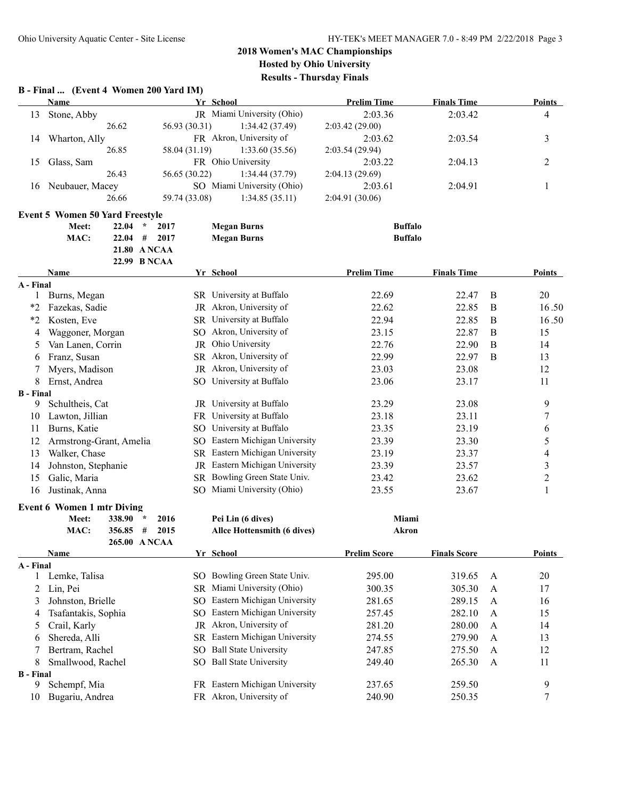|                  | B - Final  (Event 4 Women 200 Yard IM)               |                 |                                |                     |                     |              |                  |
|------------------|------------------------------------------------------|-----------------|--------------------------------|---------------------|---------------------|--------------|------------------|
|                  | Name                                                 |                 | Yr School                      | <b>Prelim Time</b>  | <b>Finals Time</b>  |              | <b>Points</b>    |
| 13               | Stone, Abby                                          |                 | JR Miami University (Ohio)     | 2:03.36             | 2:03.42             |              | 4                |
|                  | 26.62                                                | 56.93 (30.31)   | 1:34.42 (37.49)                | 2:03.42 (29.00)     |                     |              |                  |
| 14               | Wharton, Ally                                        |                 | FR Akron, University of        | 2:03.62             | 2:03.54             |              | 3                |
|                  | 26.85                                                | 58.04 (31.19)   | 1:33.60(35.56)                 | 2:03.54 (29.94)     |                     |              |                  |
| 15               | Glass, Sam                                           |                 | FR Ohio University             | 2:03.22             | 2:04.13             |              | 2                |
|                  | 26.43                                                | 56.65 (30.22)   | 1:34.44 (37.79)                | 2:04.13 (29.69)     |                     |              |                  |
| 16               | Neubauer, Macey                                      |                 | SO Miami University (Ohio)     | 2:03.61             | 2:04.91             |              | 1                |
|                  | 26.66                                                | 59.74 (33.08)   | 1:34.85(35.11)                 | 2:04.91 (30.06)     |                     |              |                  |
|                  | <b>Event 5 Women 50 Yard Freestyle</b>               |                 |                                |                     |                     |              |                  |
|                  | 22.04<br>Meet:                                       | 2017<br>$\star$ | <b>Megan Burns</b>             | <b>Buffalo</b>      |                     |              |                  |
|                  | MAC:<br>22.04                                        | #<br>2017       | <b>Megan Burns</b>             | <b>Buffalo</b>      |                     |              |                  |
|                  |                                                      | 21.80 A NCAA    |                                |                     |                     |              |                  |
|                  |                                                      | 22.99 B NCAA    |                                |                     |                     |              |                  |
|                  | Name                                                 |                 | Yr School                      | <b>Prelim Time</b>  | <b>Finals Time</b>  |              | <b>Points</b>    |
| A - Final<br>1   | Burns, Megan                                         |                 | SR University at Buffalo       | 22.69               | 22.47               | B            | 20               |
| $*_{2}$          | Fazekas, Sadie                                       |                 | JR Akron, University of        | 22.62               | 22.85               | B            | 16.50            |
| $*_{2}$          | Kosten, Eve                                          |                 | SR University at Buffalo       | 22.94               | 22.85               | B            | 16.50            |
|                  | Waggoner, Morgan                                     |                 | SO Akron, University of        | 23.15               | 22.87               | $\, {\bf B}$ | 15               |
| 4                | Van Lanen, Corrin                                    | JR              | Ohio University                | 22.76               | 22.90               | $\, {\bf B}$ | 14               |
| 5                | Franz, Susan                                         |                 | SR Akron, University of        | 22.99               | 22.97               | B            | 13               |
| 6                |                                                      |                 | JR Akron, University of        | 23.03               | 23.08               |              | 12               |
| 8                | Myers, Madison<br>Ernst, Andrea                      |                 | SO University at Buffalo       | 23.06               | 23.17               |              | 11               |
| <b>B</b> - Final |                                                      |                 |                                |                     |                     |              |                  |
| 9                | Schultheis, Cat                                      |                 | JR University at Buffalo       | 23.29               | 23.08               |              | 9                |
| 10               | Lawton, Jillian                                      |                 | FR University at Buffalo       | 23.18               | 23.11               |              | $\tau$           |
| 11               | Burns, Katie                                         |                 | SO University at Buffalo       | 23.35               | 23.19               |              | 6                |
| 12               | Armstrong-Grant, Amelia                              |                 | SO Eastern Michigan University | 23.39               | 23.30               |              | 5                |
| 13               | Walker, Chase                                        |                 | SR Eastern Michigan University | 23.19               | 23.37               |              | $\overline{4}$   |
| 14               | Johnston, Stephanie                                  |                 | JR Eastern Michigan University | 23.39               | 23.57               |              | $\mathfrak{Z}$   |
| 15               | Galic, Maria                                         |                 | SR Bowling Green State Univ.   | 23.42               | 23.62               |              | $\boldsymbol{2}$ |
| 16               | Justinak, Anna                                       |                 | SO Miami University (Ohio)     | 23.55               | 23.67               |              | $\mathbf{1}$     |
|                  |                                                      |                 |                                |                     |                     |              |                  |
|                  | <b>Event 6 Women 1 mtr Diving</b><br>338.90<br>Meet: | $\star$<br>2016 | Pei Lin (6 dives)              | Miami               |                     |              |                  |
|                  | MAC:<br>356.85                                       | #<br>2015       |                                | <b>Akron</b>        |                     |              |                  |
|                  |                                                      | 265.00 ANCAA    | Allce Hottensmith (6 dives)    |                     |                     |              |                  |
|                  | Name                                                 |                 | Yr School                      | <b>Prelim Score</b> | <b>Finals Score</b> |              | <b>Points</b>    |
| A - Final        |                                                      |                 |                                |                     |                     |              |                  |
| 1                | Lemke, Talisa                                        |                 | SO Bowling Green State Univ.   | 295.00              | 319.65              | A            | 20               |
| 2                | Lin, Pei                                             | SR              | Miami University (Ohio)        | 300.35              | 305.30              | $\mathbf{A}$ | 17               |
| 3                | Johnston, Brielle                                    | SO.             | Eastern Michigan University    | 281.65              | 289.15              | A            | 16               |
| 4                | Tsafantakis, Sophia                                  | SO.             | Eastern Michigan University    | 257.45              | 282.10              | A            | 15               |
| 5                | Crail, Karly                                         | JR              | Akron, University of           | 281.20              | 280.00              | A            | 14               |
| 6                | Shereda, Alli                                        | <b>SR</b>       | Eastern Michigan University    | 274.55              | 279.90              | A            | 13               |
| 7                | Bertram, Rachel                                      | SO <sub>1</sub> | <b>Ball State University</b>   | 247.85              | 275.50              | A            | 12               |
| 8                | Smallwood, Rachel                                    | SO.             | <b>Ball State University</b>   | 249.40              | 265.30              | A            | 11               |
| <b>B</b> - Final |                                                      |                 |                                |                     |                     |              |                  |
| 9                | Schempf, Mia                                         |                 | FR Eastern Michigan University | 237.65              | 259.50              |              | 9                |
| 10               | Bugariu, Andrea                                      |                 | FR Akron, University of        | 240.90              | 250.35              |              | 7                |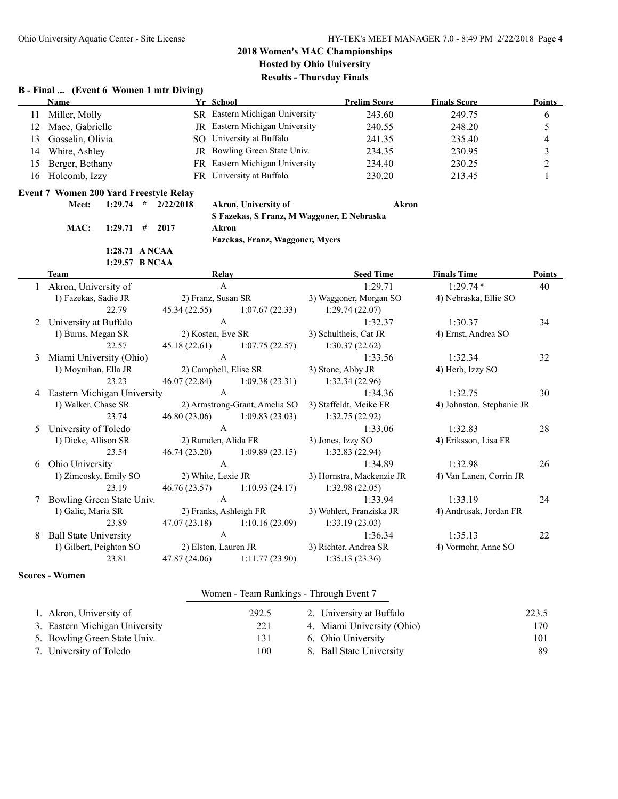|    | B - Final  (Event 6 Women 1 mtr Diving)       |                                   |                                            |                           |                           |                |
|----|-----------------------------------------------|-----------------------------------|--------------------------------------------|---------------------------|---------------------------|----------------|
|    | <b>Name</b>                                   |                                   | Yr School                                  | <b>Prelim Score</b>       | <b>Finals Score</b>       | <b>Points</b>  |
| 11 | Miller, Molly                                 |                                   | SR Eastern Michigan University             | 243.60                    | 249.75                    | 6              |
| 12 | Mace, Gabrielle                               |                                   | JR Eastern Michigan University             | 240.55                    | 248.20                    | 5              |
| 13 | Gosselin, Olivia                              |                                   | SO University at Buffalo                   | 241.35                    | 235.40                    | $\overline{4}$ |
| 14 | White, Ashley                                 |                                   | JR Bowling Green State Univ.               | 234.35                    | 230.95                    | $\mathfrak{Z}$ |
| 15 | Berger, Bethany                               |                                   | FR Eastern Michigan University             | 234.40                    | 230.25                    | $\overline{c}$ |
| 16 | Holcomb, Izzy                                 |                                   | FR University at Buffalo                   | 230.20                    | 213.45                    | $\mathbf{1}$   |
|    | <b>Event 7 Women 200 Yard Freestyle Relay</b> |                                   |                                            |                           |                           |                |
|    | 1:29.74<br>$\star$<br>Meet:                   | 2/22/2018                         | Akron, University of                       | <b>Akron</b>              |                           |                |
|    |                                               |                                   | S Fazekas, S Franz, M Waggoner, E Nebraska |                           |                           |                |
|    | MAC:<br>$1:29.71$ # 2017                      |                                   | <b>Akron</b>                               |                           |                           |                |
|    |                                               |                                   | Fazekas, Franz, Waggoner, Myers            |                           |                           |                |
|    | 1:28.71 ANCAA                                 |                                   |                                            |                           |                           |                |
|    | 1:29.57 B NCAA                                |                                   |                                            |                           |                           |                |
|    | Team                                          |                                   | Relay                                      | <b>Seed Time</b>          | <b>Finals Time</b>        | Points         |
|    | 1 Akron, University of                        |                                   | $\mathbf{A}$                               | 1:29.71                   | $1:29.74*$                | 40             |
|    | 1) Fazekas, Sadie JR                          |                                   | 2) Franz, Susan SR                         | 3) Waggoner, Morgan SO    | 4) Nebraska, Ellie SO     |                |
| 2  | 22.79                                         | 45.34 (22.55)                     | 1:07.67(22.33)                             | 1:29.74(22.07)            |                           |                |
|    | University at Buffalo                         | $\mathbf{A}$<br>2) Kosten, Eve SR |                                            | 1:32.37                   | 1:30.37                   | 34             |
|    | 1) Burns, Megan SR<br>22.57                   |                                   |                                            | 3) Schultheis, Cat JR     | 4) Ernst, Andrea SO       |                |
|    | Miami University (Ohio)                       | 45.18 (22.61)                     | 1:07.75(22.57)<br>A                        | 1:30.37(22.62)<br>1:33.56 | 1:32.34                   | 32             |
| 3  | 1) Moynihan, Ella JR                          |                                   | 2) Campbell, Elise SR                      | 3) Stone, Abby JR         | 4) Herb, Izzy SO          |                |
|    | 23.23                                         | 46.07 (22.84)                     | 1:09.38(23.31)                             | 1:32.34 (22.96)           |                           |                |
| 4  | Eastern Michigan University                   |                                   | $\mathbf{A}$                               | 1:34.36                   | 1:32.75                   | 30             |
|    | 1) Walker, Chase SR                           |                                   | 2) Armstrong-Grant, Amelia SO              | 3) Staffeldt, Meike FR    | 4) Johnston, Stephanie JR |                |
|    | 23.74                                         | 46.80 (23.06)                     | 1:09.83(23.03)                             | 1:32.75 (22.92)           |                           |                |
| 5  | University of Toledo                          |                                   | A                                          | 1:33.06                   | 1:32.83                   | 28             |
|    | 1) Dicke, Allison SR                          |                                   | 2) Ramden, Alida FR                        | 3) Jones, Izzy SO         | 4) Eriksson, Lisa FR      |                |
|    | 23.54                                         | 46.74 (23.20)                     | 1:09.89(23.15)                             | 1:32.83 (22.94)           |                           |                |
| 6  | Ohio University                               |                                   | $\mathbf{A}$                               | 1:34.89                   | 1:32.98                   | 26             |
|    | 1) Zimcosky, Emily SO                         |                                   | 2) White, Lexie JR                         | 3) Hornstra, Mackenzie JR | 4) Van Lanen, Corrin JR   |                |
|    | 23.19                                         | 46.76 (23.57)                     | 1:10.93(24.17)                             | 1:32.98(22.05)            |                           |                |
| 7  | Bowling Green State Univ.                     |                                   | $\mathbf{A}$                               | 1:33.94                   | 1:33.19                   | 24             |
|    | 1) Galic, Maria SR                            |                                   | 2) Franks, Ashleigh FR                     | 3) Wohlert, Franziska JR  | 4) Andrusak, Jordan FR    |                |
|    | 23.89                                         | 47.07(23.18)                      | 1:10.16(23.09)                             | 1:33.19(23.03)            |                           |                |
| 8  | <b>Ball State University</b>                  |                                   | $\boldsymbol{\mathsf{A}}$                  | 1:36.34                   | 1:35.13                   | 22             |
|    | 1) Gilbert, Peighton SO                       |                                   | 2) Elston, Lauren JR                       | 3) Richter, Andrea SR     | 4) Vormohr, Anne SO       |                |
|    | 23.81                                         | 47.87 (24.06)                     | 1:11.77(23.90)                             | 1:35.13(23.36)            |                           |                |

#### **Scores - Women**

|                                |       | Women - Team Rankings - Through Event 7 |       |
|--------------------------------|-------|-----------------------------------------|-------|
| 1. Akron, University of        | 292.5 | 2. University at Buffalo                | 223.5 |
| 3. Eastern Michigan University | 221   | 4. Miami University (Ohio)              | 170   |
| 5. Bowling Green State Univ.   | 131   | 6. Ohio University                      | 101   |
| 7. University of Toledo        | 100   | 8. Ball State University                | 89    |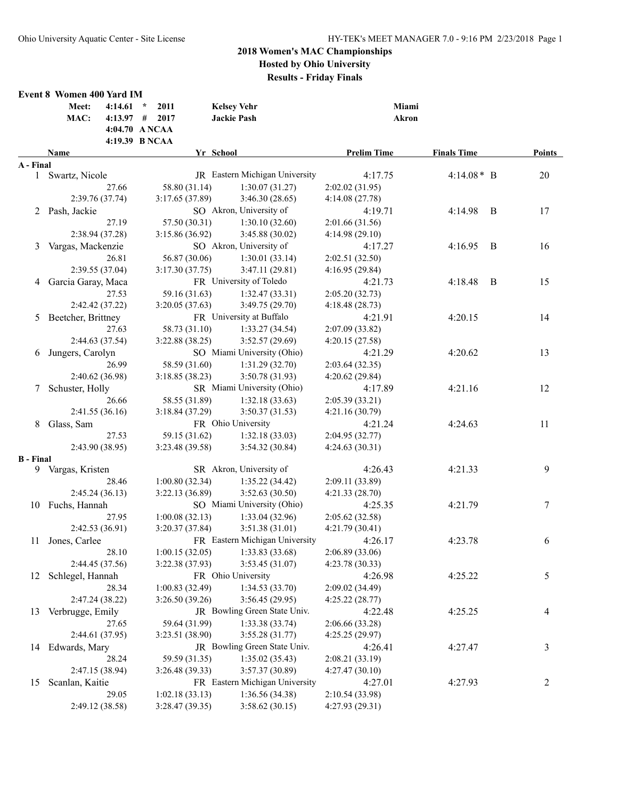**Results - Friday Finals**

| $4:14.61$ *<br>2011<br><b>Kelsey Vehr</b><br>Miami<br>Meet:<br>MAC:<br>$4:13.97$ #<br>2017<br><b>Jackie Pash</b><br><b>Akron</b><br>4:04.70 A NCAA<br>4:19.39 B NCAA<br>Yr School<br><b>Prelim Time</b><br><b>Finals Time</b><br>Points<br>Name<br>A - Final<br>1 Swartz, Nicole<br>JR Eastern Michigan University<br>20<br>4:17.75<br>$4:14.08*$ B<br>58.80 (31.14)<br>1:30.07(31.27)<br>27.66<br>2:02.02 (31.95)<br>2:39.76 (37.74)<br>3:17.65(37.89)<br>3:46.30(28.65)<br>4:14.08 (27.78)<br>SO Akron, University of<br>17<br>2 Pash, Jackie<br>4:19.71<br>4:14.98<br>- B<br>27.19<br>57.50 (30.31)<br>2:01.66 (31.56)<br>1:30.10(32.60)<br>2:38.94 (37.28)<br>3:15.86 (36.92)<br>3:45.88 (30.02)<br>4:14.98(29.10)<br>SO Akron, University of<br>Vargas, Mackenzie<br>4:17.27<br>4:16.95<br>B<br>16<br>3<br>26.81<br>56.87 (30.06)<br>1:30.01(33.14)<br>2:02.51(32.50)<br>2:39.55 (37.04)<br>3:17.30(37.75)<br>3:47.11 (29.81)<br>4:16.95(29.84)<br>FR University of Toledo<br>15<br>Garcia Garay, Maca<br>4:21.73<br>4:18.48<br>B<br>4<br>27.53<br>59.16 (31.63)<br>1:32.47(33.31)<br>2:05.20(32.73)<br>2:42.42 (37.22)<br>3:20.05(37.63)<br>3:49.75 (29.70)<br>4:18.48(28.73)<br>FR University at Buffalo<br>Beetcher, Brittney<br>4:20.15<br>14<br>4:21.91<br>5<br>27.63<br>58.73 (31.10)<br>1:33.27(34.54)<br>2:07.09 (33.82)<br>2:44.63 (37.54)<br>3:22.88(38.25)<br>3:52.57(29.69)<br>4:20.15(27.58)<br>SO Miami University (Ohio)<br>13<br>Jungers, Carolyn<br>4:21.29<br>4:20.62<br>6<br>26.99<br>58.59 (31.60)<br>1:31.29(32.70)<br>2:03.64(32.35)<br>2:40.62 (36.98)<br>3:18.85(38.23)<br>3:50.78 (31.93)<br>4:20.62(29.84)<br>SR Miami University (Ohio)<br>12<br>Schuster, Holly<br>4:17.89<br>4:21.16<br>7<br>26.66<br>58.55 (31.89)<br>1:32.18(33.63)<br>2:05.39(33.21)<br>2:41.55(36.16)<br>3:18.84(37.29)<br>3:50.37(31.53)<br>4:21.16 (30.79)<br>FR Ohio University<br>11<br>Glass, Sam<br>4:21.24<br>4:24.63<br>8<br>59.15 (31.62)<br>27.53<br>1:32.18(33.03)<br>2:04.95 (32.77)<br>2:43.90 (38.95)<br>3:23.48(39.58)<br>3:54.32(30.84)<br>4:24.63(30.31)<br><b>B</b> - Final<br>SR Akron, University of<br>9<br>4:26.43<br>4:21.33<br>9 Vargas, Kristen<br>28.46<br>1:00.80(32.34)<br>1:35.22(34.42)<br>2:09.11 (33.89)<br>2:45.24(36.13)<br>3:22.13(36.89)<br>3:52.63(30.50)<br>4:21.33(28.70)<br>SO Miami University (Ohio)<br>7<br>10 Fuchs, Hannah<br>4:21.79<br>4:25.35<br>27.95<br>1:00.08(32.13)<br>1:33.04(32.96)<br>2:05.62(32.58)<br>2:42.53(36.91)<br>3:20.37(37.84)<br>3:51.38(31.01)<br>4:21.79 (30.41)<br>Jones, Carlee<br>FR Eastern Michigan University<br>4:26.17<br>4:23.78<br>11<br>6<br>1:33.83(33.68)<br>28.10<br>1:00.15(32.05)<br>2:06.89 (33.06)<br>2:44.45 (37.56)<br>3:22.38(37.93)<br>3:53.45(31.07)<br>4:23.78(30.33)<br>FR Ohio University<br>5<br>Schlegel, Hannah<br>4:26.98<br>4:25.22<br>12<br>1:00.83(32.49)<br>28.34<br>1:34.53(33.70)<br>2:09.02 (34.49)<br>2:47.24 (38.22)<br>3:26.50(39.26)<br>3:56.45(29.95)<br>4:25.22(28.77)<br>JR Bowling Green State Univ.<br>Verbrugge, Emily<br>4:22.48<br>4:25.25<br>4<br>13<br>59.64 (31.99)<br>1:33.38(33.74)<br>27.65<br>2:06.66 (33.28)<br>2:44.61 (37.95)<br>3:23.51 (38.90)<br>3:55.28(31.77)<br>4:25.25 (29.97)<br>JR Bowling Green State Univ.<br>3<br>14 Edwards, Mary<br>4:27.47<br>4:26.41<br>28.24<br>1:35.02(35.43)<br>2:08.21 (33.19)<br>59.59 (31.35)<br>2:47.15 (38.94)<br>3:26.48 (39.33)<br>3:57.37 (30.89)<br>4:27.47(30.10)<br>FR Eastern Michigan University<br>Scanlan, Kaitie<br>4:27.93<br>2<br>4:27.01<br>15<br>1:02.18(33.13)<br>1:36.56(34.38)<br>29.05<br>2:10.54 (33.98) | <b>Event 8 Women 400 Yard IM</b> |                 |                |                 |  |  |
|------------------------------------------------------------------------------------------------------------------------------------------------------------------------------------------------------------------------------------------------------------------------------------------------------------------------------------------------------------------------------------------------------------------------------------------------------------------------------------------------------------------------------------------------------------------------------------------------------------------------------------------------------------------------------------------------------------------------------------------------------------------------------------------------------------------------------------------------------------------------------------------------------------------------------------------------------------------------------------------------------------------------------------------------------------------------------------------------------------------------------------------------------------------------------------------------------------------------------------------------------------------------------------------------------------------------------------------------------------------------------------------------------------------------------------------------------------------------------------------------------------------------------------------------------------------------------------------------------------------------------------------------------------------------------------------------------------------------------------------------------------------------------------------------------------------------------------------------------------------------------------------------------------------------------------------------------------------------------------------------------------------------------------------------------------------------------------------------------------------------------------------------------------------------------------------------------------------------------------------------------------------------------------------------------------------------------------------------------------------------------------------------------------------------------------------------------------------------------------------------------------------------------------------------------------------------------------------------------------------------------------------------------------------------------------------------------------------------------------------------------------------------------------------------------------------------------------------------------------------------------------------------------------------------------------------------------------------------------------------------------------------------------------------------------------------------------------------------------------------------------------------------------------------------------------------------------------------------------------------------------------------------------------------------------------------------------------------------------------------------------------------------------------------------------------------------------------------------------------------------------------------------------------------------------------------------------------------------------------|----------------------------------|-----------------|----------------|-----------------|--|--|
|                                                                                                                                                                                                                                                                                                                                                                                                                                                                                                                                                                                                                                                                                                                                                                                                                                                                                                                                                                                                                                                                                                                                                                                                                                                                                                                                                                                                                                                                                                                                                                                                                                                                                                                                                                                                                                                                                                                                                                                                                                                                                                                                                                                                                                                                                                                                                                                                                                                                                                                                                                                                                                                                                                                                                                                                                                                                                                                                                                                                                                                                                                                                                                                                                                                                                                                                                                                                                                                                                                                                                                                                            |                                  |                 |                |                 |  |  |
|                                                                                                                                                                                                                                                                                                                                                                                                                                                                                                                                                                                                                                                                                                                                                                                                                                                                                                                                                                                                                                                                                                                                                                                                                                                                                                                                                                                                                                                                                                                                                                                                                                                                                                                                                                                                                                                                                                                                                                                                                                                                                                                                                                                                                                                                                                                                                                                                                                                                                                                                                                                                                                                                                                                                                                                                                                                                                                                                                                                                                                                                                                                                                                                                                                                                                                                                                                                                                                                                                                                                                                                                            |                                  |                 |                |                 |  |  |
|                                                                                                                                                                                                                                                                                                                                                                                                                                                                                                                                                                                                                                                                                                                                                                                                                                                                                                                                                                                                                                                                                                                                                                                                                                                                                                                                                                                                                                                                                                                                                                                                                                                                                                                                                                                                                                                                                                                                                                                                                                                                                                                                                                                                                                                                                                                                                                                                                                                                                                                                                                                                                                                                                                                                                                                                                                                                                                                                                                                                                                                                                                                                                                                                                                                                                                                                                                                                                                                                                                                                                                                                            |                                  |                 |                |                 |  |  |
|                                                                                                                                                                                                                                                                                                                                                                                                                                                                                                                                                                                                                                                                                                                                                                                                                                                                                                                                                                                                                                                                                                                                                                                                                                                                                                                                                                                                                                                                                                                                                                                                                                                                                                                                                                                                                                                                                                                                                                                                                                                                                                                                                                                                                                                                                                                                                                                                                                                                                                                                                                                                                                                                                                                                                                                                                                                                                                                                                                                                                                                                                                                                                                                                                                                                                                                                                                                                                                                                                                                                                                                                            |                                  |                 |                |                 |  |  |
|                                                                                                                                                                                                                                                                                                                                                                                                                                                                                                                                                                                                                                                                                                                                                                                                                                                                                                                                                                                                                                                                                                                                                                                                                                                                                                                                                                                                                                                                                                                                                                                                                                                                                                                                                                                                                                                                                                                                                                                                                                                                                                                                                                                                                                                                                                                                                                                                                                                                                                                                                                                                                                                                                                                                                                                                                                                                                                                                                                                                                                                                                                                                                                                                                                                                                                                                                                                                                                                                                                                                                                                                            |                                  |                 |                |                 |  |  |
|                                                                                                                                                                                                                                                                                                                                                                                                                                                                                                                                                                                                                                                                                                                                                                                                                                                                                                                                                                                                                                                                                                                                                                                                                                                                                                                                                                                                                                                                                                                                                                                                                                                                                                                                                                                                                                                                                                                                                                                                                                                                                                                                                                                                                                                                                                                                                                                                                                                                                                                                                                                                                                                                                                                                                                                                                                                                                                                                                                                                                                                                                                                                                                                                                                                                                                                                                                                                                                                                                                                                                                                                            |                                  |                 |                |                 |  |  |
|                                                                                                                                                                                                                                                                                                                                                                                                                                                                                                                                                                                                                                                                                                                                                                                                                                                                                                                                                                                                                                                                                                                                                                                                                                                                                                                                                                                                                                                                                                                                                                                                                                                                                                                                                                                                                                                                                                                                                                                                                                                                                                                                                                                                                                                                                                                                                                                                                                                                                                                                                                                                                                                                                                                                                                                                                                                                                                                                                                                                                                                                                                                                                                                                                                                                                                                                                                                                                                                                                                                                                                                                            |                                  |                 |                |                 |  |  |
|                                                                                                                                                                                                                                                                                                                                                                                                                                                                                                                                                                                                                                                                                                                                                                                                                                                                                                                                                                                                                                                                                                                                                                                                                                                                                                                                                                                                                                                                                                                                                                                                                                                                                                                                                                                                                                                                                                                                                                                                                                                                                                                                                                                                                                                                                                                                                                                                                                                                                                                                                                                                                                                                                                                                                                                                                                                                                                                                                                                                                                                                                                                                                                                                                                                                                                                                                                                                                                                                                                                                                                                                            |                                  |                 |                |                 |  |  |
|                                                                                                                                                                                                                                                                                                                                                                                                                                                                                                                                                                                                                                                                                                                                                                                                                                                                                                                                                                                                                                                                                                                                                                                                                                                                                                                                                                                                                                                                                                                                                                                                                                                                                                                                                                                                                                                                                                                                                                                                                                                                                                                                                                                                                                                                                                                                                                                                                                                                                                                                                                                                                                                                                                                                                                                                                                                                                                                                                                                                                                                                                                                                                                                                                                                                                                                                                                                                                                                                                                                                                                                                            |                                  |                 |                |                 |  |  |
|                                                                                                                                                                                                                                                                                                                                                                                                                                                                                                                                                                                                                                                                                                                                                                                                                                                                                                                                                                                                                                                                                                                                                                                                                                                                                                                                                                                                                                                                                                                                                                                                                                                                                                                                                                                                                                                                                                                                                                                                                                                                                                                                                                                                                                                                                                                                                                                                                                                                                                                                                                                                                                                                                                                                                                                                                                                                                                                                                                                                                                                                                                                                                                                                                                                                                                                                                                                                                                                                                                                                                                                                            |                                  |                 |                |                 |  |  |
|                                                                                                                                                                                                                                                                                                                                                                                                                                                                                                                                                                                                                                                                                                                                                                                                                                                                                                                                                                                                                                                                                                                                                                                                                                                                                                                                                                                                                                                                                                                                                                                                                                                                                                                                                                                                                                                                                                                                                                                                                                                                                                                                                                                                                                                                                                                                                                                                                                                                                                                                                                                                                                                                                                                                                                                                                                                                                                                                                                                                                                                                                                                                                                                                                                                                                                                                                                                                                                                                                                                                                                                                            |                                  |                 |                |                 |  |  |
|                                                                                                                                                                                                                                                                                                                                                                                                                                                                                                                                                                                                                                                                                                                                                                                                                                                                                                                                                                                                                                                                                                                                                                                                                                                                                                                                                                                                                                                                                                                                                                                                                                                                                                                                                                                                                                                                                                                                                                                                                                                                                                                                                                                                                                                                                                                                                                                                                                                                                                                                                                                                                                                                                                                                                                                                                                                                                                                                                                                                                                                                                                                                                                                                                                                                                                                                                                                                                                                                                                                                                                                                            |                                  |                 |                |                 |  |  |
|                                                                                                                                                                                                                                                                                                                                                                                                                                                                                                                                                                                                                                                                                                                                                                                                                                                                                                                                                                                                                                                                                                                                                                                                                                                                                                                                                                                                                                                                                                                                                                                                                                                                                                                                                                                                                                                                                                                                                                                                                                                                                                                                                                                                                                                                                                                                                                                                                                                                                                                                                                                                                                                                                                                                                                                                                                                                                                                                                                                                                                                                                                                                                                                                                                                                                                                                                                                                                                                                                                                                                                                                            |                                  |                 |                |                 |  |  |
|                                                                                                                                                                                                                                                                                                                                                                                                                                                                                                                                                                                                                                                                                                                                                                                                                                                                                                                                                                                                                                                                                                                                                                                                                                                                                                                                                                                                                                                                                                                                                                                                                                                                                                                                                                                                                                                                                                                                                                                                                                                                                                                                                                                                                                                                                                                                                                                                                                                                                                                                                                                                                                                                                                                                                                                                                                                                                                                                                                                                                                                                                                                                                                                                                                                                                                                                                                                                                                                                                                                                                                                                            |                                  |                 |                |                 |  |  |
|                                                                                                                                                                                                                                                                                                                                                                                                                                                                                                                                                                                                                                                                                                                                                                                                                                                                                                                                                                                                                                                                                                                                                                                                                                                                                                                                                                                                                                                                                                                                                                                                                                                                                                                                                                                                                                                                                                                                                                                                                                                                                                                                                                                                                                                                                                                                                                                                                                                                                                                                                                                                                                                                                                                                                                                                                                                                                                                                                                                                                                                                                                                                                                                                                                                                                                                                                                                                                                                                                                                                                                                                            |                                  |                 |                |                 |  |  |
|                                                                                                                                                                                                                                                                                                                                                                                                                                                                                                                                                                                                                                                                                                                                                                                                                                                                                                                                                                                                                                                                                                                                                                                                                                                                                                                                                                                                                                                                                                                                                                                                                                                                                                                                                                                                                                                                                                                                                                                                                                                                                                                                                                                                                                                                                                                                                                                                                                                                                                                                                                                                                                                                                                                                                                                                                                                                                                                                                                                                                                                                                                                                                                                                                                                                                                                                                                                                                                                                                                                                                                                                            |                                  |                 |                |                 |  |  |
|                                                                                                                                                                                                                                                                                                                                                                                                                                                                                                                                                                                                                                                                                                                                                                                                                                                                                                                                                                                                                                                                                                                                                                                                                                                                                                                                                                                                                                                                                                                                                                                                                                                                                                                                                                                                                                                                                                                                                                                                                                                                                                                                                                                                                                                                                                                                                                                                                                                                                                                                                                                                                                                                                                                                                                                                                                                                                                                                                                                                                                                                                                                                                                                                                                                                                                                                                                                                                                                                                                                                                                                                            |                                  |                 |                |                 |  |  |
|                                                                                                                                                                                                                                                                                                                                                                                                                                                                                                                                                                                                                                                                                                                                                                                                                                                                                                                                                                                                                                                                                                                                                                                                                                                                                                                                                                                                                                                                                                                                                                                                                                                                                                                                                                                                                                                                                                                                                                                                                                                                                                                                                                                                                                                                                                                                                                                                                                                                                                                                                                                                                                                                                                                                                                                                                                                                                                                                                                                                                                                                                                                                                                                                                                                                                                                                                                                                                                                                                                                                                                                                            |                                  |                 |                |                 |  |  |
|                                                                                                                                                                                                                                                                                                                                                                                                                                                                                                                                                                                                                                                                                                                                                                                                                                                                                                                                                                                                                                                                                                                                                                                                                                                                                                                                                                                                                                                                                                                                                                                                                                                                                                                                                                                                                                                                                                                                                                                                                                                                                                                                                                                                                                                                                                                                                                                                                                                                                                                                                                                                                                                                                                                                                                                                                                                                                                                                                                                                                                                                                                                                                                                                                                                                                                                                                                                                                                                                                                                                                                                                            |                                  |                 |                |                 |  |  |
|                                                                                                                                                                                                                                                                                                                                                                                                                                                                                                                                                                                                                                                                                                                                                                                                                                                                                                                                                                                                                                                                                                                                                                                                                                                                                                                                                                                                                                                                                                                                                                                                                                                                                                                                                                                                                                                                                                                                                                                                                                                                                                                                                                                                                                                                                                                                                                                                                                                                                                                                                                                                                                                                                                                                                                                                                                                                                                                                                                                                                                                                                                                                                                                                                                                                                                                                                                                                                                                                                                                                                                                                            |                                  |                 |                |                 |  |  |
|                                                                                                                                                                                                                                                                                                                                                                                                                                                                                                                                                                                                                                                                                                                                                                                                                                                                                                                                                                                                                                                                                                                                                                                                                                                                                                                                                                                                                                                                                                                                                                                                                                                                                                                                                                                                                                                                                                                                                                                                                                                                                                                                                                                                                                                                                                                                                                                                                                                                                                                                                                                                                                                                                                                                                                                                                                                                                                                                                                                                                                                                                                                                                                                                                                                                                                                                                                                                                                                                                                                                                                                                            |                                  |                 |                |                 |  |  |
|                                                                                                                                                                                                                                                                                                                                                                                                                                                                                                                                                                                                                                                                                                                                                                                                                                                                                                                                                                                                                                                                                                                                                                                                                                                                                                                                                                                                                                                                                                                                                                                                                                                                                                                                                                                                                                                                                                                                                                                                                                                                                                                                                                                                                                                                                                                                                                                                                                                                                                                                                                                                                                                                                                                                                                                                                                                                                                                                                                                                                                                                                                                                                                                                                                                                                                                                                                                                                                                                                                                                                                                                            |                                  |                 |                |                 |  |  |
|                                                                                                                                                                                                                                                                                                                                                                                                                                                                                                                                                                                                                                                                                                                                                                                                                                                                                                                                                                                                                                                                                                                                                                                                                                                                                                                                                                                                                                                                                                                                                                                                                                                                                                                                                                                                                                                                                                                                                                                                                                                                                                                                                                                                                                                                                                                                                                                                                                                                                                                                                                                                                                                                                                                                                                                                                                                                                                                                                                                                                                                                                                                                                                                                                                                                                                                                                                                                                                                                                                                                                                                                            |                                  |                 |                |                 |  |  |
|                                                                                                                                                                                                                                                                                                                                                                                                                                                                                                                                                                                                                                                                                                                                                                                                                                                                                                                                                                                                                                                                                                                                                                                                                                                                                                                                                                                                                                                                                                                                                                                                                                                                                                                                                                                                                                                                                                                                                                                                                                                                                                                                                                                                                                                                                                                                                                                                                                                                                                                                                                                                                                                                                                                                                                                                                                                                                                                                                                                                                                                                                                                                                                                                                                                                                                                                                                                                                                                                                                                                                                                                            |                                  |                 |                |                 |  |  |
|                                                                                                                                                                                                                                                                                                                                                                                                                                                                                                                                                                                                                                                                                                                                                                                                                                                                                                                                                                                                                                                                                                                                                                                                                                                                                                                                                                                                                                                                                                                                                                                                                                                                                                                                                                                                                                                                                                                                                                                                                                                                                                                                                                                                                                                                                                                                                                                                                                                                                                                                                                                                                                                                                                                                                                                                                                                                                                                                                                                                                                                                                                                                                                                                                                                                                                                                                                                                                                                                                                                                                                                                            |                                  |                 |                |                 |  |  |
|                                                                                                                                                                                                                                                                                                                                                                                                                                                                                                                                                                                                                                                                                                                                                                                                                                                                                                                                                                                                                                                                                                                                                                                                                                                                                                                                                                                                                                                                                                                                                                                                                                                                                                                                                                                                                                                                                                                                                                                                                                                                                                                                                                                                                                                                                                                                                                                                                                                                                                                                                                                                                                                                                                                                                                                                                                                                                                                                                                                                                                                                                                                                                                                                                                                                                                                                                                                                                                                                                                                                                                                                            |                                  |                 |                |                 |  |  |
|                                                                                                                                                                                                                                                                                                                                                                                                                                                                                                                                                                                                                                                                                                                                                                                                                                                                                                                                                                                                                                                                                                                                                                                                                                                                                                                                                                                                                                                                                                                                                                                                                                                                                                                                                                                                                                                                                                                                                                                                                                                                                                                                                                                                                                                                                                                                                                                                                                                                                                                                                                                                                                                                                                                                                                                                                                                                                                                                                                                                                                                                                                                                                                                                                                                                                                                                                                                                                                                                                                                                                                                                            |                                  |                 |                |                 |  |  |
|                                                                                                                                                                                                                                                                                                                                                                                                                                                                                                                                                                                                                                                                                                                                                                                                                                                                                                                                                                                                                                                                                                                                                                                                                                                                                                                                                                                                                                                                                                                                                                                                                                                                                                                                                                                                                                                                                                                                                                                                                                                                                                                                                                                                                                                                                                                                                                                                                                                                                                                                                                                                                                                                                                                                                                                                                                                                                                                                                                                                                                                                                                                                                                                                                                                                                                                                                                                                                                                                                                                                                                                                            |                                  |                 |                |                 |  |  |
|                                                                                                                                                                                                                                                                                                                                                                                                                                                                                                                                                                                                                                                                                                                                                                                                                                                                                                                                                                                                                                                                                                                                                                                                                                                                                                                                                                                                                                                                                                                                                                                                                                                                                                                                                                                                                                                                                                                                                                                                                                                                                                                                                                                                                                                                                                                                                                                                                                                                                                                                                                                                                                                                                                                                                                                                                                                                                                                                                                                                                                                                                                                                                                                                                                                                                                                                                                                                                                                                                                                                                                                                            |                                  |                 |                |                 |  |  |
|                                                                                                                                                                                                                                                                                                                                                                                                                                                                                                                                                                                                                                                                                                                                                                                                                                                                                                                                                                                                                                                                                                                                                                                                                                                                                                                                                                                                                                                                                                                                                                                                                                                                                                                                                                                                                                                                                                                                                                                                                                                                                                                                                                                                                                                                                                                                                                                                                                                                                                                                                                                                                                                                                                                                                                                                                                                                                                                                                                                                                                                                                                                                                                                                                                                                                                                                                                                                                                                                                                                                                                                                            |                                  |                 |                |                 |  |  |
|                                                                                                                                                                                                                                                                                                                                                                                                                                                                                                                                                                                                                                                                                                                                                                                                                                                                                                                                                                                                                                                                                                                                                                                                                                                                                                                                                                                                                                                                                                                                                                                                                                                                                                                                                                                                                                                                                                                                                                                                                                                                                                                                                                                                                                                                                                                                                                                                                                                                                                                                                                                                                                                                                                                                                                                                                                                                                                                                                                                                                                                                                                                                                                                                                                                                                                                                                                                                                                                                                                                                                                                                            |                                  |                 |                |                 |  |  |
|                                                                                                                                                                                                                                                                                                                                                                                                                                                                                                                                                                                                                                                                                                                                                                                                                                                                                                                                                                                                                                                                                                                                                                                                                                                                                                                                                                                                                                                                                                                                                                                                                                                                                                                                                                                                                                                                                                                                                                                                                                                                                                                                                                                                                                                                                                                                                                                                                                                                                                                                                                                                                                                                                                                                                                                                                                                                                                                                                                                                                                                                                                                                                                                                                                                                                                                                                                                                                                                                                                                                                                                                            |                                  |                 |                |                 |  |  |
|                                                                                                                                                                                                                                                                                                                                                                                                                                                                                                                                                                                                                                                                                                                                                                                                                                                                                                                                                                                                                                                                                                                                                                                                                                                                                                                                                                                                                                                                                                                                                                                                                                                                                                                                                                                                                                                                                                                                                                                                                                                                                                                                                                                                                                                                                                                                                                                                                                                                                                                                                                                                                                                                                                                                                                                                                                                                                                                                                                                                                                                                                                                                                                                                                                                                                                                                                                                                                                                                                                                                                                                                            |                                  |                 |                |                 |  |  |
|                                                                                                                                                                                                                                                                                                                                                                                                                                                                                                                                                                                                                                                                                                                                                                                                                                                                                                                                                                                                                                                                                                                                                                                                                                                                                                                                                                                                                                                                                                                                                                                                                                                                                                                                                                                                                                                                                                                                                                                                                                                                                                                                                                                                                                                                                                                                                                                                                                                                                                                                                                                                                                                                                                                                                                                                                                                                                                                                                                                                                                                                                                                                                                                                                                                                                                                                                                                                                                                                                                                                                                                                            |                                  |                 |                |                 |  |  |
|                                                                                                                                                                                                                                                                                                                                                                                                                                                                                                                                                                                                                                                                                                                                                                                                                                                                                                                                                                                                                                                                                                                                                                                                                                                                                                                                                                                                                                                                                                                                                                                                                                                                                                                                                                                                                                                                                                                                                                                                                                                                                                                                                                                                                                                                                                                                                                                                                                                                                                                                                                                                                                                                                                                                                                                                                                                                                                                                                                                                                                                                                                                                                                                                                                                                                                                                                                                                                                                                                                                                                                                                            |                                  |                 |                |                 |  |  |
|                                                                                                                                                                                                                                                                                                                                                                                                                                                                                                                                                                                                                                                                                                                                                                                                                                                                                                                                                                                                                                                                                                                                                                                                                                                                                                                                                                                                                                                                                                                                                                                                                                                                                                                                                                                                                                                                                                                                                                                                                                                                                                                                                                                                                                                                                                                                                                                                                                                                                                                                                                                                                                                                                                                                                                                                                                                                                                                                                                                                                                                                                                                                                                                                                                                                                                                                                                                                                                                                                                                                                                                                            |                                  |                 |                |                 |  |  |
|                                                                                                                                                                                                                                                                                                                                                                                                                                                                                                                                                                                                                                                                                                                                                                                                                                                                                                                                                                                                                                                                                                                                                                                                                                                                                                                                                                                                                                                                                                                                                                                                                                                                                                                                                                                                                                                                                                                                                                                                                                                                                                                                                                                                                                                                                                                                                                                                                                                                                                                                                                                                                                                                                                                                                                                                                                                                                                                                                                                                                                                                                                                                                                                                                                                                                                                                                                                                                                                                                                                                                                                                            |                                  |                 |                |                 |  |  |
|                                                                                                                                                                                                                                                                                                                                                                                                                                                                                                                                                                                                                                                                                                                                                                                                                                                                                                                                                                                                                                                                                                                                                                                                                                                                                                                                                                                                                                                                                                                                                                                                                                                                                                                                                                                                                                                                                                                                                                                                                                                                                                                                                                                                                                                                                                                                                                                                                                                                                                                                                                                                                                                                                                                                                                                                                                                                                                                                                                                                                                                                                                                                                                                                                                                                                                                                                                                                                                                                                                                                                                                                            |                                  |                 |                |                 |  |  |
|                                                                                                                                                                                                                                                                                                                                                                                                                                                                                                                                                                                                                                                                                                                                                                                                                                                                                                                                                                                                                                                                                                                                                                                                                                                                                                                                                                                                                                                                                                                                                                                                                                                                                                                                                                                                                                                                                                                                                                                                                                                                                                                                                                                                                                                                                                                                                                                                                                                                                                                                                                                                                                                                                                                                                                                                                                                                                                                                                                                                                                                                                                                                                                                                                                                                                                                                                                                                                                                                                                                                                                                                            |                                  |                 |                |                 |  |  |
|                                                                                                                                                                                                                                                                                                                                                                                                                                                                                                                                                                                                                                                                                                                                                                                                                                                                                                                                                                                                                                                                                                                                                                                                                                                                                                                                                                                                                                                                                                                                                                                                                                                                                                                                                                                                                                                                                                                                                                                                                                                                                                                                                                                                                                                                                                                                                                                                                                                                                                                                                                                                                                                                                                                                                                                                                                                                                                                                                                                                                                                                                                                                                                                                                                                                                                                                                                                                                                                                                                                                                                                                            |                                  |                 |                |                 |  |  |
|                                                                                                                                                                                                                                                                                                                                                                                                                                                                                                                                                                                                                                                                                                                                                                                                                                                                                                                                                                                                                                                                                                                                                                                                                                                                                                                                                                                                                                                                                                                                                                                                                                                                                                                                                                                                                                                                                                                                                                                                                                                                                                                                                                                                                                                                                                                                                                                                                                                                                                                                                                                                                                                                                                                                                                                                                                                                                                                                                                                                                                                                                                                                                                                                                                                                                                                                                                                                                                                                                                                                                                                                            |                                  |                 |                |                 |  |  |
|                                                                                                                                                                                                                                                                                                                                                                                                                                                                                                                                                                                                                                                                                                                                                                                                                                                                                                                                                                                                                                                                                                                                                                                                                                                                                                                                                                                                                                                                                                                                                                                                                                                                                                                                                                                                                                                                                                                                                                                                                                                                                                                                                                                                                                                                                                                                                                                                                                                                                                                                                                                                                                                                                                                                                                                                                                                                                                                                                                                                                                                                                                                                                                                                                                                                                                                                                                                                                                                                                                                                                                                                            |                                  |                 |                |                 |  |  |
|                                                                                                                                                                                                                                                                                                                                                                                                                                                                                                                                                                                                                                                                                                                                                                                                                                                                                                                                                                                                                                                                                                                                                                                                                                                                                                                                                                                                                                                                                                                                                                                                                                                                                                                                                                                                                                                                                                                                                                                                                                                                                                                                                                                                                                                                                                                                                                                                                                                                                                                                                                                                                                                                                                                                                                                                                                                                                                                                                                                                                                                                                                                                                                                                                                                                                                                                                                                                                                                                                                                                                                                                            |                                  |                 |                |                 |  |  |
|                                                                                                                                                                                                                                                                                                                                                                                                                                                                                                                                                                                                                                                                                                                                                                                                                                                                                                                                                                                                                                                                                                                                                                                                                                                                                                                                                                                                                                                                                                                                                                                                                                                                                                                                                                                                                                                                                                                                                                                                                                                                                                                                                                                                                                                                                                                                                                                                                                                                                                                                                                                                                                                                                                                                                                                                                                                                                                                                                                                                                                                                                                                                                                                                                                                                                                                                                                                                                                                                                                                                                                                                            |                                  |                 |                |                 |  |  |
|                                                                                                                                                                                                                                                                                                                                                                                                                                                                                                                                                                                                                                                                                                                                                                                                                                                                                                                                                                                                                                                                                                                                                                                                                                                                                                                                                                                                                                                                                                                                                                                                                                                                                                                                                                                                                                                                                                                                                                                                                                                                                                                                                                                                                                                                                                                                                                                                                                                                                                                                                                                                                                                                                                                                                                                                                                                                                                                                                                                                                                                                                                                                                                                                                                                                                                                                                                                                                                                                                                                                                                                                            |                                  |                 |                |                 |  |  |
|                                                                                                                                                                                                                                                                                                                                                                                                                                                                                                                                                                                                                                                                                                                                                                                                                                                                                                                                                                                                                                                                                                                                                                                                                                                                                                                                                                                                                                                                                                                                                                                                                                                                                                                                                                                                                                                                                                                                                                                                                                                                                                                                                                                                                                                                                                                                                                                                                                                                                                                                                                                                                                                                                                                                                                                                                                                                                                                                                                                                                                                                                                                                                                                                                                                                                                                                                                                                                                                                                                                                                                                                            |                                  |                 |                |                 |  |  |
|                                                                                                                                                                                                                                                                                                                                                                                                                                                                                                                                                                                                                                                                                                                                                                                                                                                                                                                                                                                                                                                                                                                                                                                                                                                                                                                                                                                                                                                                                                                                                                                                                                                                                                                                                                                                                                                                                                                                                                                                                                                                                                                                                                                                                                                                                                                                                                                                                                                                                                                                                                                                                                                                                                                                                                                                                                                                                                                                                                                                                                                                                                                                                                                                                                                                                                                                                                                                                                                                                                                                                                                                            |                                  |                 |                |                 |  |  |
|                                                                                                                                                                                                                                                                                                                                                                                                                                                                                                                                                                                                                                                                                                                                                                                                                                                                                                                                                                                                                                                                                                                                                                                                                                                                                                                                                                                                                                                                                                                                                                                                                                                                                                                                                                                                                                                                                                                                                                                                                                                                                                                                                                                                                                                                                                                                                                                                                                                                                                                                                                                                                                                                                                                                                                                                                                                                                                                                                                                                                                                                                                                                                                                                                                                                                                                                                                                                                                                                                                                                                                                                            | 2:49.12 (38.58)                  | 3:28.47 (39.35) | 3:58.62(30.15) | 4:27.93 (29.31) |  |  |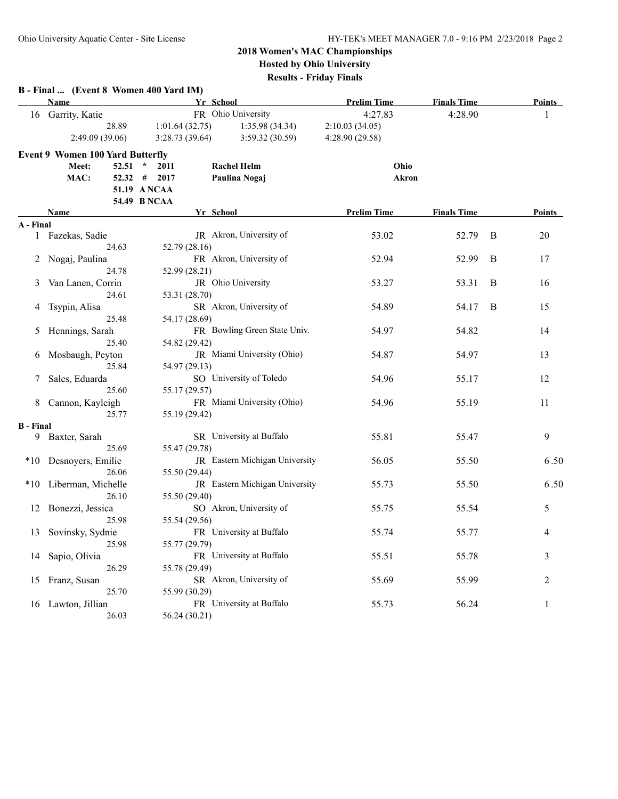**Results - Friday Finals**

|                  | B - Final  (Event 8 Women 400 Yard IM)<br><b>Name</b> | Yr School       |                                | <b>Prelim Time</b> | <b>Finals Time</b> |   | <b>Points</b> |
|------------------|-------------------------------------------------------|-----------------|--------------------------------|--------------------|--------------------|---|---------------|
|                  | 16 Garrity, Katie                                     |                 | FR Ohio University             | 4:27.83            | 4:28.90            |   |               |
|                  | 28.89                                                 | 1:01.64(32.75)  | 1:35.98(34.34)                 | 2:10.03(34.05)     |                    |   |               |
|                  | 2:49.09 (39.06)                                       | 3:28.73(39.64)  | 3:59.32(30.59)                 | 4:28.90 (29.58)    |                    |   |               |
|                  | <b>Event 9 Women 100 Yard Butterfly</b>               |                 |                                |                    |                    |   |               |
|                  | Meet:<br>52.51                                        | $\star$<br>2011 | <b>Rachel Helm</b>             | Ohio               |                    |   |               |
|                  | MAC:<br>52.32                                         | #<br>2017       | Paulina Nogaj                  | <b>Akron</b>       |                    |   |               |
|                  |                                                       | 51.19 A NCAA    |                                |                    |                    |   |               |
|                  |                                                       | 54.49 B NCAA    |                                |                    |                    |   |               |
|                  | Name                                                  | Yr School       |                                | <b>Prelim Time</b> | <b>Finals Time</b> |   | Points        |
| A - Final        |                                                       |                 |                                |                    |                    |   |               |
|                  | 1 Fazekas, Sadie                                      |                 | JR Akron, University of        | 53.02              | 52.79              | B | 20            |
|                  | 24.63                                                 | 52.79 (28.16)   |                                |                    |                    |   |               |
| 2                | Nogaj, Paulina                                        |                 | FR Akron, University of        | 52.94              | 52.99              | B | 17            |
|                  | 24.78                                                 | 52.99 (28.21)   |                                |                    |                    |   |               |
| 3                | Van Lanen, Corrin                                     |                 | JR Ohio University             | 53.27              | 53.31              | B | 16            |
|                  | 24.61                                                 | 53.31 (28.70)   |                                |                    |                    |   |               |
| 4                | Tsypin, Alisa                                         |                 | SR Akron, University of        | 54.89              | 54.17              | B | 15            |
|                  | 25.48                                                 | 54.17 (28.69)   | FR Bowling Green State Univ.   |                    |                    |   |               |
| 5                | Hennings, Sarah<br>25.40                              |                 |                                | 54.97              | 54.82              |   | 14            |
|                  | Mosbaugh, Peyton                                      | 54.82 (29.42)   | JR Miami University (Ohio)     | 54.87              | 54.97              |   | 13            |
| 6                | 25.84                                                 | 54.97 (29.13)   |                                |                    |                    |   |               |
| 7                | Sales, Eduarda                                        |                 | SO University of Toledo        | 54.96              | 55.17              |   | 12            |
|                  | 25.60                                                 | 55.17 (29.57)   |                                |                    |                    |   |               |
| 8                | Cannon, Kayleigh                                      |                 | FR Miami University (Ohio)     | 54.96              | 55.19              |   | 11            |
|                  | 25.77                                                 | 55.19 (29.42)   |                                |                    |                    |   |               |
| <b>B</b> - Final |                                                       |                 |                                |                    |                    |   |               |
| 9.               | Baxter, Sarah                                         |                 | SR University at Buffalo       | 55.81              | 55.47              |   | 9             |
|                  | 25.69                                                 | 55.47 (29.78)   |                                |                    |                    |   |               |
| $*10$            | Desnoyers, Emilie                                     |                 | JR Eastern Michigan University | 56.05              | 55.50              |   | 6.50          |
|                  | 26.06                                                 | 55.50 (29.44)   |                                |                    |                    |   |               |
| $*10$            | Liberman, Michelle                                    |                 | JR Eastern Michigan University | 55.73              | 55.50              |   | 6.50          |
|                  | 26.10                                                 | 55.50 (29.40)   |                                |                    |                    |   |               |
| 12               | Bonezzi, Jessica                                      |                 | SO Akron, University of        | 55.75              | 55.54              |   | 5             |
|                  | 25.98                                                 | 55.54 (29.56)   |                                |                    |                    |   |               |
| 13               | Sovinsky, Sydnie                                      |                 | FR University at Buffalo       | 55.74              | 55.77              |   | 4             |
|                  | 25.98                                                 | 55.77 (29.79)   |                                |                    |                    |   |               |
| 14               | Sapio, Olivia                                         |                 | FR University at Buffalo       | 55.51              | 55.78              |   | 3             |
|                  | 26.29                                                 | 55.78 (29.49)   |                                |                    |                    |   |               |
| 15               | Franz, Susan                                          |                 | SR Akron, University of        | 55.69              | 55.99              |   | 2             |
|                  | 25.70                                                 | 55.99 (30.29)   |                                |                    |                    |   |               |
|                  | 16 Lawton, Jillian                                    |                 | FR University at Buffalo       | 55.73              | 56.24              |   | 1             |
|                  | 26.03                                                 | 56.24 (30.21)   |                                |                    |                    |   |               |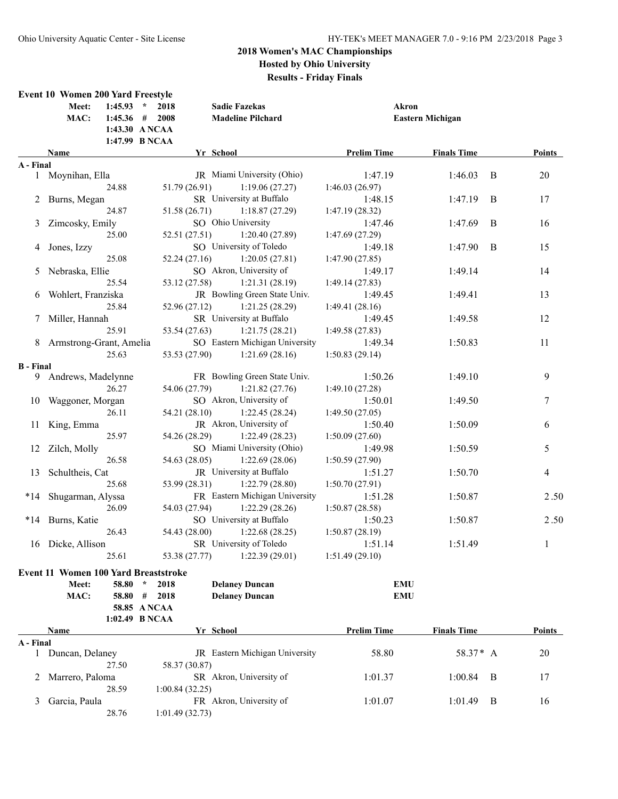|                  | <b>Event 10 Women 200 Yard Freestyle</b>  |             |                      |                                            |                    |                         |             |               |
|------------------|-------------------------------------------|-------------|----------------------|--------------------------------------------|--------------------|-------------------------|-------------|---------------|
|                  | 1:45.93<br>$\mathcal{R}$<br>2018<br>Meet: |             | <b>Sadie Fazekas</b> | <b>Akron</b>                               |                    |                         |             |               |
|                  | MAC:                                      | $1:45.36$ # | 2008                 | <b>Madeline Pilchard</b>                   |                    | <b>Eastern Michigan</b> |             |               |
|                  |                                           |             | 1:43.30 ANCAA        |                                            |                    |                         |             |               |
|                  |                                           |             | 1:47.99 B NCAA       |                                            |                    |                         |             |               |
|                  | <b>Name</b>                               |             |                      | Yr School                                  | <b>Prelim Time</b> | <b>Finals Time</b>      |             | Points        |
| A - Final        |                                           |             |                      |                                            |                    |                         |             |               |
| $\mathbf{1}$     | Moynihan, Ella                            |             |                      | JR Miami University (Ohio)                 | 1:47.19            | 1:46.03                 | B           | 20            |
|                  |                                           | 24.88       | 51.79 (26.91)        | 1:19.06(27.27)                             | 1:46.03(26.97)     |                         |             |               |
|                  | 2 Burns, Megan                            |             |                      | SR University at Buffalo                   | 1:48.15            | 1:47.19                 | B           | 17            |
|                  |                                           | 24.87       | 51.58(26.71)         | 1:18.87(27.29)                             | 1:47.19(28.32)     |                         |             |               |
| 3                | Zimcosky, Emily                           | 25.00       |                      | SO Ohio University                         | 1:47.46            | 1:47.69                 | B           | 16            |
|                  |                                           |             | 52.51(27.51)         | 1:20.40(27.89)                             | 1:47.69(27.29)     |                         |             |               |
| 4                | Jones, Izzy                               | 25.08       |                      | SO University of Toledo                    | 1:49.18            | 1:47.90                 | B           | 15            |
|                  |                                           |             | 52.24(27.16)         | 1:20.05(27.81)<br>SO Akron, University of  | 1:47.90(27.85)     |                         |             |               |
| 5                | Nebraska, Ellie                           | 25.54       |                      | 1:21.31(28.19)                             | 1:49.17            | 1:49.14                 |             | 14            |
|                  |                                           |             | 53.12 (27.58)        |                                            | 1:49.14(27.83)     |                         |             |               |
|                  | 6 Wohlert, Franziska                      |             |                      | JR Bowling Green State Univ.               | 1:49.45            | 1:49.41                 |             | 13            |
|                  |                                           | 25.84       | 52.96 (27.12)        | 1:21.25(28.29)<br>SR University at Buffalo | 1:49.41(28.16)     |                         |             |               |
| 7                | Miller, Hannah                            |             |                      |                                            | 1:49.45            | 1:49.58                 |             | 12            |
|                  |                                           | 25.91       | 53.54 (27.63)        | 1:21.75(28.21)                             | 1:49.58(27.83)     |                         |             |               |
|                  | 8 Armstrong-Grant, Amelia                 |             |                      | SO Eastern Michigan University             | 1:49.34            | 1:50.83                 |             | 11            |
| <b>B</b> - Final |                                           | 25.63       |                      | 53.53 (27.90) 1:21.69 (28.16)              | 1:50.83(29.14)     |                         |             |               |
|                  | 9 Andrews, Madelynne                      |             |                      | FR Bowling Green State Univ.               | 1:50.26            | 1:49.10                 |             | 9             |
|                  |                                           | 26.27       | 54.06 (27.79)        | 1:21.82(27.76)                             | 1:49.10 (27.28)    |                         |             |               |
| 10               | Waggoner, Morgan                          |             |                      | SO Akron, University of                    | 1:50.01            | 1:49.50                 |             | 7             |
|                  |                                           | 26.11       | 54.21 (28.10)        | 1:22.45(28.24)                             | 1:49.50(27.05)     |                         |             |               |
| 11               | King, Emma                                |             |                      | JR Akron, University of                    | 1:50.40            | 1:50.09                 |             | 6             |
|                  |                                           | 25.97       | 54.26 (28.29)        | 1:22.49(28.23)                             | 1:50.09(27.60)     |                         |             |               |
| 12               | Zilch, Molly                              |             |                      | SO Miami University (Ohio)                 | 1:49.98            | 1:50.59                 |             | 5             |
|                  |                                           | 26.58       | 54.63 (28.05)        | 1:22.69(28.06)                             | 1:50.59(27.90)     |                         |             |               |
| 13               | Schultheis, Cat                           |             |                      | JR University at Buffalo                   | 1:51.27            | 1:50.70                 |             | 4             |
|                  |                                           | 25.68       | 53.99 (28.31)        | 1:22.79(28.80)                             | 1:50.70(27.91)     |                         |             |               |
| $*14$            | Shugarman, Alyssa                         |             |                      | FR Eastern Michigan University             | 1:51.28            | 1:50.87                 |             | 2.50          |
|                  |                                           | 26.09       | 54.03 (27.94)        | 1:22.29(28.26)                             | 1:50.87(28.58)     |                         |             |               |
|                  | *14 Burns, Katie                          |             |                      | SO University at Buffalo                   | 1:50.23            | 1:50.87                 |             | 2.50          |
|                  |                                           | 26.43       | 54.43 (28.00)        | 1:22.68(28.25)                             | 1:50.87(28.19)     |                         |             |               |
|                  | 16 Dicke, Allison                         |             |                      | SR University of Toledo                    | 1:51.14            | 1:51.49                 |             | $\mathbf{1}$  |
|                  |                                           | 25.61       | 53.38 (27.77)        | 1:22.39(29.01)                             | 1:51.49(29.10)     |                         |             |               |
|                  | Event 11 Women 100 Yard Breaststroke      |             |                      |                                            |                    |                         |             |               |
|                  | Meet:                                     | 58.80       | $\star$<br>2018      | <b>Delaney Duncan</b>                      | <b>EMU</b>         |                         |             |               |
|                  | MAC:                                      | 58.80 #     | 2018                 | <b>Delaney Duncan</b>                      | <b>EMU</b>         |                         |             |               |
|                  |                                           |             | 58.85 A NCAA         |                                            |                    |                         |             |               |
|                  |                                           |             | 1:02.49 B NCAA       |                                            |                    |                         |             |               |
|                  | Name                                      |             |                      | Yr School                                  | <b>Prelim Time</b> | <b>Finals Time</b>      |             | <b>Points</b> |
| A - Final        |                                           |             |                      |                                            |                    |                         |             |               |
| $\mathbf{1}$     | Duncan, Delaney                           |             |                      | JR Eastern Michigan University             | 58.80              | 58.37* A                |             | 20            |
|                  |                                           | 27.50       | 58.37 (30.87)        |                                            |                    |                         |             |               |
| 2                | Marrero, Paloma                           |             |                      | SR Akron, University of                    | 1:01.37            | 1:00.84                 | $\mathbf B$ | 17            |
|                  |                                           | 28.59       | 1:00.84(32.25)       |                                            |                    |                         |             |               |
| 3                | Garcia, Paula                             |             |                      | FR Akron, University of                    | 1:01.07            | 1:01.49                 | B           | 16            |
|                  |                                           | 28.76       | 1:01.49(32.73)       |                                            |                    |                         |             |               |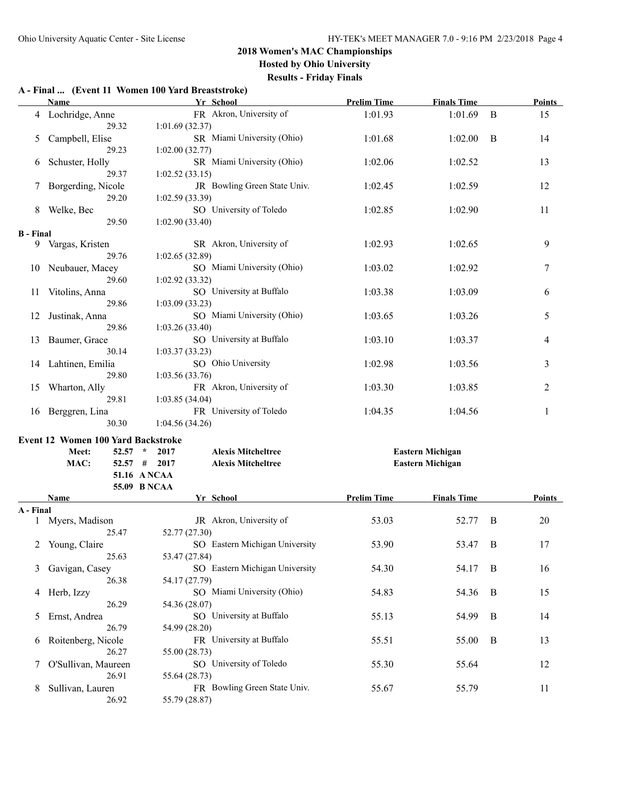# **2018 Women's MAC Championships**

**Hosted by Ohio University**

**Results - Friday Finals**

|                  | Name                                      | Yr School       |                                | <b>Prelim Time</b> | <b>Finals Time</b>      |              | <b>Points</b>  |
|------------------|-------------------------------------------|-----------------|--------------------------------|--------------------|-------------------------|--------------|----------------|
|                  | 4 Lochridge, Anne                         |                 | FR Akron, University of        | 1:01.93            | 1:01.69                 | $\, {\bf B}$ | 15             |
|                  | 29.32                                     | 1:01.69(32.37)  |                                |                    |                         |              |                |
| 5                | Campbell, Elise                           |                 | SR Miami University (Ohio)     | 1:01.68            | 1:02.00                 | B            | 14             |
|                  | 29.23                                     | 1:02.00(32.77)  |                                |                    |                         |              |                |
| 6                | Schuster, Holly                           |                 | SR Miami University (Ohio)     | 1:02.06            | 1:02.52                 |              | 13             |
|                  | 29.37                                     | 1:02.52(33.15)  |                                |                    |                         |              |                |
| 7                | Borgerding, Nicole                        |                 | JR Bowling Green State Univ.   | 1:02.45            | 1:02.59                 |              | 12             |
|                  | 29.20                                     | 1:02.59(33.39)  |                                |                    |                         |              |                |
| 8                | SO University of Toledo<br>Welke, Bec     |                 | 1:02.85                        | 1:02.90            |                         | 11           |                |
|                  | 29.50                                     | 1:02.90(33.40)  |                                |                    |                         |              |                |
| <b>B</b> - Final |                                           |                 |                                |                    |                         |              |                |
| 9                | Vargas, Kristen                           |                 | SR Akron, University of        | 1:02.93            | 1:02.65                 |              | 9              |
|                  | 29.76                                     | 1:02.65(32.89)  |                                |                    |                         |              |                |
| 10               | Neubauer, Macey                           |                 | SO Miami University (Ohio)     | 1:03.02            | 1:02.92                 |              | 7              |
|                  | 29.60                                     | 1:02.92(33.32)  |                                |                    |                         |              |                |
| 11               | Vitolins, Anna                            |                 | SO University at Buffalo       | 1:03.38            | 1:03.09                 |              | 6              |
|                  | 29.86                                     | 1:03.09(33.23)  |                                |                    |                         |              |                |
| 12               | Justinak, Anna                            |                 | SO Miami University (Ohio)     | 1:03.65            | 1:03.26                 |              | 5              |
|                  | 29.86                                     | 1:03.26(33.40)  |                                |                    |                         |              |                |
| 13               | Baumer, Grace                             |                 | SO University at Buffalo       | 1:03.10            | 1:03.37                 |              | 4              |
|                  | 30.14                                     | 1:03.37(33.23)  |                                |                    |                         |              |                |
| 14               | Lahtinen, Emilia                          |                 | SO Ohio University             | 1:02.98            | 1:03.56                 |              | 3              |
|                  | 29.80                                     | 1:03.56 (33.76) |                                |                    |                         |              |                |
| 15               | Wharton, Ally                             |                 | FR Akron, University of        | 1:03.30            | 1:03.85                 |              | $\overline{c}$ |
|                  | 29.81                                     | 1:03.85(34.04)  |                                |                    |                         |              |                |
| 16               | Berggren, Lina                            |                 | FR University of Toledo        | 1:04.35            | 1:04.56                 |              | $\mathbf{1}$   |
|                  | 30.30                                     | 1:04.56(34.26)  |                                |                    |                         |              |                |
|                  | <b>Event 12 Women 100 Yard Backstroke</b> |                 |                                |                    |                         |              |                |
|                  | Meet:<br>52.57                            | $\star$<br>2017 | <b>Alexis Mitcheltree</b>      |                    | <b>Eastern Michigan</b> |              |                |
|                  | MAC:<br>$52.57$ #                         | 2017            | <b>Alexis Mitcheltree</b>      |                    | <b>Eastern Michigan</b> |              |                |
|                  |                                           | 51.16 ANCAA     |                                |                    |                         |              |                |
|                  |                                           | 55.09 B NCAA    |                                |                    |                         |              |                |
|                  | Name                                      | Yr School       |                                | <b>Prelim Time</b> | <b>Finals Time</b>      |              | <b>Points</b>  |
| A - Final        |                                           |                 |                                |                    |                         |              |                |
| 1                | Myers, Madison                            |                 | JR Akron, University of        | 53.03              | 52.77                   | B            | 20             |
|                  | 25.47                                     | 52.77 (27.30)   |                                |                    |                         |              |                |
| 2                | Young, Claire                             |                 | SO Eastern Michigan University | 53.90              | 53.47                   | B            | 17             |
|                  | 25.63                                     | 53.47 (27.84)   |                                |                    |                         |              |                |
| 3                | Gavigan, Casey                            |                 | SO Eastern Michigan University | 54.30              | 54.17                   | B            | 16             |
|                  | 26.38                                     | 54.17 (27.79)   |                                |                    |                         |              |                |
| 4                | Herb, Izzy                                |                 | SO Miami University (Ohio)     | 54.83              | 54.36                   | B            | 15             |
|                  | 26.29                                     | 54.36 (28.07)   |                                |                    |                         |              |                |

5 Ernst, Andrea SO University at Buffalo 55.13 54.99 B 14

6 Roitenberg, Nicole FR University at Buffalo 55.51 55.00 B 13

7 O'Sullivan, Maureen SO University of Toledo 55.30 55.64 12

8 Sullivan, Lauren FR Bowling Green State Univ. 55.67 55.79 55.79 11

26.79 54.99 (28.20)

26.27 55.00 (28.73)

26.91 55.64 (28.73)

26.92 55.79 (28.87)

#### **A - Final ... (Event 11 Women 100 Yard Breaststroke)**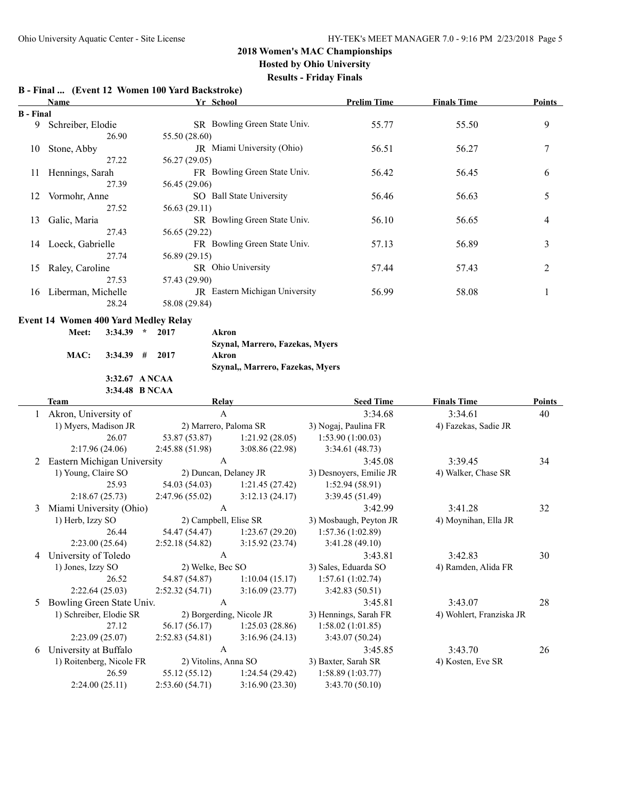## **2018 Women's MAC Championships**

**Hosted by Ohio University**

**Results - Friday Finals**

|  |  |  | B - Final  (Event 12 Women 100 Yard Backstroke) |
|--|--|--|-------------------------------------------------|
|--|--|--|-------------------------------------------------|

|                  | Name               | Yr School                             | <b>Prelim Time</b> | <b>Finals Time</b> | Points |
|------------------|--------------------|---------------------------------------|--------------------|--------------------|--------|
| <b>B</b> - Final |                    |                                       |                    |                    |        |
| 9                | Schreiber, Elodie  | SR Bowling Green State Univ.          | 55.77              | 55.50              | 9      |
|                  | 26.90              | 55.50 (28.60)                         |                    |                    |        |
| 10               | Stone, Abby        | JR Miami University (Ohio)            | 56.51              | 56.27              | 7      |
|                  | 27.22              | 56.27 (29.05)                         |                    |                    |        |
| 11               | Hennings, Sarah    | FR Bowling Green State Univ.          | 56.42              | 56.45              | 6      |
|                  | 27.39              | 56.45 (29.06)                         |                    |                    |        |
| 12               | Vormohr, Anne      | SO Ball State University              | 56.46              | 56.63              | 5      |
|                  | 27.52              | 56.63 (29.11)                         |                    |                    |        |
| 13               | Galic, Maria       | SR Bowling Green State Univ.          | 56.10              | 56.65              | 4      |
|                  | 27.43              | 56.65 (29.22)                         |                    |                    |        |
| 14               | Loeck, Gabrielle   | FR Bowling Green State Univ.          | 57.13              | 56.89              | 3      |
|                  | 27.74              | 56.89 (29.15)                         |                    |                    |        |
| 15               | Raley, Caroline    | SR Ohio University                    | 57.44              | 57.43              | 2      |
|                  | 27.53              | 57.43 (29.90)                         |                    |                    |        |
| 16               | Liberman, Michelle | <b>JR</b> Eastern Michigan University | 56.99              | 58.08              |        |
|                  | 28.24              | 58.08 (29.84)                         |                    |                    |        |

#### **Event 14 Women 400 Yard Medley Relay**

**Meet: 3:34.39 \* 2017 Akron MAC: 3:34.39 # 2017 Akron 3:32.67 A NCAA**

**Szynal, Marrero, Fazekas, Myers Szynal,, Marrero, Fazekas, Myers**

**3:34.48 B NCAA**

**Team Relay Seed Time Finals Time Points** 1 Akron, University of A 3:34.68 3:34.61 40 1) Myers, Madison JR 2) Marrero, Paloma SR 3) Nogaj, Paulina FR 4) Fazekas, Sadie JR 26.07 53.87 (53.87) 1:21.92 (28.05) 1:53.90 (1:00.03) 2:17.96 (24.06) 2:45.88 (51.98) 3:08.86 (22.98) 3:34.61 (48.73) 2 Eastern Michigan University A 3:45.08 3:39.45 3:45 1) Young, Claire SO 2) Duncan, Delaney JR 3) Desnoyers, Emilie JR 4) Walker, Chase SR 25.93 54.03 (54.03) 1:21.45 (27.42) 1:52.94 (58.91) 2:18.67 (25.73) 2:47.96 (55.02) 3:12.13 (24.17) 3:39.45 (51.49) 3 Miami University (Ohio) A 3:42.99 3:41.28 32 1) Herb, Izzy SO 2) Campbell, Elise SR 3) Mosbaugh, Peyton JR 4) Moynihan, Ella JR 26.44 54.47 (54.47) 1:23.67 (29.20) 1:57.36 (1:02.89) 2:23.00 (25.64) 2:52.18 (54.82) 3:15.92 (23.74) 3:41.28 (49.10) 4 University of Toledo A 3:43.81 3:42.83 30 1) Jones, Izzy SO 2) Welke, Bec SO 3) Sales, Eduarda SO 4) Ramden, Alida FR 26.52 54.87 (54.87) 1:10.04 (15.17) 1:57.61 (1:02.74) 2:22.64 (25.03) 2:52.32 (54.71) 3:16.09 (23.77) 3:42.83 (50.51) 5 Bowling Green State Univ. A 3:45.81 3:43.07 28 1) Schreiber, Elodie SR 2) Borgerding, Nicole JR 3) Hennings, Sarah FR 4) Wohlert, Franziska JR 27.12 56.17 (56.17) 1:25.03 (28.86) 1:58.02 (1:01.85) 2:23.09 (25.07) 2:52.83 (54.81) 3:16.96 (24.13) 3:43.07 (50.24) 6 University at Buffalo  $A$   $3:45.85$   $3:43.70$   $26$ 1) Roitenberg, Nicole FR 2) Vitolins, Anna SO 3) Baxter, Sarah SR 4) Kosten, Eve SR 26.59 55.12 (55.12) 1:24.54 (29.42) 1:58.89 (1:03.77) 2:24.00 (25.11) 2:53.60 (54.71) 3:16.90 (23.30) 3:43.70 (50.10)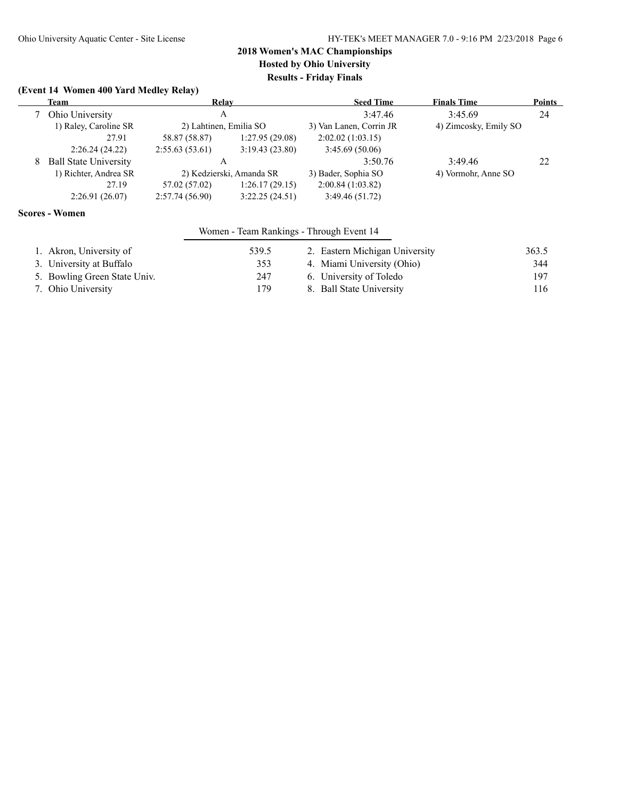## **(Event 14 Women 400 Yard Medley Relay)**

|   | Team                                     | Relay                  |                          | <b>Seed Time</b>        | <b>Finals Time</b>    |    |  |  |
|---|------------------------------------------|------------------------|--------------------------|-------------------------|-----------------------|----|--|--|
|   | Ohio University                          | A                      |                          | 3:47.46                 | 3:45.69               | 24 |  |  |
|   | 1) Raley, Caroline SR                    | 2) Lahtinen, Emilia SO |                          | 3) Van Lanen, Corrin JR | 4) Zimcosky, Emily SO |    |  |  |
|   | 27.91                                    | 58.87 (58.87)          | 1:27.95(29.08)           | 2:02.02(1:03.15)        |                       |    |  |  |
|   | 2:26.24(24.22)                           | 2:55.63(53.61)         | 3:19.43(23.80)           | 3:45.69(50.06)          |                       |    |  |  |
| 8 | <b>Ball State University</b>             | A                      |                          | 3:50.76                 | 3:49.46               | 22 |  |  |
|   | 1) Richter, Andrea SR                    |                        | 2) Kedzierski, Amanda SR |                         | 4) Vormohr, Anne SO   |    |  |  |
|   | 27.19                                    | 57.02 (57.02)          | 1:26.17(29.15)           | 2:00.84(1:03.82)        |                       |    |  |  |
|   | 2:26.91(26.07)                           | 2:57.74(56.90)         | 3:22.25(24.51)           | 3:49.46(51.72)          |                       |    |  |  |
|   | <b>Scores - Women</b>                    |                        |                          |                         |                       |    |  |  |
|   | Women - Team Rankings - Through Event 14 |                        |                          |                         |                       |    |  |  |

| 1. Akron, University of      | 539.5 | 2. Eastern Michigan University | 363.5 |
|------------------------------|-------|--------------------------------|-------|
| 3. University at Buffalo     | 353   | 4. Miami University (Ohio)     | 344   |
| 5. Bowling Green State Univ. | 247   | 6. University of Toledo        | 197   |
| 7. Ohio University           | 179   | 8. Ball State University       | 116   |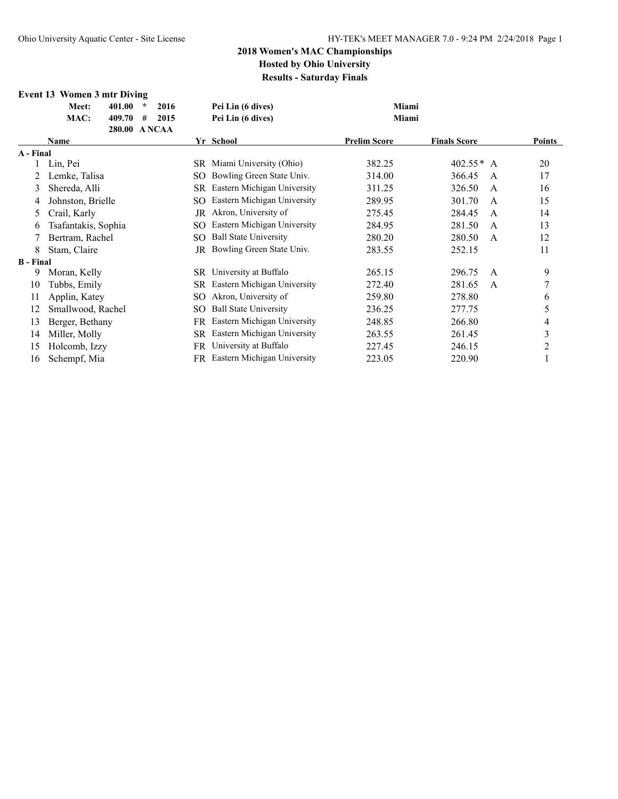## **Event 13 Women 3 mtr Diving**

|                  | Meet:<br>401.00<br>$\star$<br>2016 |     | Pei Lin (6 dives)            | Miami               |                        |               |
|------------------|------------------------------------|-----|------------------------------|---------------------|------------------------|---------------|
|                  | MAC:<br>409.70<br>2015<br>#        |     | Pei Lin (6 dives)            | Miami               |                        |               |
|                  | 280.00 ANCAA<br>Name               |     | Yr School                    | <b>Prelim Score</b> | <b>Finals Score</b>    | <b>Points</b> |
| A - Final        |                                    |     |                              |                     |                        |               |
|                  | Lin, Pei                           | SR. | Miami University (Ohio)      | 382.25              | $402.55* A$            | 20            |
| 2                | Lemke, Talisa                      | SO  | Bowling Green State Univ.    | 314.00              | 366.45<br>A            | 17            |
| 3                | Shereda, Alli                      | SR. | Eastern Michigan University  | 311.25              | 326.50<br>A            | 16            |
| 4                | Johnston, Brielle                  | SO  | Eastern Michigan University  | 289.95              | 301.70<br>A            | 15            |
| 5                | Crail, Karly                       | JR  | Akron, University of         | 275.45              | 284.45<br>A            | 14            |
| 6                | Tsafantakis, Sophia                | SO  | Eastern Michigan University  | 284.95              | 281.50<br>A            | 13            |
|                  | Bertram, Rachel                    | SO  | <b>Ball State University</b> | 280.20              | 280.50<br>$\mathsf{A}$ | 12            |
| 8                | Stam, Claire                       | JR  | Bowling Green State Univ.    | 283.55              | 252.15                 | 11            |
| <b>B</b> - Final |                                    |     |                              |                     |                        |               |
| 9                | Moran, Kelly                       | SR  | University at Buffalo        | 265.15              | 296.75<br>A            | 9             |
| 10               | Tubbs, Emily                       | SR  | Eastern Michigan University  | 272.40              | 281.65<br>$\mathsf{A}$ |               |
| 11               | Applin, Katey                      | SO  | Akron, University of         | 259.80              | 278.80                 | 6             |
| 12               | Smallwood, Rachel                  | SO  | <b>Ball State University</b> | 236.25              | 277.75                 | 5             |
| 13               | Berger, Bethany                    | FR  | Eastern Michigan University  | 248.85              | 266.80                 | 4             |
| 14               | Miller, Molly                      | SR. | Eastern Michigan University  | 263.55              | 261.45                 | 3             |
| 15               | Holcomb, Izzy                      | FR  | University at Buffalo        | 227.45              | 246.15                 | 2             |
| 16               | Schempf, Mia                       | FR. | Eastern Michigan University  | 223.05              | 220.90                 |               |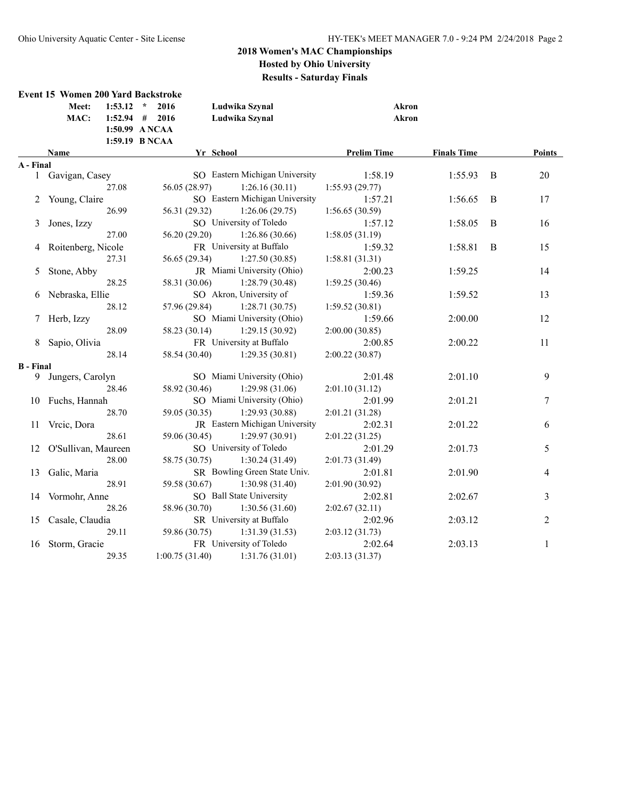| 1:53.12<br>$\star$<br>2016<br>Ludwika Szynal<br><b>Akron</b><br>Meet:<br>MAC:<br>$1:52.94$ # 2016<br>Ludwika Szynal<br><b>Akron</b><br>1:50.99 ANCAA<br>1:59.19 B NCAA<br>Yr School<br><b>Prelim Time</b><br>Points<br>Name<br><b>Finals Time</b><br>A - Final<br>1:58.19<br>20<br>1 Gavigan, Casey<br>SO Eastern Michigan University<br>1:55.93<br>B<br>56.05 (28.97)<br>1:26.16(30.11)<br>27.08<br>1:55.93(29.77)<br>SO Eastern Michigan University<br>Young, Claire<br>1:57.21<br>1:56.65<br>B<br>17<br>$\overline{2}$<br>26.99<br>56.31 (29.32)<br>1:26.06(29.75)<br>1:56.65(30.59)<br>SO University of Toledo<br>3<br>1:57.12<br>1:58.05<br>B<br>16<br>Jones, Izzy<br>27.00<br>56.20 (29.20)<br>1:26.86(30.66)<br>1:58.05(31.19)<br>FR University at Buffalo<br>1:59.32<br>B<br>15<br>Roitenberg, Nicole<br>1:58.81<br>4<br>27.31<br>56.65 (29.34)<br>1:27.50(30.85)<br>1:58.81(31.31)<br>JR Miami University (Ohio)<br>Stone, Abby<br>2:00.23<br>1:59.25<br>14<br>5<br>28.25<br>58.31 (30.06)<br>1:28.79(30.48)<br>1:59.25(30.46)<br>SO Akron, University of<br>13<br>Nebraska, Ellie<br>1:59.36<br>1:59.52<br>6<br>28.12<br>57.96 (29.84)<br>1:28.71(30.75)<br>1:59.52(30.81)<br>SO Miami University (Ohio)<br>Herb, Izzy<br>2:00.00<br>12<br>1:59.66<br>7<br>28.09<br>58.23 (30.14)<br>1:29.15(30.92)<br>2:00.00(30.85)<br>FR University at Buffalo<br>11<br>Sapio, Olivia<br>2:00.85<br>2:00.22<br>8<br>28.14<br>1:29.35(30.81)<br>58.54 (30.40)<br>2:00.22(30.87)<br><b>B</b> - Final<br>SO Miami University (Ohio)<br>9<br>Jungers, Carolyn<br>2:01.10<br>9<br>2:01.48<br>58.92 (30.46)<br>1:29.98(31.06)<br>2:01.10(31.12)<br>28.46<br>SO Miami University (Ohio)<br>7<br>Fuchs, Hannah<br>2:01.99<br>2:01.21<br>10<br>59.05 (30.35)<br>1:29.93 (30.88)<br>28.70<br>2:01.21 (31.28)<br>JR Eastern Michigan University<br>Vrcic, Dora<br>2:02.31<br>2:01.22<br>6<br>11<br>28.61<br>59.06 (30.45)<br>1:29.97(30.91)<br>2:01.22(31.25)<br>5<br>SO University of Toledo<br>O'Sullivan, Maureen<br>2:01.29<br>2:01.73<br>12<br>28.00<br>58.75 (30.75)<br>1:30.24(31.49)<br>2:01.73 (31.49)<br>SR Bowling Green State Univ.<br>13<br>Galic, Maria<br>2:01.81<br>2:01.90<br>4<br>28.91<br>59.58 (30.67)<br>1:30.98(31.40)<br>2:01.90 (30.92)<br>SO Ball State University<br>Vormohr, Anne<br>2:02.81<br>2:02.67<br>3<br>14<br>28.26<br>58.96 (30.70)<br>1:30.56(31.60)<br>2:02.67(32.11)<br>SR University at Buffalo<br>$\overline{c}$<br>Casale, Claudia<br>2:02.96<br>2:03.12<br>15<br>29.11<br>59.86 (30.75)<br>1:31.39(31.53)<br>2:03.12 (31.73)<br>FR University of Toledo<br>Storm, Gracie<br>2:03.13<br>2:02.64<br>1<br>16 | <b>Event 15 Women 200 Yard Backstroke</b> |                |                |                |  |  |
|----------------------------------------------------------------------------------------------------------------------------------------------------------------------------------------------------------------------------------------------------------------------------------------------------------------------------------------------------------------------------------------------------------------------------------------------------------------------------------------------------------------------------------------------------------------------------------------------------------------------------------------------------------------------------------------------------------------------------------------------------------------------------------------------------------------------------------------------------------------------------------------------------------------------------------------------------------------------------------------------------------------------------------------------------------------------------------------------------------------------------------------------------------------------------------------------------------------------------------------------------------------------------------------------------------------------------------------------------------------------------------------------------------------------------------------------------------------------------------------------------------------------------------------------------------------------------------------------------------------------------------------------------------------------------------------------------------------------------------------------------------------------------------------------------------------------------------------------------------------------------------------------------------------------------------------------------------------------------------------------------------------------------------------------------------------------------------------------------------------------------------------------------------------------------------------------------------------------------------------------------------------------------------------------------------------------------------------------------------------------------------------------------------------------------------------------------------------------------------------------------------------------------------------------------------------------------------------------------------------------------------------|-------------------------------------------|----------------|----------------|----------------|--|--|
|                                                                                                                                                                                                                                                                                                                                                                                                                                                                                                                                                                                                                                                                                                                                                                                                                                                                                                                                                                                                                                                                                                                                                                                                                                                                                                                                                                                                                                                                                                                                                                                                                                                                                                                                                                                                                                                                                                                                                                                                                                                                                                                                                                                                                                                                                                                                                                                                                                                                                                                                                                                                                                        |                                           |                |                |                |  |  |
|                                                                                                                                                                                                                                                                                                                                                                                                                                                                                                                                                                                                                                                                                                                                                                                                                                                                                                                                                                                                                                                                                                                                                                                                                                                                                                                                                                                                                                                                                                                                                                                                                                                                                                                                                                                                                                                                                                                                                                                                                                                                                                                                                                                                                                                                                                                                                                                                                                                                                                                                                                                                                                        |                                           |                |                |                |  |  |
|                                                                                                                                                                                                                                                                                                                                                                                                                                                                                                                                                                                                                                                                                                                                                                                                                                                                                                                                                                                                                                                                                                                                                                                                                                                                                                                                                                                                                                                                                                                                                                                                                                                                                                                                                                                                                                                                                                                                                                                                                                                                                                                                                                                                                                                                                                                                                                                                                                                                                                                                                                                                                                        |                                           |                |                |                |  |  |
|                                                                                                                                                                                                                                                                                                                                                                                                                                                                                                                                                                                                                                                                                                                                                                                                                                                                                                                                                                                                                                                                                                                                                                                                                                                                                                                                                                                                                                                                                                                                                                                                                                                                                                                                                                                                                                                                                                                                                                                                                                                                                                                                                                                                                                                                                                                                                                                                                                                                                                                                                                                                                                        |                                           |                |                |                |  |  |
|                                                                                                                                                                                                                                                                                                                                                                                                                                                                                                                                                                                                                                                                                                                                                                                                                                                                                                                                                                                                                                                                                                                                                                                                                                                                                                                                                                                                                                                                                                                                                                                                                                                                                                                                                                                                                                                                                                                                                                                                                                                                                                                                                                                                                                                                                                                                                                                                                                                                                                                                                                                                                                        |                                           |                |                |                |  |  |
|                                                                                                                                                                                                                                                                                                                                                                                                                                                                                                                                                                                                                                                                                                                                                                                                                                                                                                                                                                                                                                                                                                                                                                                                                                                                                                                                                                                                                                                                                                                                                                                                                                                                                                                                                                                                                                                                                                                                                                                                                                                                                                                                                                                                                                                                                                                                                                                                                                                                                                                                                                                                                                        |                                           |                |                |                |  |  |
|                                                                                                                                                                                                                                                                                                                                                                                                                                                                                                                                                                                                                                                                                                                                                                                                                                                                                                                                                                                                                                                                                                                                                                                                                                                                                                                                                                                                                                                                                                                                                                                                                                                                                                                                                                                                                                                                                                                                                                                                                                                                                                                                                                                                                                                                                                                                                                                                                                                                                                                                                                                                                                        |                                           |                |                |                |  |  |
|                                                                                                                                                                                                                                                                                                                                                                                                                                                                                                                                                                                                                                                                                                                                                                                                                                                                                                                                                                                                                                                                                                                                                                                                                                                                                                                                                                                                                                                                                                                                                                                                                                                                                                                                                                                                                                                                                                                                                                                                                                                                                                                                                                                                                                                                                                                                                                                                                                                                                                                                                                                                                                        |                                           |                |                |                |  |  |
|                                                                                                                                                                                                                                                                                                                                                                                                                                                                                                                                                                                                                                                                                                                                                                                                                                                                                                                                                                                                                                                                                                                                                                                                                                                                                                                                                                                                                                                                                                                                                                                                                                                                                                                                                                                                                                                                                                                                                                                                                                                                                                                                                                                                                                                                                                                                                                                                                                                                                                                                                                                                                                        |                                           |                |                |                |  |  |
|                                                                                                                                                                                                                                                                                                                                                                                                                                                                                                                                                                                                                                                                                                                                                                                                                                                                                                                                                                                                                                                                                                                                                                                                                                                                                                                                                                                                                                                                                                                                                                                                                                                                                                                                                                                                                                                                                                                                                                                                                                                                                                                                                                                                                                                                                                                                                                                                                                                                                                                                                                                                                                        |                                           |                |                |                |  |  |
|                                                                                                                                                                                                                                                                                                                                                                                                                                                                                                                                                                                                                                                                                                                                                                                                                                                                                                                                                                                                                                                                                                                                                                                                                                                                                                                                                                                                                                                                                                                                                                                                                                                                                                                                                                                                                                                                                                                                                                                                                                                                                                                                                                                                                                                                                                                                                                                                                                                                                                                                                                                                                                        |                                           |                |                |                |  |  |
|                                                                                                                                                                                                                                                                                                                                                                                                                                                                                                                                                                                                                                                                                                                                                                                                                                                                                                                                                                                                                                                                                                                                                                                                                                                                                                                                                                                                                                                                                                                                                                                                                                                                                                                                                                                                                                                                                                                                                                                                                                                                                                                                                                                                                                                                                                                                                                                                                                                                                                                                                                                                                                        |                                           |                |                |                |  |  |
|                                                                                                                                                                                                                                                                                                                                                                                                                                                                                                                                                                                                                                                                                                                                                                                                                                                                                                                                                                                                                                                                                                                                                                                                                                                                                                                                                                                                                                                                                                                                                                                                                                                                                                                                                                                                                                                                                                                                                                                                                                                                                                                                                                                                                                                                                                                                                                                                                                                                                                                                                                                                                                        |                                           |                |                |                |  |  |
|                                                                                                                                                                                                                                                                                                                                                                                                                                                                                                                                                                                                                                                                                                                                                                                                                                                                                                                                                                                                                                                                                                                                                                                                                                                                                                                                                                                                                                                                                                                                                                                                                                                                                                                                                                                                                                                                                                                                                                                                                                                                                                                                                                                                                                                                                                                                                                                                                                                                                                                                                                                                                                        |                                           |                |                |                |  |  |
|                                                                                                                                                                                                                                                                                                                                                                                                                                                                                                                                                                                                                                                                                                                                                                                                                                                                                                                                                                                                                                                                                                                                                                                                                                                                                                                                                                                                                                                                                                                                                                                                                                                                                                                                                                                                                                                                                                                                                                                                                                                                                                                                                                                                                                                                                                                                                                                                                                                                                                                                                                                                                                        |                                           |                |                |                |  |  |
|                                                                                                                                                                                                                                                                                                                                                                                                                                                                                                                                                                                                                                                                                                                                                                                                                                                                                                                                                                                                                                                                                                                                                                                                                                                                                                                                                                                                                                                                                                                                                                                                                                                                                                                                                                                                                                                                                                                                                                                                                                                                                                                                                                                                                                                                                                                                                                                                                                                                                                                                                                                                                                        |                                           |                |                |                |  |  |
|                                                                                                                                                                                                                                                                                                                                                                                                                                                                                                                                                                                                                                                                                                                                                                                                                                                                                                                                                                                                                                                                                                                                                                                                                                                                                                                                                                                                                                                                                                                                                                                                                                                                                                                                                                                                                                                                                                                                                                                                                                                                                                                                                                                                                                                                                                                                                                                                                                                                                                                                                                                                                                        |                                           |                |                |                |  |  |
|                                                                                                                                                                                                                                                                                                                                                                                                                                                                                                                                                                                                                                                                                                                                                                                                                                                                                                                                                                                                                                                                                                                                                                                                                                                                                                                                                                                                                                                                                                                                                                                                                                                                                                                                                                                                                                                                                                                                                                                                                                                                                                                                                                                                                                                                                                                                                                                                                                                                                                                                                                                                                                        |                                           |                |                |                |  |  |
|                                                                                                                                                                                                                                                                                                                                                                                                                                                                                                                                                                                                                                                                                                                                                                                                                                                                                                                                                                                                                                                                                                                                                                                                                                                                                                                                                                                                                                                                                                                                                                                                                                                                                                                                                                                                                                                                                                                                                                                                                                                                                                                                                                                                                                                                                                                                                                                                                                                                                                                                                                                                                                        |                                           |                |                |                |  |  |
|                                                                                                                                                                                                                                                                                                                                                                                                                                                                                                                                                                                                                                                                                                                                                                                                                                                                                                                                                                                                                                                                                                                                                                                                                                                                                                                                                                                                                                                                                                                                                                                                                                                                                                                                                                                                                                                                                                                                                                                                                                                                                                                                                                                                                                                                                                                                                                                                                                                                                                                                                                                                                                        |                                           |                |                |                |  |  |
|                                                                                                                                                                                                                                                                                                                                                                                                                                                                                                                                                                                                                                                                                                                                                                                                                                                                                                                                                                                                                                                                                                                                                                                                                                                                                                                                                                                                                                                                                                                                                                                                                                                                                                                                                                                                                                                                                                                                                                                                                                                                                                                                                                                                                                                                                                                                                                                                                                                                                                                                                                                                                                        |                                           |                |                |                |  |  |
|                                                                                                                                                                                                                                                                                                                                                                                                                                                                                                                                                                                                                                                                                                                                                                                                                                                                                                                                                                                                                                                                                                                                                                                                                                                                                                                                                                                                                                                                                                                                                                                                                                                                                                                                                                                                                                                                                                                                                                                                                                                                                                                                                                                                                                                                                                                                                                                                                                                                                                                                                                                                                                        |                                           |                |                |                |  |  |
|                                                                                                                                                                                                                                                                                                                                                                                                                                                                                                                                                                                                                                                                                                                                                                                                                                                                                                                                                                                                                                                                                                                                                                                                                                                                                                                                                                                                                                                                                                                                                                                                                                                                                                                                                                                                                                                                                                                                                                                                                                                                                                                                                                                                                                                                                                                                                                                                                                                                                                                                                                                                                                        |                                           |                |                |                |  |  |
|                                                                                                                                                                                                                                                                                                                                                                                                                                                                                                                                                                                                                                                                                                                                                                                                                                                                                                                                                                                                                                                                                                                                                                                                                                                                                                                                                                                                                                                                                                                                                                                                                                                                                                                                                                                                                                                                                                                                                                                                                                                                                                                                                                                                                                                                                                                                                                                                                                                                                                                                                                                                                                        |                                           |                |                |                |  |  |
|                                                                                                                                                                                                                                                                                                                                                                                                                                                                                                                                                                                                                                                                                                                                                                                                                                                                                                                                                                                                                                                                                                                                                                                                                                                                                                                                                                                                                                                                                                                                                                                                                                                                                                                                                                                                                                                                                                                                                                                                                                                                                                                                                                                                                                                                                                                                                                                                                                                                                                                                                                                                                                        |                                           |                |                |                |  |  |
|                                                                                                                                                                                                                                                                                                                                                                                                                                                                                                                                                                                                                                                                                                                                                                                                                                                                                                                                                                                                                                                                                                                                                                                                                                                                                                                                                                                                                                                                                                                                                                                                                                                                                                                                                                                                                                                                                                                                                                                                                                                                                                                                                                                                                                                                                                                                                                                                                                                                                                                                                                                                                                        |                                           |                |                |                |  |  |
|                                                                                                                                                                                                                                                                                                                                                                                                                                                                                                                                                                                                                                                                                                                                                                                                                                                                                                                                                                                                                                                                                                                                                                                                                                                                                                                                                                                                                                                                                                                                                                                                                                                                                                                                                                                                                                                                                                                                                                                                                                                                                                                                                                                                                                                                                                                                                                                                                                                                                                                                                                                                                                        |                                           |                |                |                |  |  |
|                                                                                                                                                                                                                                                                                                                                                                                                                                                                                                                                                                                                                                                                                                                                                                                                                                                                                                                                                                                                                                                                                                                                                                                                                                                                                                                                                                                                                                                                                                                                                                                                                                                                                                                                                                                                                                                                                                                                                                                                                                                                                                                                                                                                                                                                                                                                                                                                                                                                                                                                                                                                                                        |                                           |                |                |                |  |  |
|                                                                                                                                                                                                                                                                                                                                                                                                                                                                                                                                                                                                                                                                                                                                                                                                                                                                                                                                                                                                                                                                                                                                                                                                                                                                                                                                                                                                                                                                                                                                                                                                                                                                                                                                                                                                                                                                                                                                                                                                                                                                                                                                                                                                                                                                                                                                                                                                                                                                                                                                                                                                                                        |                                           |                |                |                |  |  |
|                                                                                                                                                                                                                                                                                                                                                                                                                                                                                                                                                                                                                                                                                                                                                                                                                                                                                                                                                                                                                                                                                                                                                                                                                                                                                                                                                                                                                                                                                                                                                                                                                                                                                                                                                                                                                                                                                                                                                                                                                                                                                                                                                                                                                                                                                                                                                                                                                                                                                                                                                                                                                                        |                                           |                |                |                |  |  |
|                                                                                                                                                                                                                                                                                                                                                                                                                                                                                                                                                                                                                                                                                                                                                                                                                                                                                                                                                                                                                                                                                                                                                                                                                                                                                                                                                                                                                                                                                                                                                                                                                                                                                                                                                                                                                                                                                                                                                                                                                                                                                                                                                                                                                                                                                                                                                                                                                                                                                                                                                                                                                                        |                                           |                |                |                |  |  |
|                                                                                                                                                                                                                                                                                                                                                                                                                                                                                                                                                                                                                                                                                                                                                                                                                                                                                                                                                                                                                                                                                                                                                                                                                                                                                                                                                                                                                                                                                                                                                                                                                                                                                                                                                                                                                                                                                                                                                                                                                                                                                                                                                                                                                                                                                                                                                                                                                                                                                                                                                                                                                                        |                                           |                |                |                |  |  |
|                                                                                                                                                                                                                                                                                                                                                                                                                                                                                                                                                                                                                                                                                                                                                                                                                                                                                                                                                                                                                                                                                                                                                                                                                                                                                                                                                                                                                                                                                                                                                                                                                                                                                                                                                                                                                                                                                                                                                                                                                                                                                                                                                                                                                                                                                                                                                                                                                                                                                                                                                                                                                                        |                                           |                |                |                |  |  |
|                                                                                                                                                                                                                                                                                                                                                                                                                                                                                                                                                                                                                                                                                                                                                                                                                                                                                                                                                                                                                                                                                                                                                                                                                                                                                                                                                                                                                                                                                                                                                                                                                                                                                                                                                                                                                                                                                                                                                                                                                                                                                                                                                                                                                                                                                                                                                                                                                                                                                                                                                                                                                                        |                                           |                |                |                |  |  |
|                                                                                                                                                                                                                                                                                                                                                                                                                                                                                                                                                                                                                                                                                                                                                                                                                                                                                                                                                                                                                                                                                                                                                                                                                                                                                                                                                                                                                                                                                                                                                                                                                                                                                                                                                                                                                                                                                                                                                                                                                                                                                                                                                                                                                                                                                                                                                                                                                                                                                                                                                                                                                                        |                                           |                |                |                |  |  |
|                                                                                                                                                                                                                                                                                                                                                                                                                                                                                                                                                                                                                                                                                                                                                                                                                                                                                                                                                                                                                                                                                                                                                                                                                                                                                                                                                                                                                                                                                                                                                                                                                                                                                                                                                                                                                                                                                                                                                                                                                                                                                                                                                                                                                                                                                                                                                                                                                                                                                                                                                                                                                                        |                                           |                |                |                |  |  |
|                                                                                                                                                                                                                                                                                                                                                                                                                                                                                                                                                                                                                                                                                                                                                                                                                                                                                                                                                                                                                                                                                                                                                                                                                                                                                                                                                                                                                                                                                                                                                                                                                                                                                                                                                                                                                                                                                                                                                                                                                                                                                                                                                                                                                                                                                                                                                                                                                                                                                                                                                                                                                                        |                                           |                |                |                |  |  |
|                                                                                                                                                                                                                                                                                                                                                                                                                                                                                                                                                                                                                                                                                                                                                                                                                                                                                                                                                                                                                                                                                                                                                                                                                                                                                                                                                                                                                                                                                                                                                                                                                                                                                                                                                                                                                                                                                                                                                                                                                                                                                                                                                                                                                                                                                                                                                                                                                                                                                                                                                                                                                                        |                                           |                |                |                |  |  |
|                                                                                                                                                                                                                                                                                                                                                                                                                                                                                                                                                                                                                                                                                                                                                                                                                                                                                                                                                                                                                                                                                                                                                                                                                                                                                                                                                                                                                                                                                                                                                                                                                                                                                                                                                                                                                                                                                                                                                                                                                                                                                                                                                                                                                                                                                                                                                                                                                                                                                                                                                                                                                                        | 29.35                                     | 1:00.75(31.40) | 1:31.76(31.01) | 2:03.13(31.37) |  |  |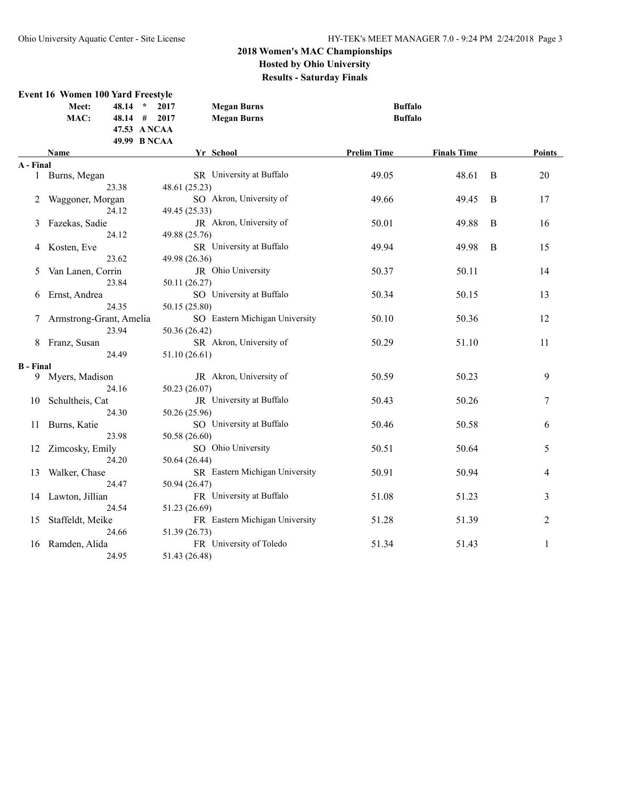|                  | <b>Event 16 Women 100 Yard Freestyle</b>                       |                                                          |                                  |                    |   |                |
|------------------|----------------------------------------------------------------|----------------------------------------------------------|----------------------------------|--------------------|---|----------------|
|                  | Meet:<br>48.14<br>$\star$<br>MAC:<br>$48.14$ #<br>47.53 A NCAA | 2017<br><b>Megan Burns</b><br><b>Megan Burns</b><br>2017 | <b>Buffalo</b><br><b>Buffalo</b> |                    |   |                |
|                  | 49.99 B NCAA                                                   |                                                          |                                  |                    |   |                |
|                  | Name                                                           | Yr School                                                | <b>Prelim Time</b>               | <b>Finals Time</b> |   | Points         |
| A - Final        |                                                                |                                                          |                                  |                    |   |                |
|                  | 1 Burns, Megan<br>23.38                                        | SR University at Buffalo<br>48.61 (25.23)                | 49.05                            | 48.61              | B | 20             |
|                  |                                                                | SO Akron, University of                                  | 49.66                            | 49.45              | B | 17             |
| 2                | Waggoner, Morgan<br>24.12                                      | 49.45 (25.33)                                            |                                  |                    |   |                |
| 3                | Fazekas, Sadie                                                 | JR Akron, University of                                  | 50.01                            | 49.88              | B | 16             |
|                  | 24.12                                                          | 49.88 (25.76)                                            |                                  |                    |   |                |
| 4                | Kosten, Eve                                                    | SR University at Buffalo                                 | 49.94                            | 49.98              | B | 15             |
|                  | 23.62                                                          | 49.98 (26.36)                                            |                                  |                    |   |                |
| 5                | Van Lanen, Corrin                                              | JR Ohio University                                       | 50.37                            | 50.11              |   | 14             |
|                  | 23.84                                                          | 50.11 (26.27)                                            |                                  |                    |   |                |
| 6                | Ernst, Andrea                                                  | SO University at Buffalo                                 | 50.34                            | 50.15              |   | 13             |
|                  | 24.35                                                          | 50.15 (25.80)                                            |                                  |                    |   |                |
| 7                | Armstrong-Grant, Amelia                                        | SO Eastern Michigan University                           | 50.10                            | 50.36              |   | 12             |
|                  | 23.94                                                          | 50.36 (26.42)                                            |                                  |                    |   |                |
| 8                | Franz, Susan                                                   | SR Akron, University of                                  | 50.29                            | 51.10              |   | 11             |
|                  | 24.49                                                          | 51.10(26.61)                                             |                                  |                    |   |                |
| <b>B</b> - Final |                                                                |                                                          |                                  |                    |   |                |
| 9                | Myers, Madison                                                 | JR Akron, University of                                  | 50.59                            | 50.23              |   | 9              |
|                  | 24.16                                                          | 50.23 (26.07)                                            |                                  |                    |   |                |
| 10               | Schultheis, Cat                                                | JR University at Buffalo                                 | 50.43                            | 50.26              |   | $\tau$         |
| 11               | 24.30                                                          | 50.26 (25.96)<br>SO University at Buffalo                | 50.46                            | 50.58              |   | 6              |
|                  | Burns, Katie<br>23.98                                          | 50.58 (26.60)                                            |                                  |                    |   |                |
| 12               | Zimcosky, Emily                                                | SO Ohio University                                       | 50.51                            | 50.64              |   | 5              |
|                  | 24.20                                                          | 50.64 (26.44)                                            |                                  |                    |   |                |
| 13               | Walker, Chase                                                  | SR Eastern Michigan University                           | 50.91                            | 50.94              |   | 4              |
|                  | 24.47                                                          | 50.94 (26.47)                                            |                                  |                    |   |                |
| 14               | Lawton, Jillian                                                | FR University at Buffalo                                 | 51.08                            | 51.23              |   | 3              |
|                  | 24.54                                                          | 51.23 (26.69)                                            |                                  |                    |   |                |
| 15               | Staffeldt, Meike                                               | FR Eastern Michigan University                           | 51.28                            | 51.39              |   | $\overline{2}$ |
|                  | 24.66                                                          | 51.39 (26.73)                                            |                                  |                    |   |                |
| 16               | Ramden, Alida                                                  | FR University of Toledo                                  | 51.34                            | 51.43              |   | 1              |
|                  | 24.95                                                          | 51.43 (26.48)                                            |                                  |                    |   |                |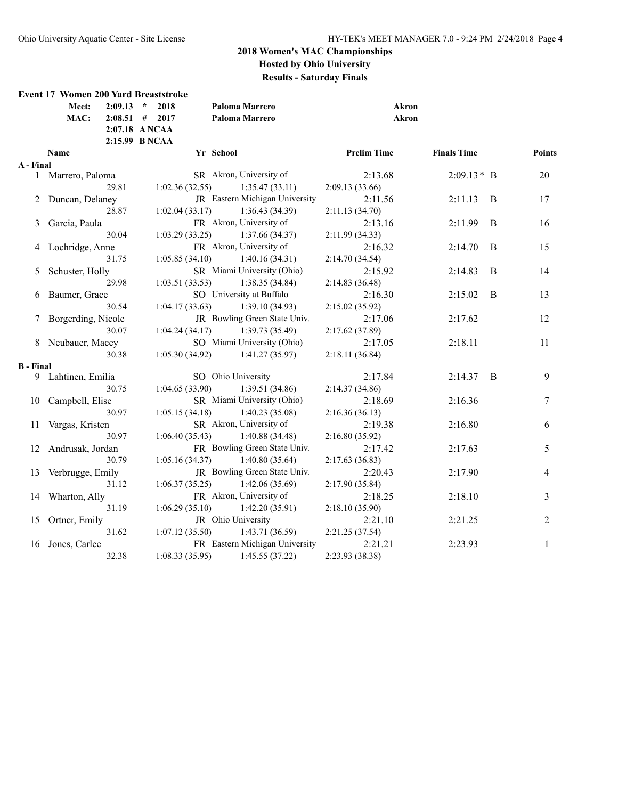|                  | Event 17 Women 200 Yard Breaststroke<br>Meet:<br>2:09.13<br>MAC: | $\star$<br>2018<br>$2:08.51$ # 2017<br>2:07.18 A NCAA | Paloma Marrero<br>Paloma Marrero | <b>Akron</b><br><b>Akron</b> |                    |   |                |
|------------------|------------------------------------------------------------------|-------------------------------------------------------|----------------------------------|------------------------------|--------------------|---|----------------|
|                  |                                                                  | 2:15.99 B NCAA                                        |                                  |                              |                    |   |                |
|                  | <b>Name</b>                                                      |                                                       | Yr School                        | <b>Prelim Time</b>           | <b>Finals Time</b> |   | Points         |
| A - Final        |                                                                  |                                                       |                                  |                              |                    |   |                |
| $\mathbf{1}$     | Marrero, Paloma                                                  |                                                       | SR Akron, University of          | 2:13.68                      | $2:09.13*$ B       |   | 20             |
|                  | 29.81                                                            | 1:02.36(32.55)                                        | 1:35.47(33.11)                   | 2:09.13(33.66)               |                    |   |                |
|                  | 2 Duncan, Delaney                                                |                                                       | JR Eastern Michigan University   | 2:11.56                      | 2:11.13            | B | 17             |
|                  | 28.87                                                            | 1:02.04(33.17)                                        | 1:36.43(34.39)                   | 2:11.13(34.70)               |                    |   |                |
| 3                | Garcia, Paula                                                    |                                                       | FR Akron, University of          | 2:13.16                      | 2:11.99            | B | 16             |
|                  | 30.04<br>1:03.29(33.25)                                          |                                                       | 1:37.66(34.37)                   | 2:11.99(34.33)               |                    |   |                |
| 4                | Lochridge, Anne                                                  |                                                       | FR Akron, University of          | 2:16.32                      | 2:14.70            | B | 15             |
|                  | 31.75                                                            | 1:05.85(34.10)                                        | 1:40.16(34.31)                   | 2:14.70 (34.54)              |                    |   |                |
| 5                | Schuster, Holly                                                  |                                                       | SR Miami University (Ohio)       | 2:15.92                      | 2:14.83            | B | 14             |
|                  | 29.98                                                            | 1:03.51(33.53)                                        | 1:38.35(34.84)                   | 2:14.83(36.48)               |                    |   |                |
|                  | 6 Baumer, Grace                                                  |                                                       | SO University at Buffalo         | 2:16.30                      | 2:15.02            | B | 13             |
|                  | 30.54                                                            | 1:04.17(33.63)                                        | 1:39.10(34.93)                   | 2:15.02 (35.92)              |                    |   |                |
| 7                | Borgerding, Nicole                                               |                                                       | JR Bowling Green State Univ.     | 2:17.06                      | 2:17.62            |   | 12             |
|                  | 30.07                                                            | 1:04.24(34.17)                                        | 1:39.73(35.49)                   | 2:17.62 (37.89)              |                    |   |                |
|                  | 8 Neubauer, Macey                                                |                                                       | SO Miami University (Ohio)       | 2:17.05                      | 2:18.11            |   | 11             |
|                  | 30.38                                                            | 1:05.30(34.92)                                        | 1:41.27(35.97)                   | 2:18.11(36.84)               |                    |   |                |
| <b>B</b> - Final |                                                                  |                                                       |                                  |                              |                    |   |                |
|                  | 9 Lahtinen, Emilia                                               |                                                       | SO Ohio University               | 2:17.84                      | 2:14.37            | B | 9              |
|                  | 30.75                                                            | 1:04.65(33.90)                                        | 1:39.51 (34.86)                  | 2:14.37(34.86)               |                    |   |                |
| 10               | Campbell, Elise                                                  |                                                       | SR Miami University (Ohio)       | 2:18.69                      | 2:16.36            |   | $\tau$         |
|                  | 30.97                                                            | 1:05.15(34.18)                                        | 1:40.23(35.08)                   | 2:16.36(36.13)               |                    |   |                |
| 11               | Vargas, Kristen                                                  |                                                       | SR Akron, University of          | 2:19.38                      | 2:16.80            |   | 6              |
|                  | 30.97                                                            | 1:06.40(35.43)                                        | 1:40.88(34.48)                   | 2:16.80 (35.92)              |                    |   |                |
| 12               | Andrusak, Jordan                                                 |                                                       | FR Bowling Green State Univ.     | 2:17.42                      | 2:17.63            |   | 5              |
|                  | 30.79                                                            | 1:05.16(34.37)                                        | 1:40.80(35.64)                   | 2:17.63(36.83)               |                    |   |                |
| 13               | Verbrugge, Emily                                                 |                                                       | JR Bowling Green State Univ.     | 2:20.43                      | 2:17.90            |   | 4              |
|                  | 31.12                                                            | 1:06.37(35.25)                                        | 1:42.06(35.69)                   | 2:17.90 (35.84)              |                    |   |                |
| 14               | Wharton, Ally                                                    |                                                       | FR Akron, University of          | 2:18.25                      | 2:18.10            |   | 3              |
|                  | 31.19                                                            | 1:06.29(35.10)                                        | 1:42.20(35.91)                   | 2:18.10(35.90)               |                    |   |                |
| 15               | Ortner, Emily                                                    |                                                       | JR Ohio University               | 2:21.10                      | 2:21.25            |   | $\overline{c}$ |
|                  | 31.62                                                            | 1:07.12(35.50)                                        | 1:43.71(36.59)                   | 2:21.25 (37.54)              |                    |   |                |
| 16               | Jones, Carlee                                                    |                                                       | FR Eastern Michigan University   | 2:21.21                      | 2:23.93            |   | 1              |
|                  | 32.38                                                            | 1:08.33(35.95)                                        | 1:45.55(37.22)                   | 2:23.93 (38.38)              |                    |   |                |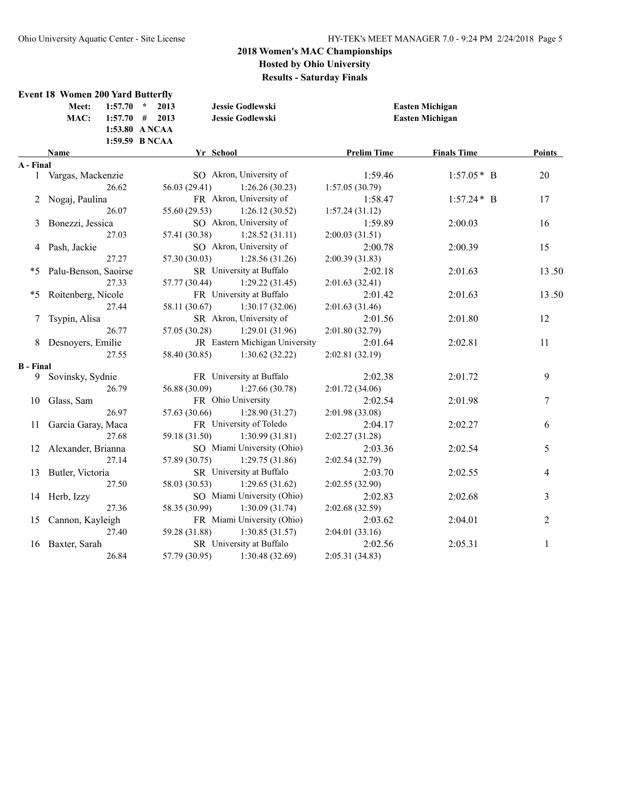|                  | <b>Event 18 Women 200 Yard Butterfly</b> |                |                                           |                    |                        |                |
|------------------|------------------------------------------|----------------|-------------------------------------------|--------------------|------------------------|----------------|
|                  | Meet:<br>1:57.70                         | 2013<br>$\ast$ | Jessie Godlewski                          |                    | <b>Easten Michigan</b> |                |
|                  | MAC:<br>1:57.70                          | # 2013         | Jessie Godlewski                          |                    | <b>Easten Michigan</b> |                |
|                  |                                          | 1:53.80 ANCAA  |                                           |                    |                        |                |
|                  |                                          | 1:59.59 B NCAA |                                           |                    |                        |                |
|                  | <b>Name</b>                              |                | Yr School                                 | <b>Prelim Time</b> | <b>Finals Time</b>     | <b>Points</b>  |
| A - Final        |                                          |                | SO Akron, University of                   | 1:59.46            | $1:57.05*$ B           | 20             |
| $\mathbf{1}$     | Vargas, Mackenzie                        |                |                                           |                    |                        |                |
|                  | 26.62                                    | 56.03 (29.41)  | 1:26.26(30.23)<br>FR Akron, University of | 1:57.05(30.79)     |                        |                |
| 2                | Nogaj, Paulina<br>26.07                  | 55.60 (29.53)  |                                           | 1:58.47            | $1:57.24*$ B           | 17             |
|                  |                                          |                | 1:26.12(30.52)<br>SO Akron, University of | 1:57.24(31.12)     |                        |                |
| 3                | Bonezzi, Jessica                         |                |                                           | 1:59.89            | 2:00.03                | 16             |
|                  | 27.03                                    | 57.41 (30.38)  | 1:28.52(31.11)                            | 2:00.03 (31.51)    |                        |                |
| 4                | Pash, Jackie                             |                | SO Akron, University of                   | 2:00.78            | 2:00.39                | 15             |
|                  | 27.27                                    | 57.30 (30.03)  | 1:28.56(31.26)                            | 2:00.39(31.83)     |                        |                |
| *5               | Palu-Benson, Saoirse                     |                | SR University at Buffalo                  | 2:02.18            | 2:01.63                | 13.50          |
|                  | 27.33                                    | 57.77 (30.44)  | 1:29.22(31.45)                            | 2:01.63(32.41)     |                        |                |
| *5               | Roitenberg, Nicole                       |                | FR University at Buffalo                  | 2:01.42            | 2:01.63                | 13.50          |
|                  | 27.44                                    | 58.11 (30.67)  | 1:30.17(32.06)                            | 2:01.63 (31.46)    |                        |                |
| 7                | Tsypin, Alisa                            |                | SR Akron, University of                   | 2:01.56            | 2:01.80                | 12             |
|                  | 26.77                                    | 57.05 (30.28)  | 1:29.01(31.96)                            | 2:01.80(32.79)     |                        |                |
| 8                | Desnoyers, Emilie                        |                | JR Eastern Michigan University            | 2:01.64            | 2:02.81                | 11             |
|                  | 27.55                                    | 58.40 (30.85)  | 1:30.62(32.22)                            | 2:02.81 (32.19)    |                        |                |
| <b>B</b> - Final |                                          |                |                                           |                    |                        |                |
| 9                | Sovinsky, Sydnie                         |                | FR University at Buffalo                  | 2:02.38            | 2:01.72                | 9              |
|                  | 26.79                                    | 56.88 (30.09)  | 1:27.66(30.78)                            | 2:01.72 (34.06)    |                        |                |
| 10               | Glass, Sam                               |                | FR Ohio University                        | 2:02.54            | 2:01.98                | 7              |
|                  | 26.97                                    | 57.63 (30.66)  | 1:28.90(31.27)                            | 2:01.98 (33.08)    |                        |                |
| 11               | Garcia Garay, Maca                       |                | FR University of Toledo                   | 2:04.17            | 2:02.27                | 6              |
|                  | 27.68                                    | 59.18 (31.50)  | 1:30.99(31.81)                            | 2:02.27 (31.28)    |                        |                |
|                  | 12 Alexander, Brianna                    |                | SO Miami University (Ohio)                | 2:03.36            | 2:02.54                | 5              |
|                  | 27.14                                    | 57.89 (30.75)  | 1:29.75(31.86)                            | 2:02.54 (32.79)    |                        |                |
| 13               | Butler, Victoria                         |                | SR University at Buffalo                  | 2:03.70            | 2:02.55                | 4              |
|                  | 27.50                                    | 58.03 (30.53)  | 1:29.65(31.62)                            | 2:02.55 (32.90)    |                        |                |
|                  | 14 Herb, Izzy                            |                | SO Miami University (Ohio)                | 2:02.83            | 2:02.68                | 3              |
|                  | 27.36                                    | 58.35 (30.99)  | 1:30.09(31.74)                            | 2:02.68 (32.59)    |                        |                |
| 15               | Cannon, Kayleigh                         |                | FR Miami University (Ohio)                | 2:03.62            | 2:04.01                | $\overline{c}$ |
|                  | 27.40                                    | 59.28 (31.88)  | 1:30.85(31.57)                            | 2:04.01(33.16)     |                        |                |
| 16               | Baxter, Sarah                            |                | SR University at Buffalo                  | 2:02.56            | 2:05.31                | $\mathbf{1}$   |
|                  | 26.84                                    | 57.79 (30.95)  | 1:30.48(32.69)                            | 2:05.31(34.83)     |                        |                |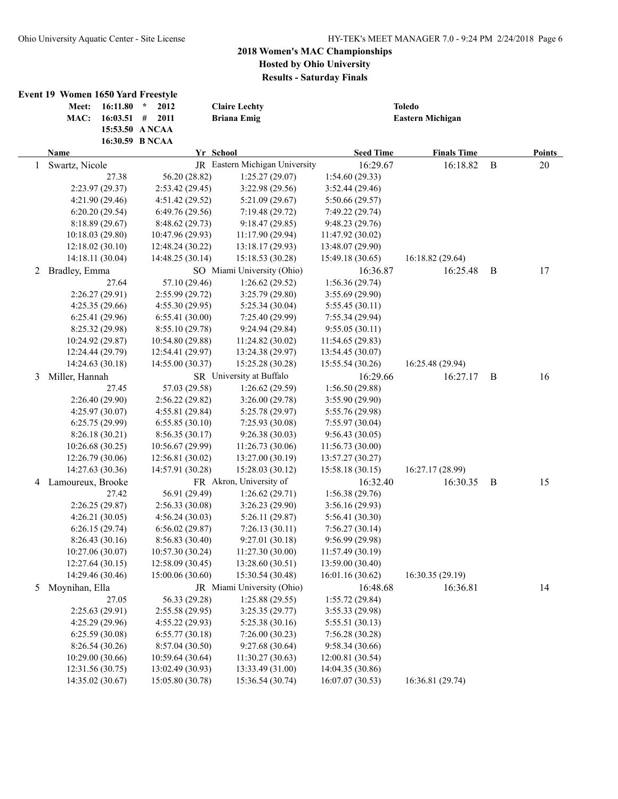|   | <b>Event 19 Women 1650 Yard Freestyle</b> |                 |                  |                                |                  |                         |              |               |
|---|-------------------------------------------|-----------------|------------------|--------------------------------|------------------|-------------------------|--------------|---------------|
|   | Meet:                                     | 16:11.80        | $\star$<br>2012  | <b>Claire Lechty</b>           |                  | <b>Toledo</b>           |              |               |
|   | MAC:                                      | $16:03.51$ #    | 2011             | <b>Briana Emig</b>             |                  | <b>Eastern Michigan</b> |              |               |
|   |                                           |                 | 15:53.50 ANCAA   |                                |                  |                         |              |               |
|   |                                           |                 | 16:30.59 B NCAA  |                                |                  |                         |              |               |
|   | <b>Name</b>                               |                 |                  | Yr School                      | <b>Seed Time</b> | <b>Finals Time</b>      |              | <b>Points</b> |
| 1 | Swartz, Nicole                            |                 |                  | JR Eastern Michigan University | 16:29.67         | 16:18.82                | $\mathbf{B}$ | 20            |
|   |                                           | 27.38           | 56.20 (28.82)    | 1:25.27(29.07)                 | 1:54.60(29.33)   |                         |              |               |
|   |                                           | 2:23.97 (29.37) | 2:53.42 (29.45)  | 3:22.98 (29.56)                | 3:52.44(29.46)   |                         |              |               |
|   |                                           | 4:21.90(29.46)  | 4:51.42(29.52)   | 5:21.09(29.67)                 | 5:50.66(29.57)   |                         |              |               |
|   |                                           | 6:20.20(29.54)  | 6:49.76(29.56)   | 7:19.48 (29.72)                | 7:49.22 (29.74)  |                         |              |               |
|   |                                           | 8:18.89(29.67)  | 8:48.62(29.73)   | 9:18.47 (29.85)                | 9:48.23 (29.76)  |                         |              |               |
|   | 10:18.03(29.80)                           |                 | 10:47.96 (29.93) | 11:17.90(29.94)                | 11:47.92 (30.02) |                         |              |               |
|   | 12:18.02 (30.10)                          |                 | 12:48.24 (30.22) | 13:18.17(29.93)                | 13:48.07 (29.90) |                         |              |               |
|   | 14:18.11 (30.04)                          |                 | 14:48.25 (30.14) | 15:18.53 (30.28)               | 15:49.18 (30.65) | 16:18.82 (29.64)        |              |               |
| 2 | Bradley, Emma                             |                 |                  | SO Miami University (Ohio)     | 16:36.87         | 16:25.48                | B            | 17            |
|   |                                           | 27.64           | 57.10 (29.46)    | 1:26.62(29.52)                 | 1:56.36(29.74)   |                         |              |               |
|   |                                           | 2:26.27(29.91)  | 2:55.99(29.72)   | 3:25.79(29.80)                 | 3:55.69 (29.90)  |                         |              |               |
|   |                                           | 4:25.35(29.66)  | 4:55.30(29.95)   | 5:25.34(30.04)                 | 5:55.45(30.11)   |                         |              |               |
|   |                                           | 6:25.41(29.96)  | 6:55.41(30.00)   | 7:25.40 (29.99)                | 7:55.34(29.94)   |                         |              |               |
|   |                                           | 8:25.32 (29.98) | 8:55.10 (29.78)  | 9:24.94(29.84)                 | 9:55.05(30.11)   |                         |              |               |
|   | 10:24.92 (29.87)                          |                 | 10:54.80 (29.88) | 11:24.82(30.02)                | 11:54.65(29.83)  |                         |              |               |
|   | 12:24.44 (29.79)                          |                 | 12:54.41 (29.97) | 13:24.38 (29.97)               | 13:54.45 (30.07) |                         |              |               |
|   | 14:24.63 (30.18)                          |                 | 14:55.00 (30.37) | 15:25.28 (30.28)               | 15:55.54 (30.26) | 16:25.48 (29.94)        |              |               |
| 3 | Miller, Hannah                            |                 |                  | SR University at Buffalo       | 16:29.66         | 16:27.17                | B            | 16            |
|   |                                           | 27.45           | 57.03 (29.58)    | 1:26.62(29.59)                 | 1:56.50(29.88)   |                         |              |               |
|   |                                           | 2:26.40 (29.90) | 2:56.22(29.82)   | 3:26.00(29.78)                 | 3:55.90(29.90)   |                         |              |               |
|   |                                           | 4:25.97(30.07)  | 4:55.81 (29.84)  | 5:25.78 (29.97)                | 5:55.76 (29.98)  |                         |              |               |
|   |                                           | 6:25.75(29.99)  | 6:55.85(30.10)   | 7:25.93(30.08)                 | 7:55.97 (30.04)  |                         |              |               |
|   |                                           | 8:26.18 (30.21) | 8:56.35(30.17)   | 9:26.38(30.03)                 | 9:56.43(30.05)   |                         |              |               |
|   | 10:26.68 (30.25)                          |                 | 10:56.67 (29.99) | 11:26.73 (30.06)               | 11:56.73 (30.00) |                         |              |               |
|   | 12:26.79 (30.06)                          |                 | 12:56.81 (30.02) | 13:27.00 (30.19)               | 13:57.27 (30.27) |                         |              |               |
|   | 14:27.63 (30.36)                          |                 | 14:57.91 (30.28) | 15:28.03 (30.12)               | 15:58.18 (30.15) | 16:27.17 (28.99)        |              |               |
| 4 | Lamoureux, Brooke                         |                 |                  | FR Akron, University of        | 16:32.40         | 16:30.35                | B            | 15            |
|   |                                           | 27.42           | 56.91 (29.49)    | 1:26.62(29.71)                 | 1:56.38(29.76)   |                         |              |               |
|   |                                           | 2:26.25(29.87)  | 2:56.33(30.08)   | 3:26.23(29.90)                 | 3:56.16(29.93)   |                         |              |               |
|   |                                           | 4:26.21(30.05)  | 4:56.24(30.03)   | 5:26.11(29.87)                 | 5:56.41 (30.30)  |                         |              |               |
|   |                                           | 6:26.15(29.74)  | 6:56.02(29.87)   | 7:26.13(30.11)                 | 7:56.27(30.14)   |                         |              |               |
|   |                                           | 8:26.43 (30.16) | 8:56.83 (30.40)  | 9:27.01 (30.18)                | 9:56.99 (29.98)  |                         |              |               |
|   | 10:27.06 (30.07)                          |                 | 10:57.30 (30.24) | 11:27.30(30.00)                | 11:57.49 (30.19) |                         |              |               |
|   | 12:27.64(30.15)                           |                 | 12:58.09 (30.45) | 13:28.60 (30.51)               | 13:59.00 (30.40) |                         |              |               |
|   | 14:29.46 (30.46)                          |                 | 15:00.06 (30.60) | 15:30.54 (30.48)               | 16:01.16 (30.62) | 16:30.35 (29.19)        |              |               |
| 5 | Moynihan, Ella                            |                 |                  | JR Miami University (Ohio)     | 16:48.68         | 16:36.81                |              | 14            |
|   |                                           | 27.05           | 56.33 (29.28)    | 1:25.88(29.55)                 | 1:55.72(29.84)   |                         |              |               |
|   |                                           | 2:25.63(29.91)  | 2:55.58(29.95)   | 3:25.35(29.77)                 | 3:55.33(29.98)   |                         |              |               |
|   |                                           | 4:25.29(29.96)  | 4:55.22(29.93)   | 5:25.38(30.16)                 | 5:55.51(30.13)   |                         |              |               |
|   |                                           | 6:25.59(30.08)  | 6:55.77(30.18)   | 7:26.00(30.23)                 | 7:56.28(30.28)   |                         |              |               |
|   |                                           | 8:26.54 (30.26) | 8:57.04 (30.50)  | 9:27.68(30.64)                 | 9:58.34(30.66)   |                         |              |               |
|   | 10:29.00 (30.66)                          |                 | 10:59.64 (30.64) | 11:30.27(30.63)                | 12:00.81 (30.54) |                         |              |               |
|   | 12:31.56 (30.75)                          |                 | 13:02.49 (30.93) | 13:33.49 (31.00)               | 14:04.35 (30.86) |                         |              |               |
|   | 14:35.02 (30.67)                          |                 | 15:05.80 (30.78) | 15:36.54 (30.74)               | 16:07.07 (30.53) | 16:36.81 (29.74)        |              |               |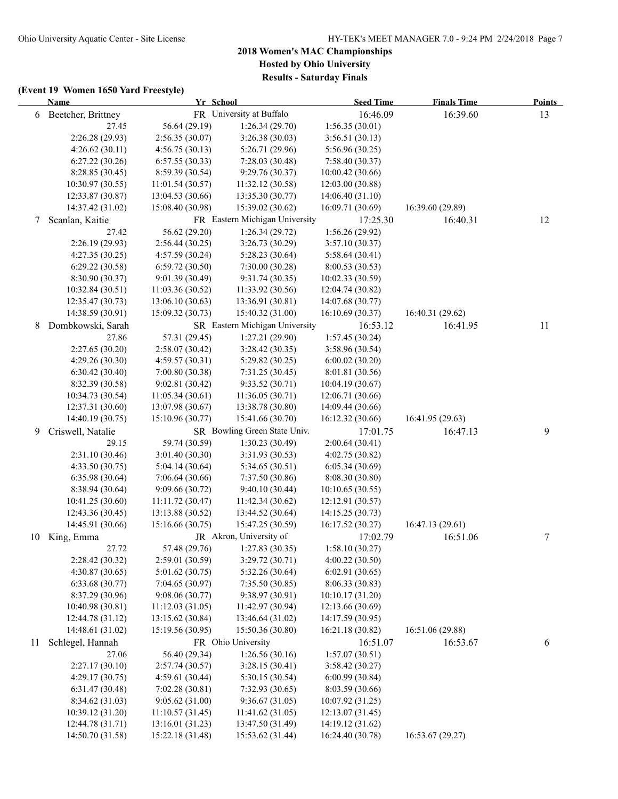**Results - Saturday Finals**

### **(Event 19 Women 1650 Yard Freestyle)**

|    | <b>Name</b>          | Yr School        |                                | <b>Seed Time</b> | <b>Finals Time</b> | <b>Points</b> |
|----|----------------------|------------------|--------------------------------|------------------|--------------------|---------------|
|    | 6 Beetcher, Brittney |                  | FR University at Buffalo       | 16:46.09         | 16:39.60           | 13            |
|    | 27.45                | 56.64 (29.19)    | 1:26.34(29.70)                 | 1:56.35(30.01)   |                    |               |
|    | 2:26.28 (29.93)      | 2:56.35(30.07)   | 3:26.38(30.03)                 | 3:56.51(30.13)   |                    |               |
|    | 4:26.62(30.11)       | 4:56.75(30.13)   | 5:26.71 (29.96)                | 5:56.96(30.25)   |                    |               |
|    | 6:27.22(30.26)       | 6:57.55(30.33)   | 7:28.03 (30.48)                | 7:58.40 (30.37)  |                    |               |
|    | 8:28.85(30.45)       | 8:59.39(30.54)   | 9:29.76(30.37)                 | 10:00.42(30.66)  |                    |               |
|    | 10:30.97(30.55)      | 11:01.54(30.57)  | 11:32.12(30.58)                | 12:03.00(30.88)  |                    |               |
|    | 12:33.87 (30.87)     | 13:04.53 (30.66) | 13:35.30 (30.77)               | 14:06.40 (31.10) |                    |               |
|    | 14:37.42 (31.02)     | 15:08.40 (30.98) | 15:39.02 (30.62)               | 16:09.71 (30.69) | 16:39.60 (29.89)   |               |
| 7  | Scanlan, Kaitie      |                  | FR Eastern Michigan University | 17:25.30         | 16:40.31           | 12            |
|    | 27.42                | 56.62 (29.20)    | 1:26.34(29.72)                 | 1:56.26(29.92)   |                    |               |
|    | 2:26.19(29.93)       | 2:56.44(30.25)   | 3:26.73 (30.29)                | 3:57.10(30.37)   |                    |               |
|    | 4:27.35(30.25)       | 4:57.59(30.24)   | 5:28.23 (30.64)                | 5:58.64 (30.41)  |                    |               |
|    | 6:29.22(30.58)       | 6:59.72 (30.50)  | 7:30.00(30.28)                 | 8:00.53(30.53)   |                    |               |
|    | 8:30.90 (30.37)      | 9:01.39 (30.49)  | 9:31.74 (30.35)                | 10:02.33 (30.59) |                    |               |
|    | 10:32.84(30.51)      | 11:03.36(30.52)  | 11:33.92 (30.56)               | 12:04.74 (30.82) |                    |               |
|    | 12:35.47 (30.73)     | 13:06.10(30.63)  | 13:36.91 (30.81)               | 14:07.68 (30.77) |                    |               |
|    | 14:38.59 (30.91)     | 15:09.32 (30.73) | 15:40.32 (31.00)               | 16:10.69 (30.37) | 16:40.31 (29.62)   |               |
| 8  | Dombkowski, Sarah    |                  | SR Eastern Michigan University | 16:53.12         | 16:41.95           | 11            |
|    | 27.86                | 57.31 (29.45)    | 1:27.21 (29.90)                | 1:57.45(30.24)   |                    |               |
|    | 2:27.65(30.20)       | 2:58.07(30.42)   | 3:28.42 (30.35)                | 3:58.96(30.54)   |                    |               |
|    | 4:29.26(30.30)       | 4:59.57(30.31)   | 5:29.82 (30.25)                | 6:00.02(30.20)   |                    |               |
|    | 6:30.42(30.40)       | 7:00.80(30.38)   | 7:31.25 (30.45)                | 8:01.81 (30.56)  |                    |               |
|    | 8:32.39 (30.58)      | 9:02.81(30.42)   | 9:33.52 (30.71)                | 10:04.19(30.67)  |                    |               |
|    | 10:34.73 (30.54)     | 11:05.34(30.61)  | 11:36.05 (30.71)               | 12:06.71 (30.66) |                    |               |
|    | 12:37.31 (30.60)     | 13:07.98 (30.67) | 13:38.78 (30.80)               | 14:09.44 (30.66) |                    |               |
|    | 14:40.19 (30.75)     | 15:10.96 (30.77) | 15:41.66 (30.70)               | 16:12.32 (30.66) | 16:41.95 (29.63)   |               |
| 9  | Criswell, Natalie    |                  | SR Bowling Green State Univ.   | 17:01.75         | 16:47.13           | 9             |
|    | 29.15                | 59.74 (30.59)    | 1:30.23 (30.49)                | 2:00.64(30.41)   |                    |               |
|    | 2:31.10 (30.46)      | 3:01.40 (30.30)  | 3:31.93 (30.53)                | 4:02.75 (30.82)  |                    |               |
|    | 4:33.50(30.75)       | 5:04.14(30.64)   | 5:34.65 (30.51)                | 6:05.34(30.69)   |                    |               |
|    | 6:35.98(30.64)       | 7:06.64 (30.66)  | 7:37.50 (30.86)                | 8:08.30 (30.80)  |                    |               |
|    | 8:38.94 (30.64)      | 9:09.66(30.72)   | 9:40.10(30.44)                 | 10:10.65(30.55)  |                    |               |
|    | 10:41.25 (30.60)     | 11:11.72 (30.47) | 11:42.34 (30.62)               | 12:12.91 (30.57) |                    |               |
|    | 12:43.36 (30.45)     | 13:13.88 (30.52) | 13:44.52 (30.64)               | 14:15.25 (30.73) |                    |               |
|    | 14:45.91 (30.66)     | 15:16.66 (30.75) | 15:47.25 (30.59)               | 16:17.52 (30.27) | 16:47.13 (29.61)   |               |
| 10 | King, Emma           |                  | JR Akron, University of        | 17:02.79         | 16:51.06           | 7             |
|    | 27.72                | 57.48 (29.76)    | 1:27.83(30.35)                 | 1:58.10 (30.27)  |                    |               |
|    | 2:28.42(30.32)       | 2:59.01 (30.59)  | 3:29.72 (30.71)                | 4:00.22(30.50)   |                    |               |
|    | 4:30.87(30.65)       | 5:01.62(30.75)   | 5:32.26 (30.64)                | 6:02.91(30.65)   |                    |               |
|    | 6:33.68(30.77)       | 7:04.65 (30.97)  | 7:35.50(30.85)                 | 8:06.33 (30.83)  |                    |               |
|    | 8:37.29 (30.96)      | 9:08.06(30.77)   | 9:38.97 (30.91)                | 10:10.17 (31.20) |                    |               |
|    | 10:40.98 (30.81)     | 11:12.03(31.05)  | 11:42.97 (30.94)               | 12:13.66 (30.69) |                    |               |
|    | 12:44.78 (31.12)     | 13:15.62 (30.84) | 13:46.64 (31.02)               | 14:17.59 (30.95) |                    |               |
|    | 14:48.61 (31.02)     | 15:19.56 (30.95) | 15:50.36 (30.80)               | 16:21.18 (30.82) | 16:51.06 (29.88)   |               |
| 11 | Schlegel, Hannah     |                  | FR Ohio University             | 16:51.07         | 16:53.67           | 6             |
|    | 27.06                | 56.40 (29.34)    | 1:26.56(30.16)                 | 1:57.07(30.51)   |                    |               |
|    | 2:27.17(30.10)       | 2:57.74(30.57)   | 3:28.15(30.41)                 | 3:58.42(30.27)   |                    |               |
|    | 4:29.17(30.75)       | 4:59.61(30.44)   | 5:30.15(30.54)                 | 6:00.99(30.84)   |                    |               |
|    | 6:31.47(30.48)       | 7:02.28(30.81)   | 7:32.93 (30.65)                | 8:03.59 (30.66)  |                    |               |
|    | 8:34.62 (31.03)      | 9:05.62(31.00)   | 9:36.67(31.05)                 | 10:07.92 (31.25) |                    |               |
|    | 10:39.12 (31.20)     | 11:10.57(31.45)  | 11:41.62(31.05)                | 12:13.07 (31.45) |                    |               |
|    | 12:44.78 (31.71)     | 13:16.01 (31.23) | 13:47.50 (31.49)               | 14:19.12 (31.62) |                    |               |
|    | 14:50.70 (31.58)     | 15:22.18 (31.48) | 15:53.62 (31.44)               | 16:24.40 (30.78) | 16:53.67 (29.27)   |               |
|    |                      |                  |                                |                  |                    |               |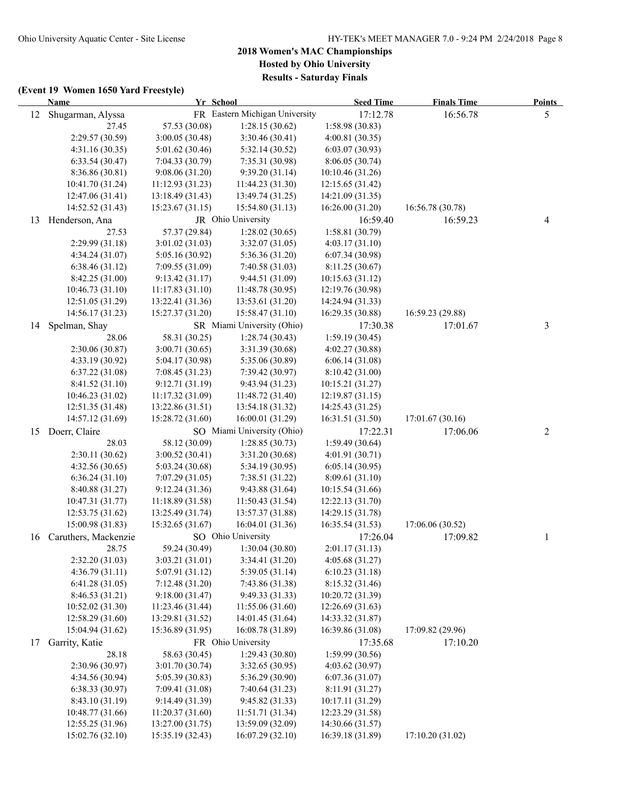**Results - Saturday Finals**

## **(Event 19 Women 1650 Yard Freestyle)**

|    | <b>Name</b>          | Yr School        |                                | <b>Seed Time</b> | <b>Finals Time</b> | <b>Points</b>  |
|----|----------------------|------------------|--------------------------------|------------------|--------------------|----------------|
| 12 | Shugarman, Alyssa    |                  | FR Eastern Michigan University | 17:12.78         | 16:56.78           | 5              |
|    | 27.45                | 57.53 (30.08)    | 1:28.15(30.62)                 | 1:58.98 (30.83)  |                    |                |
|    | 2:29.57 (30.59)      | 3:00.05(30.48)   | 3:30.46 (30.41)                | 4:00.81 (30.35)  |                    |                |
|    | 4:31.16(30.35)       | 5:01.62(30.46)   | 5:32.14 (30.52)                | 6:03.07(30.93)   |                    |                |
|    | 6:33.54(30.47)       | 7:04.33 (30.79)  | 7:35.31 (30.98)                | 8:06.05 (30.74)  |                    |                |
|    | 8:36.86 (30.81)      | 9:08.06(31.20)   | 9:39.20(31.14)                 | 10:10.46 (31.26) |                    |                |
|    | 10:41.70 (31.24)     | 11:12.93(31.23)  | 11:44.23 (31.30)               | 12:15.65 (31.42) |                    |                |
|    | 12:47.06 (31.41)     | 13:18.49 (31.43) | 13:49.74 (31.25)               | 14:21.09 (31.35) |                    |                |
|    | 14:52.52 (31.43)     | 15:23.67(31.15)  | 15:54.80 (31.13)               | 16:26.00 (31.20) | 16:56.78 (30.78)   |                |
| 13 | Henderson, Ana       |                  | JR Ohio University             | 16:59.40         | 16:59.23           | 4              |
|    | 27.53                | 57.37 (29.84)    | 1:28.02(30.65)                 | 1:58.81(30.79)   |                    |                |
|    | 2:29.99 (31.18)      | 3:01.02(31.03)   | 3:32.07(31.05)                 | 4:03.17(31.10)   |                    |                |
|    | 4:34.24 (31.07)      | 5:05.16 (30.92)  | 5:36.36 (31.20)                | 6:07.34(30.98)   |                    |                |
|    | 6:38.46(31.12)       | 7:09.55 (31.09)  | 7:40.58(31.03)                 | 8:11.25 (30.67)  |                    |                |
|    | 8:42.25 (31.00)      | 9:13.42(31.17)   | 9:44.51 (31.09)                | 10:15.63 (31.12) |                    |                |
|    | 10:46.73 (31.10)     | 11:17.83(31.10)  | 11:48.78 (30.95)               | 12:19.76 (30.98) |                    |                |
|    | 12:51.05 (31.29)     | 13:22.41 (31.36) | 13:53.61 (31.20)               | 14:24.94 (31.33) |                    |                |
|    | 14:56.17 (31.23)     | 15:27.37 (31.20) | 15:58.47 (31.10)               | 16:29.35 (30.88) | 16:59.23 (29.88)   |                |
| 14 | Spelman, Shay        |                  | SR Miami University (Ohio)     | 17:30.38         | 17:01.67           | 3              |
|    | 28.06                | 58.31 (30.25)    | 1:28.74(30.43)                 | 1:59.19(30.45)   |                    |                |
|    | 2:30.06 (30.87)      | 3:00.71(30.65)   | 3:31.39 (30.68)                | 4:02.27(30.88)   |                    |                |
|    | 4:33.19 (30.92)      | 5:04.17 (30.98)  | 5:35.06 (30.89)                | 6:06.14(31.08)   |                    |                |
|    | 6:37.22(31.08)       | 7:08.45(31.23)   | 7:39.42(30.97)                 | 8:10.42(31.00)   |                    |                |
|    | 8:41.52 (31.10)      | 9:12.71(31.19)   | 9:43.94(31.23)                 | 10:15.21 (31.27) |                    |                |
|    | 10:46.23 (31.02)     | 11:17.32 (31.09) | 11:48.72 (31.40)               | 12:19.87 (31.15) |                    |                |
|    | 12:51.35 (31.48)     | 13:22.86 (31.51) | 13:54.18 (31.32)               | 14:25.43 (31.25) |                    |                |
|    | 14:57.12 (31.69)     | 15:28.72 (31.60) | 16:00.01 (31.29)               | 16:31.51 (31.50) | 17:01.67 (30.16)   |                |
| 15 | Doerr, Claire        |                  | SO Miami University (Ohio)     | 17:22.31         | 17:06.06           | $\overline{2}$ |
|    | 28.03                | 58.12 (30.09)    | 1:28.85(30.73)                 | 1:59.49 (30.64)  |                    |                |
|    | 2:30.11(30.62)       | 3:00.52(30.41)   | 3:31.20 (30.68)                | 4:01.91(30.71)   |                    |                |
|    | 4:32.56(30.65)       | 5:03.24 (30.68)  | 5:34.19 (30.95)                | 6:05.14(30.95)   |                    |                |
|    | 6:36.24(31.10)       | 7:07.29(31.05)   | 7:38.51(31.22)                 | 8:09.61 (31.10)  |                    |                |
|    | 8:40.88 (31.27)      | 9:12.24(31.36)   | 9:43.88 (31.64)                | 10:15.54 (31.66) |                    |                |
|    | 10:47.31 (31.77)     | 11:18.89 (31.58) | 11:50.43 (31.54)               | 12:22.13 (31.70) |                    |                |
|    | 12:53.75 (31.62)     | 13:25.49 (31.74) | 13:57.37 (31.88)               | 14:29.15 (31.78) |                    |                |
|    | 15:00.98 (31.83)     | 15:32.65 (31.67) | 16:04.01 (31.36)               | 16:35.54 (31.53) | 17:06.06 (30.52)   |                |
| 16 | Caruthers, Mackenzie |                  | SO Ohio University             | 17:26.04         | 17:09.82           | 1              |
|    | 28.75                | 59.24 (30.49)    | 1:30.04(30.80)                 | 2:01.17(31.13)   |                    |                |
|    | 2:32.20(31.03)       | 3:03.21(31.01)   | 3:34.41(31.20)                 | 4:05.68 (31.27)  |                    |                |
|    | 4:36.79(31.11)       | 5:07.91(31.12)   | 5:39.05 (31.14)                | 6:10.23(31.18)   |                    |                |
|    | 6:41.28(31.05)       | 7:12.48(31.20)   | 7:43.86 (31.38)                | 8:15.32 (31.46)  |                    |                |
|    | 8:46.53 (31.21)      | 9:18.00(31.47)   | 9:49.33 (31.33)                | 10:20.72 (31.39) |                    |                |
|    | 10:52.02 (31.30)     | 11:23.46 (31.44) | 11:55.06 (31.60)               | 12:26.69 (31.63) |                    |                |
|    | 12:58.29 (31.60)     | 13:29.81 (31.52) | 14:01.45 (31.64)               | 14:33.32 (31.87) |                    |                |
|    | 15:04.94 (31.62)     | 15:36.89 (31.95) | 16:08.78 (31.89)               | 16:39.86 (31.08) | 17:09.82 (29.96)   |                |
| 17 | Garrity, Katie       |                  | FR Ohio University             | 17:35.68         | 17:10.20           |                |
|    | 28.18                | 58.63 (30.45)    | 1:29.43 (30.80)                | 1:59.99 (30.56)  |                    |                |
|    | 2:30.96 (30.97)      | 3:01.70(30.74)   | 3:32.65(30.95)                 | 4:03.62(30.97)   |                    |                |
|    | 4:34.56 (30.94)      | 5:05.39(30.83)   | 5:36.29 (30.90)                | 6:07.36(31.07)   |                    |                |
|    | 6:38.33(30.97)       | 7:09.41 (31.08)  | 7:40.64 (31.23)                | 8:11.91 (31.27)  |                    |                |
|    | 8:43.10 (31.19)      | 9:14.49 (31.39)  | 9:45.82(31.33)                 | 10:17.11 (31.29) |                    |                |
|    | 10:48.77 (31.66)     | 11:20.37(31.60)  | 11:51.71 (31.34)               | 12:23.29 (31.58) |                    |                |
|    | 12:55.25 (31.96)     | 13:27.00 (31.75) | 13:59.09 (32.09)               | 14:30.66 (31.57) |                    |                |
|    | 15:02.76 (32.10)     | 15:35.19 (32.43) | 16:07.29 (32.10)               | 16:39.18 (31.89) | 17:10.20 (31.02)   |                |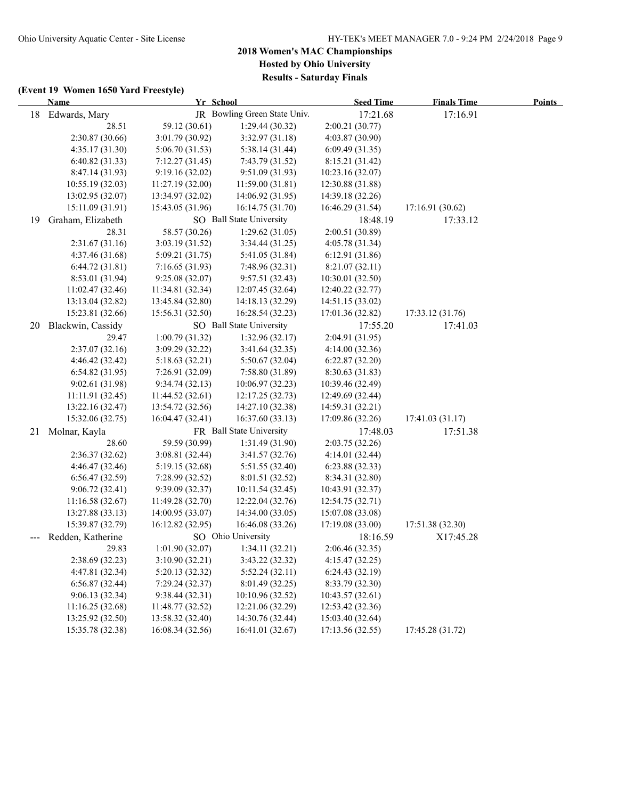**Results - Saturday Finals**

# **(Event 19 Women 1650 Yard Freestyle)**

|    | <b>Name</b>       |                  | Yr School                    | <b>Seed Time</b> | <b>Finals Time</b> | <b>Points</b> |
|----|-------------------|------------------|------------------------------|------------------|--------------------|---------------|
|    | 18 Edwards, Mary  |                  | JR Bowling Green State Univ. | 17:21.68         | 17:16.91           |               |
|    | 28.51             | 59.12 (30.61)    | 1:29.44 (30.32)              | 2:00.21(30.77)   |                    |               |
|    | 2:30.87 (30.66)   | 3:01.79 (30.92)  | 3:32.97(31.18)               | 4:03.87 (30.90)  |                    |               |
|    | 4:35.17(31.30)    | 5:06.70(31.53)   | 5:38.14 (31.44)              | 6:09.49(31.35)   |                    |               |
|    | 6:40.82(31.33)    | 7:12.27(31.45)   | 7:43.79 (31.52)              | 8:15.21 (31.42)  |                    |               |
|    | 8:47.14 (31.93)   | 9:19.16(32.02)   | 9:51.09(31.93)               | 10:23.16 (32.07) |                    |               |
|    | 10:55.19 (32.03)  | 11:27.19(32.00)  | 11:59.00(31.81)              | 12:30.88 (31.88) |                    |               |
|    | 13:02.95 (32.07)  | 13:34.97 (32.02) | 14:06.92 (31.95)             | 14:39.18 (32.26) |                    |               |
|    | 15:11.09 (31.91)  | 15:43.05 (31.96) | 16:14.75 (31.70)             | 16:46.29 (31.54) | 17:16.91(30.62)    |               |
| 19 | Graham, Elizabeth |                  | SO Ball State University     | 18:48.19         | 17:33.12           |               |
|    | 28.31             | 58.57 (30.26)    | 1:29.62(31.05)               | 2:00.51 (30.89)  |                    |               |
|    | 2:31.67(31.16)    | 3:03.19(31.52)   | 3:34.44(31.25)               | 4:05.78(31.34)   |                    |               |
|    | 4:37.46 (31.68)   | 5:09.21 (31.75)  | 5:41.05 (31.84)              | 6:12.91(31.86)   |                    |               |
|    | 6:44.72(31.81)    | 7:16.65(31.93)   | 7:48.96 (32.31)              | 8:21.07(32.11)   |                    |               |
|    | 8:53.01 (31.94)   | 9:25.08(32.07)   | 9:57.51(32.43)               | 10:30.01 (32.50) |                    |               |
|    | 11:02.47(32.46)   | 11:34.81 (32.34) | 12:07.45 (32.64)             | 12:40.22 (32.77) |                    |               |
|    | 13:13.04 (32.82)  | 13:45.84 (32.80) | 14:18.13 (32.29)             | 14:51.15 (33.02) |                    |               |
|    | 15:23.81 (32.66)  | 15:56.31 (32.50) | 16:28.54 (32.23)             | 17:01.36 (32.82) | 17:33.12 (31.76)   |               |
| 20 | Blackwin, Cassidy |                  | SO Ball State University     | 17:55.20         | 17:41.03           |               |
|    | 29.47             | 1:00.79(31.32)   | 1:32.96(32.17)               | 2:04.91 (31.95)  |                    |               |
|    | 2:37.07(32.16)    | 3:09.29(32.22)   | 3:41.64(32.35)               | 4:14.00(32.36)   |                    |               |
|    | 4:46.42 (32.42)   | 5:18.63(32.21)   | 5:50.67(32.04)               | 6:22.87(32.20)   |                    |               |
|    | 6:54.82(31.95)    | 7:26.91 (32.09)  | 7:58.80 (31.89)              | 8:30.63 (31.83)  |                    |               |
|    | 9:02.61 (31.98)   | 9:34.74(32.13)   | 10:06.97 (32.23)             | 10:39.46 (32.49) |                    |               |
|    | 11:11.91 (32.45)  | 11:44.52 (32.61) | 12:17.25 (32.73)             | 12:49.69 (32.44) |                    |               |
|    | 13:22.16 (32.47)  | 13:54.72 (32.56) | 14:27.10 (32.38)             | 14:59.31 (32.21) |                    |               |
|    | 15:32.06 (32.75)  | 16:04.47(32.41)  | 16:37.60(33.13)              | 17:09.86 (32.26) | 17:41.03(31.17)    |               |
| 21 | Molnar, Kayla     |                  | FR Ball State University     | 17:48.03         | 17:51.38           |               |
|    | 28.60             | 59.59 (30.99)    | 1:31.49 (31.90)              | 2:03.75 (32.26)  |                    |               |
|    | 2:36.37(32.62)    | 3:08.81(32.44)   | 3:41.57 (32.76)              | 4:14.01(32.44)   |                    |               |
|    | 4:46.47 (32.46)   | 5:19.15(32.68)   | 5:51.55 (32.40)              | 6:23.88(32.33)   |                    |               |
|    | 6:56.47(32.59)    | 7:28.99 (32.52)  | 8:01.51 (32.52)              | 8:34.31 (32.80)  |                    |               |
|    | 9:06.72(32.41)    | 9:39.09(32.37)   | 10:11.54(32.45)              | 10:43.91 (32.37) |                    |               |
|    | 11:16.58 (32.67)  | 11:49.28 (32.70) | 12:22.04 (32.76)             | 12:54.75 (32.71) |                    |               |
|    | 13:27.88 (33.13)  | 14:00.95(33.07)  | 14:34.00 (33.05)             | 15:07.08 (33.08) |                    |               |
|    | 15:39.87 (32.79)  | 16:12.82 (32.95) | 16:46.08 (33.26)             | 17:19.08 (33.00) | 17:51.38 (32.30)   |               |
|    | Redden, Katherine |                  | SO Ohio University           | 18:16.59         | X17:45.28          |               |
|    | 29.83             | 1:01.90(32.07)   | 1:34.11(32.21)               | 2:06.46 (32.35)  |                    |               |
|    | 2:38.69(32.23)    | 3:10.90(32.21)   | 3:43.22 (32.32)              | 4:15.47 (32.25)  |                    |               |
|    | 4:47.81 (32.34)   | 5:20.13(32.32)   | 5:52.24(32.11)               | 6:24.43(32.19)   |                    |               |
|    | 6:56.87(32.44)    | 7:29.24(32.37)   | 8:01.49 (32.25)              | 8:33.79 (32.30)  |                    |               |
|    | 9:06.13(32.34)    | 9:38.44(32.31)   | 10:10.96 (32.52)             | 10:43.57(32.61)  |                    |               |
|    | 11:16.25 (32.68)  | 11:48.77 (32.52) | 12:21.06 (32.29)             | 12:53.42 (32.36) |                    |               |
|    | 13:25.92 (32.50)  | 13:58.32 (32.40) | 14:30.76 (32.44)             | 15:03.40 (32.64) |                    |               |
|    | 15:35.78 (32.38)  | 16:08.34 (32.56) | 16:41.01 (32.67)             | 17:13.56 (32.55) | 17:45.28 (31.72)   |               |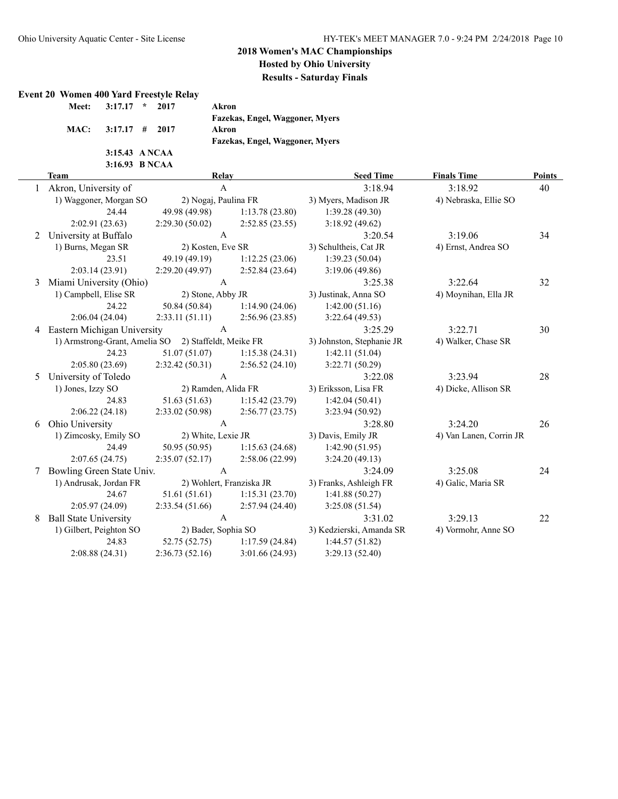**Fazekas, Engel, Waggoner, Myers**

**Fazekas, Engel, Waggoner, Myers**

**Meet: 3:17.17 \* 2017 Akron**

**MAC: 3:17.17 # 2017 Akron**

#### **Event 20 Women 400 Yard Freestyle Relay**

| Meet: 3:17.17 * 2017 |  |  |
|----------------------|--|--|
| MAC: 3:17.17 # 2017  |  |  |
| $3:15.43$ ANCAA      |  |  |
| 3:16.93 B NCAA       |  |  |

**Team Relay Seed Time Finals Time Points** 1 Akron, University of A 3:18.94 3:18.92 40 1) Waggoner, Morgan SO 2) Nogaj, Paulina FR 3) Myers, Madison JR 4) Nebraska, Ellie SO 24.44 49.98 (49.98) 1:13.78 (23.80) 1:39.28 (49.30) 2:02.91 (23.63) 2:29.30 (50.02) 2:52.85 (23.55) 3:18.92 (49.62) 2 University at Buffalo A 3:20.54 3:19.06 34 1) Burns, Megan SR 2) Kosten, Eve SR 3) Schultheis, Cat JR 4) Ernst, Andrea SO 23.51 49.19 (49.19) 1:12.25 (23.06) 1:39.23 (50.04) 2:03.14 (23.91) 2:29.20 (49.97) 2:52.84 (23.64) 3:19.06 (49.86) 3 Miami University (Ohio) A 3:25.38 3:22.64 32 1) Campbell, Elise SR 2) Stone, Abby JR 3) Justinak, Anna SO 4) Moynihan, Ella JR 24.22 50.84 (50.84) 1:14.90 (24.06) 1:42.00 (51.16) 2:06.04 (24.04) 2:33.11 (51.11) 2:56.96 (23.85) 3:22.64 (49.53) 4 Eastern Michigan University A 3:25.29 3:25.29 3:22.71 30 1) Armstrong-Grant, Amelia SO 2) Staffeldt, Meike FR 3) Johnston, Stephanie JR 4) Walker, Chase SR 24.23 51.07 (51.07) 1:15.38 (24.31) 1:42.11 (51.04) 2:05.80 (23.69) 2:32.42 (50.31) 2:56.52 (24.10) 3:22.71 (50.29) 5 University of Toledo A 3:22.08 3:23.94 28 1) Jones, Izzy SO 2) Ramden, Alida FR 3) Eriksson, Lisa FR 4) Dicke, Allison SR 24.83 51.63 (51.63) 1:15.42 (23.79) 1:42.04 (50.41) 2:06.22 (24.18) 2:33.02 (50.98) 2:56.77 (23.75) 3:23.94 (50.92) 6 Ohio University A 3:28.80 3:24.20 26 1) Zimcosky, Emily SO 2) White, Lexie JR 3) Davis, Emily JR 4) Van Lanen, Corrin JR 24.49 50.95 (50.95) 1:15.63 (24.68) 1:42.90 (51.95) 2:07.65 (24.75) 2:35.07 (52.17) 2:58.06 (22.99) 3:24.20 (49.13) 7 Bowling Green State Univ. A 3:24.09 3:25.08 24 1) Andrusak, Jordan FR 2) Wohlert, Franziska JR 3) Franks, Ashleigh FR 4) Galic, Maria SR 24.67 51.61 (51.61) 1:15.31 (23.70) 1:41.88 (50.27) 2:05.97 (24.09) 2:33.54 (51.66) 2:57.94 (24.40) 3:25.08 (51.54) 8 Ball State University A 3:31.02 3:29.13 22 1) Gilbert, Peighton SO 2) Bader, Sophia SO 3) Kedzierski, Amanda SR 4) Vormohr, Anne SO 24.83 52.75 (52.75) 1:17.59 (24.84) 1:44.57 (51.82) 2:08.88 (24.31) 2:36.73 (52.16) 3:01.66 (24.93) 3:29.13 (52.40)